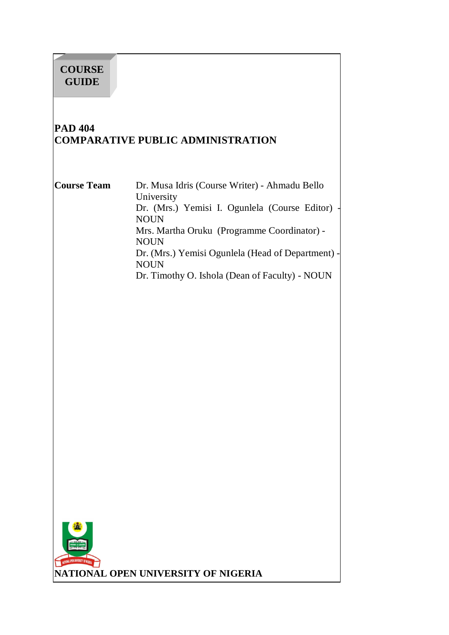# **COURSE GUIDE**

## **PAD 404 COMPARATIVE PUBLIC ADMINISTRATION**

**Course Team** Dr. Musa Idris (Course Writer) - Ahmadu Bello University Dr. (Mrs.) Yemisi I. Ogunlela (Course Editor) - NOUN Mrs. Martha Oruku (Programme Coordinator) - NOUN Dr. (Mrs.) Yemisi Ogunlela (Head of Department) - NOUN Dr. Timothy O. Ishola (Dean of Faculty) - NOUN

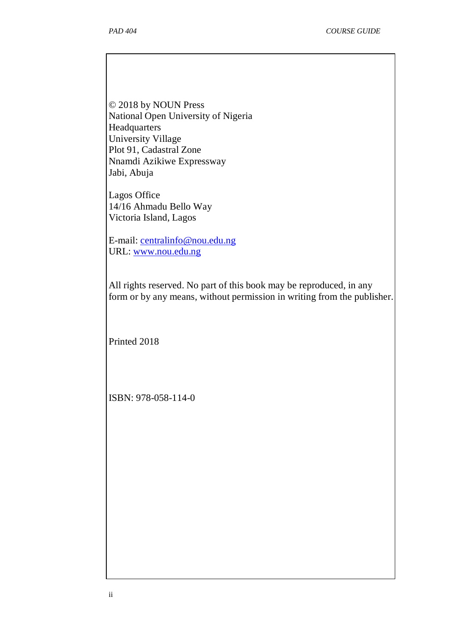© 2018 by NOUN Press National Open University of Nigeria Headquarters University Village Plot 91, Cadastral Zone Nnamdi Azikiwe Expressway Jabi, Abuja

Lagos Office 14/16 Ahmadu Bello Way Victoria Island, Lagos

E-mail: centralinfo@nou.edu.ng URL: www.nou.edu.ng

All rights reserved. No part of this book may be reproduced, in any form or by any means, without permission in writing from the publisher.

Printed 2018

ISBN: 978-058-114-0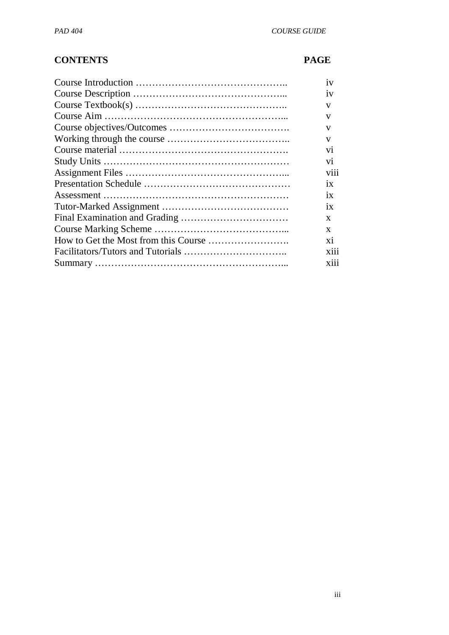# **CONTENTS PAGE**

| 1V               |
|------------------|
| 1V               |
| v                |
| V                |
| V                |
| V                |
| V <sub>1</sub>   |
| vi               |
| V <sub>111</sub> |
| 1X               |
| 1X               |
| 1X               |
| X                |
| X                |
| X1               |
| <b>X111</b>      |
| X <sub>111</sub> |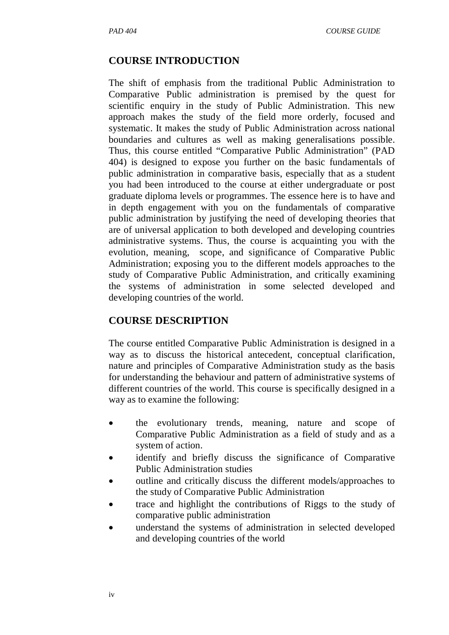#### **COURSE INTRODUCTION**

The shift of emphasis from the traditional Public Administration to Comparative Public administration is premised by the quest for scientific enquiry in the study of Public Administration. This new approach makes the study of the field more orderly, focused and systematic. It makes the study of Public Administration across national boundaries and cultures as well as making generalisations possible. Thus, this course entitled "Comparative Public Administration" (PAD 404) is designed to expose you further on the basic fundamentals of public administration in comparative basis, especially that as a student you had been introduced to the course at either undergraduate or post graduate diploma levels or programmes. The essence here is to have and in depth engagement with you on the fundamentals of comparative public administration by justifying the need of developing theories that are of universal application to both developed and developing countries administrative systems. Thus, the course is acquainting you with the evolution, meaning, scope, and significance of Comparative Public Administration; exposing you to the different models approaches to the study of Comparative Public Administration, and critically examining the systems of administration in some selected developed and developing countries of the world.

#### **COURSE DESCRIPTION**

The course entitled Comparative Public Administration is designed in a way as to discuss the historical antecedent, conceptual clarification, nature and principles of Comparative Administration study as the basis for understanding the behaviour and pattern of administrative systems of different countries of the world. This course is specifically designed in a way as to examine the following:

- the evolutionary trends, meaning, nature and scope of Comparative Public Administration as a field of study and as a system of action.
- identify and briefly discuss the significance of Comparative Public Administration studies
- outline and critically discuss the different models/approaches to the study of Comparative Public Administration
- trace and highlight the contributions of Riggs to the study of comparative public administration
- understand the systems of administration in selected developed and developing countries of the world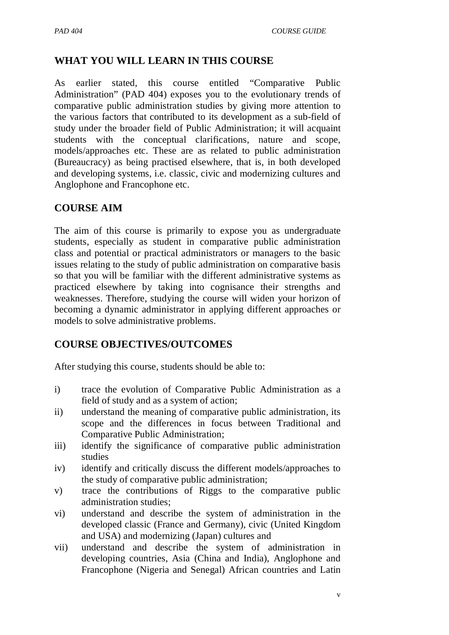## **WHAT YOU WILL LEARN IN THIS COURSE**

As earlier stated, this course entitled "Comparative Public Administration" (PAD 404) exposes you to the evolutionary trends of comparative public administration studies by giving more attention to the various factors that contributed to its development as a sub-field of study under the broader field of Public Administration; it will acquaint students with the conceptual clarifications, nature and scope, models/approaches etc. These are as related to public administration (Bureaucracy) as being practised elsewhere, that is, in both developed and developing systems, i.e. classic, civic and modernizing cultures and Anglophone and Francophone etc.

## **COURSE AIM**

The aim of this course is primarily to expose you as undergraduate students, especially as student in comparative public administration class and potential or practical administrators or managers to the basic issues relating to the study of public administration on comparative basis so that you will be familiar with the different administrative systems as practiced elsewhere by taking into cognisance their strengths and weaknesses. Therefore, studying the course will widen your horizon of becoming a dynamic administrator in applying different approaches or models to solve administrative problems.

#### **COURSE OBJECTIVES/OUTCOMES**

After studying this course, students should be able to:

- i) trace the evolution of Comparative Public Administration as a field of study and as a system of action;
- ii) understand the meaning of comparative public administration, its scope and the differences in focus between Traditional and Comparative Public Administration;
- iii) identify the significance of comparative public administration studies
- iv) identify and critically discuss the different models/approaches to the study of comparative public administration;
- v) trace the contributions of Riggs to the comparative public administration studies;
- vi) understand and describe the system of administration in the developed classic (France and Germany), civic (United Kingdom and USA) and modernizing (Japan) cultures and
- vii) understand and describe the system of administration in developing countries, Asia (China and India), Anglophone and Francophone (Nigeria and Senegal) African countries and Latin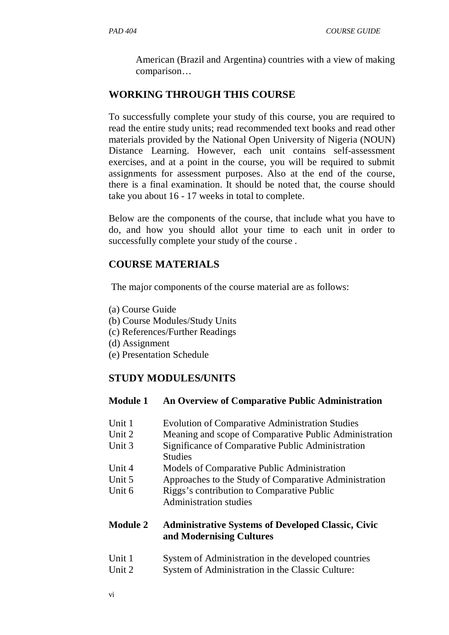American (Brazil and Argentina) countries with a view of making comparison…

# **WORKING THROUGH THIS COURSE**

To successfully complete your study of this course, you are required to read the entire study units; read recommended text books and read other materials provided by the National Open University of Nigeria (NOUN) Distance Learning. However, each unit contains self-assessment exercises, and at a point in the course, you will be required to submit assignments for assessment purposes. Also at the end of the course, there is a final examination. It should be noted that, the course should take you about 16 - 17 weeks in total to complete.

Below are the components of the course, that include what you have to do, and how you should allot your time to each unit in order to successfully complete your study of the course .

## **COURSE MATERIALS**

The major components of the course material are as follows:

- (a) Course Guide
- (b) Course Modules/Study Units
- (c) References/Further Readings
- (d) Assignment
- (e) Presentation Schedule

## **STUDY MODULES/UNITS**

#### **Module 1 An Overview of Comparative Public Administration**

- Unit 1 Evolution of Comparative Administration Studies
- Unit 2 Meaning and scope of Comparative Public Administration
- Unit 3 Significance of Comparative Public Administration Studies
- Unit 4 Models of Comparative Public Administration
- Unit 5 Approaches to the Study of Comparative Administration
- Unit 6 Riggs's contribution to Comparative Public Administration studies

#### **Module 2 Administrative Systems of Developed Classic, Civic and Modernising Cultures**

- Unit 1 System of Administration in the developed countries Unit 2 System of Administration in the Classic Culture:
	-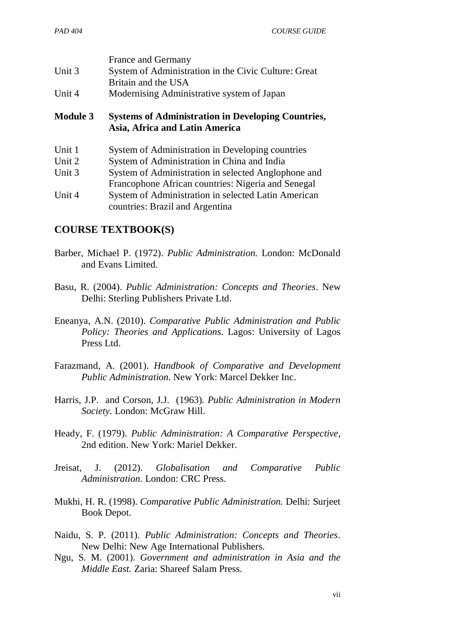|                 | France and Germany                                                                          |
|-----------------|---------------------------------------------------------------------------------------------|
| Unit 3          | System of Administration in the Civic Culture: Great                                        |
|                 | Britain and the USA                                                                         |
| Unit 4          | Modernising Administrative system of Japan                                                  |
| <b>Module 3</b> | <b>Systems of Administration in Developing Countries,</b><br>Asia, Africa and Latin America |
| Unit 1          | System of Administration in Developing countries                                            |
| Unit 2          | System of Administration in China and India                                                 |
| Unit 3          | System of Administration in selected Anglophone and                                         |
|                 | Francophone African countries: Nigeria and Senegal                                          |
| Unit 4          | System of Administration in selected Latin American<br>countries: Brazil and Argentina      |
|                 |                                                                                             |

## **COURSE TEXTBOOK(S)**

- Barber, Michael P. (1972). *Public Administration.* London: McDonald and Evans Limited.
- Basu, R. (2004). *Public Administration: Concepts and Theories*. New Delhi: Sterling Publishers Private Ltd.
- Eneanya, A.N. (2010). *Comparative Public Administration and Public Policy: Theories and Applications*. Lagos: University of Lagos Press Ltd.
- Farazmand, A. (2001). *Handbook of Comparative and Development Public Administration.* New York: Marcel Dekker Inc.
- Harris, J.P. and Corson, J.J. (1963). *Public Administration in Modern Society.* London: McGraw Hill.
- Heady, F. (1979). *Public Administration: A Comparative Perspective*, 2nd edition. New York: Mariel Dekker.
- Jreisat, J. (2012). *Globalisation and Comparative Public Administration.* London: CRC Press.
- Mukhi, H. R. (1998). *Comparative Public Administration.* Delhi: Surjeet Book Depot.
- Naidu, S. P. (2011). *Public Administration: Concepts and Theories*. New Delhi: New Age International Publishers.
- Ngu, S. M. (2001). *Government and administration in Asia and the Middle East.* Zaria: Shareef Salam Press.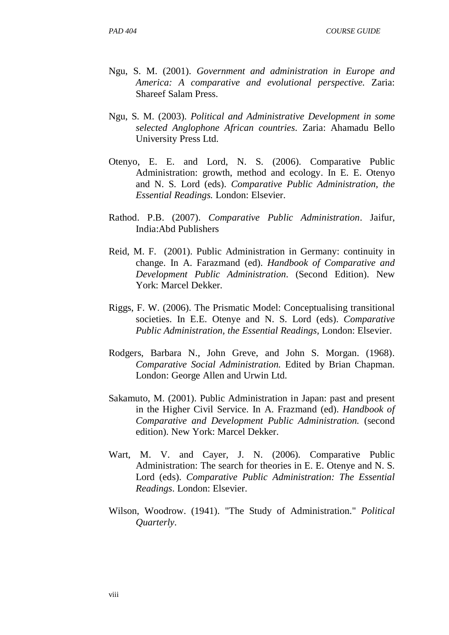- Ngu, S. M. (2001). *Government and administration in Europe and America: A comparative and evolutional perspective.* Zaria: Shareef Salam Press.
- Ngu, S. M. (2003). *Political and Administrative Development in some selected Anglophone African countries*. Zaria: Ahamadu Bello University Press Ltd.
- Otenyo, E. E. and Lord, N. S. (2006). Comparative Public Administration: growth, method and ecology. In E. E. Otenyo and N. S. Lord (eds). *Comparative Public Administration, the Essential Readings.* London: Elsevier.
- Rathod. P.B. (2007). *Comparative Public Administration*. Jaifur, India:Abd Publishers
- Reid, M. F. (2001). Public Administration in Germany: continuity in change. In A. Farazmand (ed). *Handbook of Comparative and Development Public Administration*. (Second Edition). New York: Marcel Dekker.
- Riggs, F. W. (2006). The Prismatic Model: Conceptualising transitional societies. In E.E. Otenye and N. S. Lord (eds). *Comparative Public Administration, the Essential Readings,* London: Elsevier.
- Rodgers, Barbara N., John Greve, and John S. Morgan. (1968). *Comparative Social Administration.* Edited by Brian Chapman. London: George Allen and Urwin Ltd.
- Sakamuto, M. (2001). Public Administration in Japan: past and present in the Higher Civil Service. In A. Frazmand (ed). *Handbook of Comparative and Development Public Administration.* (second edition). New York: Marcel Dekker.
- Wart, M. V. and Cayer, J. N. (2006). Comparative Public Administration: The search for theories in E. E. Otenye and N. S. Lord (eds). *Comparative Public Administration: The Essential Readings*. London: Elsevier.
- Wilson, Woodrow. (1941). "The Study of Administration." *Political Quarterly*.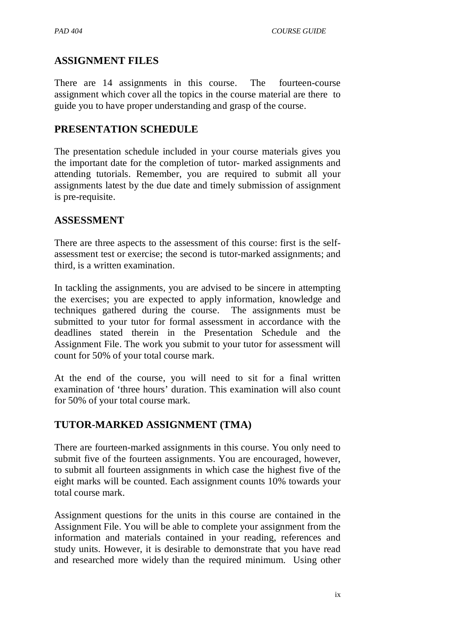## **ASSIGNMENT FILES**

There are 14 assignments in this course. The fourteen-course assignment which cover all the topics in the course material are there to guide you to have proper understanding and grasp of the course.

#### **PRESENTATION SCHEDULE**

The presentation schedule included in your course materials gives you the important date for the completion of tutor- marked assignments and attending tutorials. Remember, you are required to submit all your assignments latest by the due date and timely submission of assignment is pre-requisite.

#### **ASSESSMENT**

There are three aspects to the assessment of this course: first is the selfassessment test or exercise; the second is tutor-marked assignments; and third, is a written examination.

In tackling the assignments, you are advised to be sincere in attempting the exercises; you are expected to apply information, knowledge and techniques gathered during the course. The assignments must be submitted to your tutor for formal assessment in accordance with the deadlines stated therein in the Presentation Schedule and the Assignment File. The work you submit to your tutor for assessment will count for 50% of your total course mark.

At the end of the course, you will need to sit for a final written examination of 'three hours' duration. This examination will also count for 50% of your total course mark.

## **TUTOR-MARKED ASSIGNMENT (TMA)**

There are fourteen-marked assignments in this course. You only need to submit five of the fourteen assignments. You are encouraged, however, to submit all fourteen assignments in which case the highest five of the eight marks will be counted. Each assignment counts 10% towards your total course mark.

Assignment questions for the units in this course are contained in the Assignment File. You will be able to complete your assignment from the information and materials contained in your reading, references and study units. However, it is desirable to demonstrate that you have read and researched more widely than the required minimum. Using other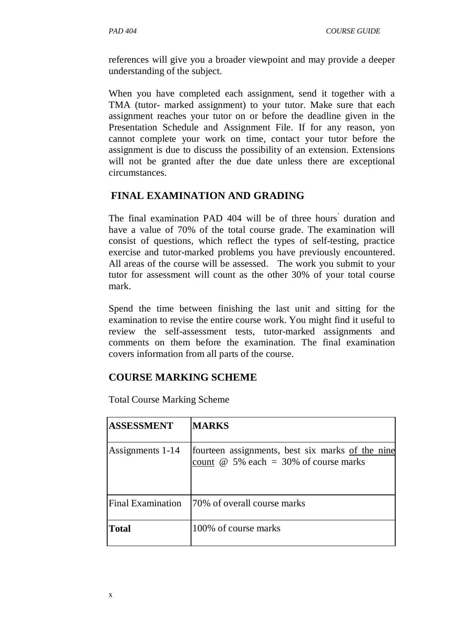references will give you a broader viewpoint and may provide a deeper understanding of the subject.

When you have completed each assignment, send it together with a TMA (tutor- marked assignment) to your tutor. Make sure that each assignment reaches your tutor on or before the deadline given in the Presentation Schedule and Assignment File. If for any reason, yon cannot complete your work on time, contact your tutor before the assignment is due to discuss the possibility of an extension. Extensions will not be granted after the due date unless there are exceptional circumstances.

## **FINAL EXAMINATION AND GRADING**

The final examination PAD 404 will be of three hours ' duration and have a value of 70% of the total course grade. The examination will consist of questions, which reflect the types of self-testing, practice exercise and tutor-marked problems you have previously encountered. All areas of the course will be assessed. The work you submit to your tutor for assessment will count as the other 30% of your total course mark.

Spend the time between finishing the last unit and sitting for the examination to revise the entire course work. You might find it useful to review the self-assessment tests, tutor-marked assignments and comments on them before the examination. The final examination covers information from all parts of the course.

## **COURSE MARKING SCHEME**

Total Course Marking Scheme

| <b>ASSESSMENT</b> | <b>MARKS</b>                                                                                     |
|-------------------|--------------------------------------------------------------------------------------------------|
| Assignments 1-14  | fourteen assignments, best six marks of the nine<br>count $\omega$ 5% each = 30% of course marks |
| Final Examination | 170% of overall course marks                                                                     |
| <b>Total</b>      | 100% of course marks                                                                             |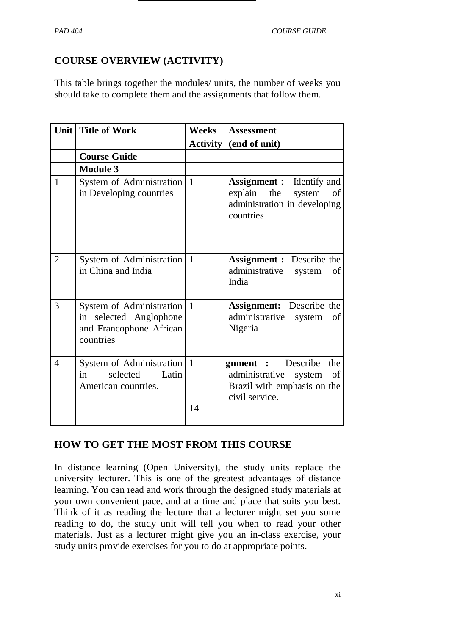# **COURSE OVERVIEW (ACTIVITY)**

This table brings together the modules/ units, the number of weeks you should take to complete them and the assignments that follow them.

| Unit           | <b>Title of Work</b>                                                                          | <b>Weeks</b>    | <b>Assessment</b>                                                                                              |
|----------------|-----------------------------------------------------------------------------------------------|-----------------|----------------------------------------------------------------------------------------------------------------|
|                |                                                                                               | <b>Activity</b> | (end of unit)                                                                                                  |
|                | <b>Course Guide</b>                                                                           |                 |                                                                                                                |
|                | <b>Module 3</b>                                                                               |                 |                                                                                                                |
| $\mathbf{1}$   | System of Administration<br>in Developing countries                                           | $\overline{1}$  | <b>Assignment</b> : Identify and<br>explain the<br>system<br>of<br>administration in developing<br>countries   |
| $\overline{2}$ | System of Administration<br>in China and India                                                | $\vert$ 1       | <b>Assignment :</b> Describe the<br>administrative<br>system<br>οf<br>India                                    |
| 3              | System of Administration<br>selected Anglophone<br>in<br>and Francophone African<br>countries | $\overline{1}$  | <b>Assignment:</b> Describe the<br>administrative<br>system<br>of<br>Nigeria                                   |
| $\overline{4}$ | System of Administration 1<br>selected<br>Latin<br>in<br>American countries.                  | 14              | Describe<br>the<br>gnment :<br>administrative<br>system<br>of<br>Brazil with emphasis on the<br>civil service. |

## **HOW TO GET THE MOST FROM THIS COURSE**

In distance learning (Open University), the study units replace the university lecturer. This is one of the greatest advantages of distance learning. You can read and work through the designed study materials at your own convenient pace, and at a time and place that suits you best. Think of it as reading the lecture that a lecturer might set you some reading to do, the study unit will tell you when to read your other materials. Just as a lecturer might give you an in-class exercise, your study units provide exercises for you to do at appropriate points.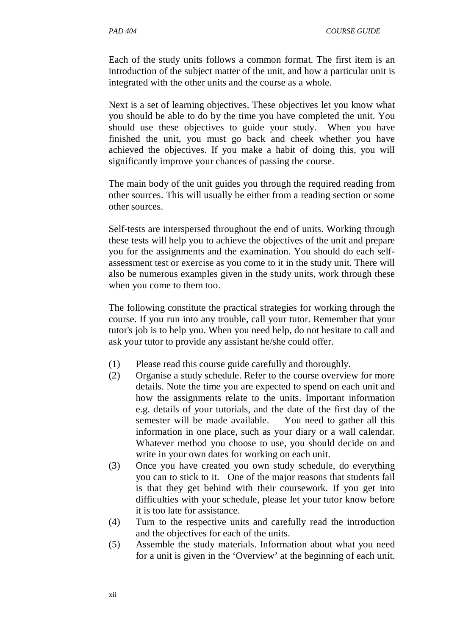Each of the study units follows a common format. The first item is an introduction of the subject matter of the unit, and how a particular unit is integrated with the other units and the course as a whole.

Next is a set of learning objectives. These objectives let you know what you should be able to do by the time you have completed the unit. You should use these objectives to guide your study. When you have finished the unit, you must go back and cheek whether you have achieved the objectives. If you make a habit of doing this, you will significantly improve your chances of passing the course.

The main body of the unit guides you through the required reading from other sources. This will usually be either from a reading section or some other sources.

Self-tests are interspersed throughout the end of units. Working through these tests will help you to achieve the objectives of the unit and prepare you for the assignments and the examination. You should do each selfassessment test or exercise as you come to it in the study unit. There will also be numerous examples given in the study units, work through these when you come to them too.

The following constitute the practical strategies for working through the course. If you run into any trouble, call your tutor. Remember that your tutor's job is to help you. When you need help, do not hesitate to call and ask your tutor to provide any assistant he/she could offer.

- (1) Please read this course guide carefully and thoroughly.
- (2) Organise a study schedule. Refer to the course overview for more details. Note the time you are expected to spend on each unit and how the assignments relate to the units. Important information e.g. details of your tutorials, and the date of the first day of the semester will be made available. You need to gather all this information in one place, such as your diary or a wall calendar. Whatever method you choose to use, you should decide on and write in your own dates for working on each unit.
- (3) Once you have created you own study schedule, do everything you can to stick to it. One of the major reasons that students fail is that they get behind with their coursework. If you get into difficulties with your schedule, please let your tutor know before it is too late for assistance.
- (4) Turn to the respective units and carefully read the introduction and the objectives for each of the units.
- (5) Assemble the study materials. Information about what you need for a unit is given in the 'Overview' at the beginning of each unit.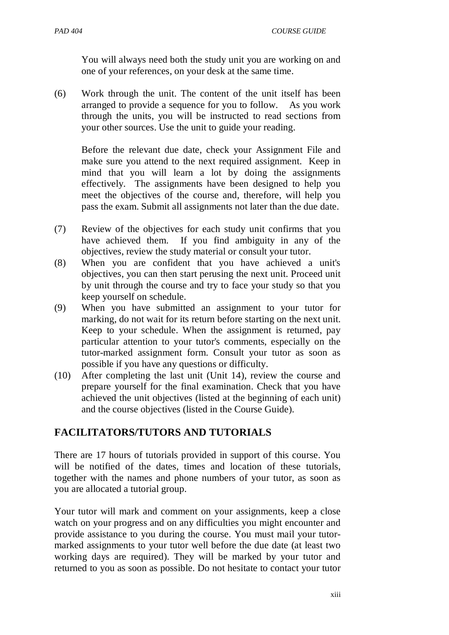You will always need both the study unit you are working on and one of your references, on your desk at the same time.

(6) Work through the unit. The content of the unit itself has been arranged to provide a sequence for you to follow. As you work through the units, you will be instructed to read sections from your other sources. Use the unit to guide your reading.

Before the relevant due date, check your Assignment File and make sure you attend to the next required assignment. Keep in mind that you will learn a lot by doing the assignments effectively. The assignments have been designed to help you meet the objectives of the course and, therefore, will help you pass the exam. Submit all assignments not later than the due date.

- (7) Review of the objectives for each study unit confirms that you have achieved them. If you find ambiguity in any of the objectives, review the study material or consult your tutor.
- (8) When you are confident that you have achieved a unit's objectives, you can then start perusing the next unit. Proceed unit by unit through the course and try to face your study so that you keep yourself on schedule.
- (9) When you have submitted an assignment to your tutor for marking, do not wait for its return before starting on the next unit. Keep to your schedule. When the assignment is returned, pay particular attention to your tutor's comments, especially on the tutor-marked assignment form. Consult your tutor as soon as possible if you have any questions or difficulty.
- (10) After completing the last unit (Unit 14), review the course and prepare yourself for the final examination. Check that you have achieved the unit objectives (listed at the beginning of each unit) and the course objectives (listed in the Course Guide).

# **FACILITATORS/TUTORS AND TUTORIALS**

There are 17 hours of tutorials provided in support of this course. You will be notified of the dates, times and location of these tutorials, together with the names and phone numbers of your tutor, as soon as you are allocated a tutorial group.

Your tutor will mark and comment on your assignments, keep a close watch on your progress and on any difficulties you might encounter and provide assistance to you during the course. You must mail your tutormarked assignments to your tutor well before the due date (at least two working days are required). They will be marked by your tutor and returned to you as soon as possible. Do not hesitate to contact your tutor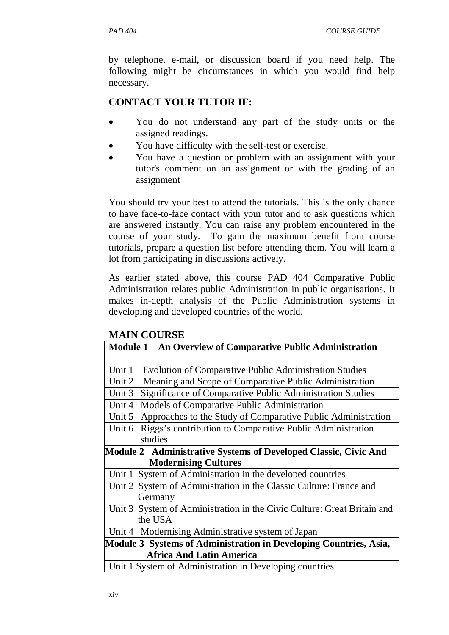by telephone, e-mail, or discussion board if you need help. The following might be circumstances in which you would find help necessary.

## **CONTACT YOUR TUTOR IF:**

- You do not understand any part of the study units or the assigned readings.
- You have difficulty with the self-test or exercise.
- You have a question or problem with an assignment with your tutor's comment on an assignment or with the grading of an assignment

You should try your best to attend the tutorials. This is the only chance to have face-to-face contact with your tutor and to ask questions which are answered instantly. You can raise any problem encountered in the course of your study. To gain the maximum benefit from course tutorials, prepare a question list before attending them. You will learn a lot from participating in discussions actively.

As earlier stated above, this course PAD 404 Comparative Public Administration relates public Administration in public organisations. It makes in-depth analysis of the Public Administration systems in developing and developed countries of the world.

#### **MAIN COURSE**

| <b>Module 1</b> | An Overview of Comparative Public Administration                        |
|-----------------|-------------------------------------------------------------------------|
|                 |                                                                         |
| Unit 1          | <b>Evolution of Comparative Public Administration Studies</b>           |
| Unit 2          | Meaning and Scope of Comparative Public Administration                  |
| Unit 3          | Significance of Comparative Public Administration Studies               |
| Unit 4          | Models of Comparative Public Administration                             |
|                 | Unit 5 Approaches to the Study of Comparative Public Administration     |
| Unit 6          | Riggs's contribution to Comparative Public Administration               |
|                 | studies                                                                 |
|                 | Module 2 Administrative Systems of Developed Classic, Civic And         |
|                 | <b>Modernising Cultures</b>                                             |
|                 | Unit 1 System of Administration in the developed countries              |
|                 | Unit 2 System of Administration in the Classic Culture: France and      |
|                 | Germany                                                                 |
|                 | Unit 3 System of Administration in the Civic Culture: Great Britain and |
|                 | the USA                                                                 |
|                 | Unit 4 Modernising Administrative system of Japan                       |
|                 | Module 3 Systems of Administration in Developing Countries, Asia,       |
|                 | <b>Africa And Latin America</b>                                         |
|                 | Unit 1 System of Administration in Developing countries                 |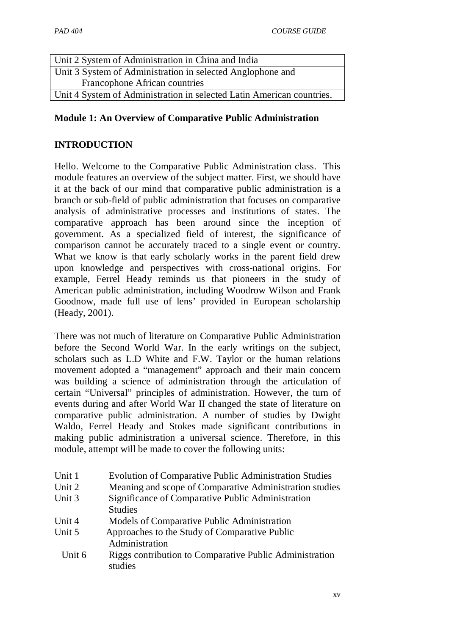| Unit 2 System of Administration in China and India                    |
|-----------------------------------------------------------------------|
| Unit 3 System of Administration in selected Anglophone and            |
| Francophone African countries                                         |
| Unit 4 System of Administration in selected Latin American countries. |

#### **Module 1: An Overview of Comparative Public Administration**

#### **INTRODUCTION**

Hello. Welcome to the Comparative Public Administration class. This module features an overview of the subject matter. First, we should have it at the back of our mind that comparative public administration is a branch or sub-field of public administration that focuses on comparative analysis of administrative processes and institutions of states. The comparative approach has been around since the inception of government. As a specialized field of interest, the significance of comparison cannot be accurately traced to a single event or country. What we know is that early scholarly works in the parent field drew upon knowledge and perspectives with cross-national origins. For example, Ferrel Heady reminds us that pioneers in the study of American public administration, including Woodrow Wilson and Frank Goodnow, made full use of lens' provided in European scholarship (Heady, 2001).

There was not much of literature on Comparative Public Administration before the Second World War. In the early writings on the subject, scholars such as L.D White and F.W. Taylor or the human relations movement adopted a "management" approach and their main concern was building a science of administration through the articulation of certain "Universal" principles of administration. However, the turn of events during and after World War II changed the state of literature on comparative public administration. A number of studies by Dwight Waldo, Ferrel Heady and Stokes made significant contributions in making public administration a universal science. Therefore, in this module, attempt will be made to cover the following units:

| Unit 1 | <b>Evolution of Comparative Public Administration Studies</b> |
|--------|---------------------------------------------------------------|
|        |                                                               |
| Unit 2 | Meaning and scope of Comparative Administration studies       |
| Unit 3 | Significance of Comparative Public Administration             |
|        | <b>Studies</b>                                                |
| Unit 4 | Models of Comparative Public Administration                   |
| Unit 5 | Approaches to the Study of Comparative Public                 |
|        | Administration                                                |
| Unit 6 | Riggs contribution to Comparative Public Administration       |
|        | studies                                                       |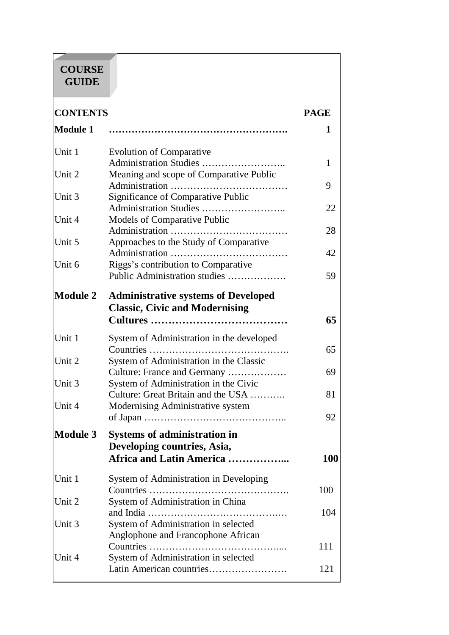# **COURSE GUIDE**

| <b>CONTENTS</b> |                                                                                     | <b>PAGE</b> |
|-----------------|-------------------------------------------------------------------------------------|-------------|
| Module 1        |                                                                                     | 1           |
| Unit 1          | <b>Evolution of Comparative</b>                                                     |             |
| Unit 2          | Meaning and scope of Comparative Public                                             | 1           |
|                 |                                                                                     | 9           |
| Unit 3          | Significance of Comparative Public                                                  | 22          |
| Unit 4          | Models of Comparative Public                                                        |             |
| Unit 5          | Approaches to the Study of Comparative                                              | 28          |
|                 |                                                                                     | 42          |
| Unit 6          | Riggs's contribution to Comparative<br>Public Administration studies                | 59          |
|                 |                                                                                     |             |
| <b>Module 2</b> | <b>Administrative systems of Developed</b><br><b>Classic, Civic and Modernising</b> |             |
|                 |                                                                                     | 65          |
| Unit 1          | System of Administration in the developed                                           |             |
| Unit 2          | Countries<br>System of Administration in the Classic                                | 65          |
|                 | Culture: France and Germany                                                         | 69          |
| Unit 3          | System of Administration in the Civic<br>Culture: Great Britain and the USA         | 81          |
| Unit 4          | Modernising Administrative system                                                   |             |
|                 |                                                                                     | 92          |
| Module 3        | <b>Systems of administration in</b>                                                 |             |
|                 | Developing countries, Asia,<br>Africa and Latin America                             | 100         |
| Unit 1          | System of Administration in Developing                                              |             |
|                 |                                                                                     | 100         |
| Unit 2          | System of Administration in China<br>and India                                      | 104         |
| Unit 3          | System of Administration in selected                                                |             |
|                 | Anglophone and Francophone African                                                  | 111         |
| Unit 4          | System of Administration in selected                                                |             |
|                 | Latin American countries                                                            | 121         |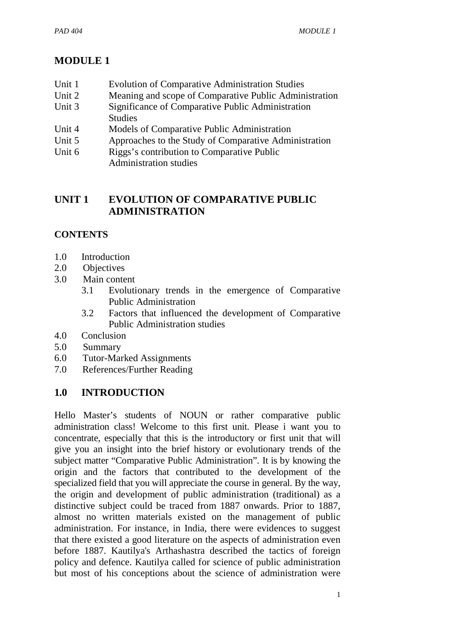# **MODULE 1**

- Unit 1 Evolution of Comparative Administration Studies Unit 2 Meaning and scope of Comparative Public Administration Unit 3 Significance of Comparative Public Administration Studies Unit 4 Models of Comparative Public Administration Unit 5 Approaches to the Study of Comparative Administration
- Unit 6 Riggs's contribution to Comparative Public Administration studies

## **UNIT 1 EVOLUTION OF COMPARATIVE PUBLIC ADMINISTRATION**

## **CONTENTS**

- 1.0 Introduction
- 2.0 Objectives
- 3.0 Main content
	- 3.1 Evolutionary trends in the emergence of Comparative Public Administration
	- 3.2 Factors that influenced the development of Comparative Public Administration studies
- 4.0 Conclusion
- 5.0 Summary
- 6.0 Tutor-Marked Assignments
- 7.0 References/Further Reading

# **1.0 INTRODUCTION**

Hello Master's students of NOUN or rather comparative public administration class! Welcome to this first unit. Please i want you to concentrate, especially that this is the introductory or first unit that will give you an insight into the brief history or evolutionary trends of the subject matter "Comparative Public Administration". It is by knowing the origin and the factors that contributed to the development of the specialized field that you will appreciate the course in general. By the way, the origin and development of public administration (traditional) as a distinctive subject could be traced from 1887 onwards. Prior to 1887, almost no written materials existed on the management of public administration. For instance, in India, there were evidences to suggest that there existed a good literature on the aspects of administration even before 1887. Kautilya's Arthashastra described the tactics of foreign policy and defence. Kautilya called for science of public administration but most of his conceptions about the science of administration were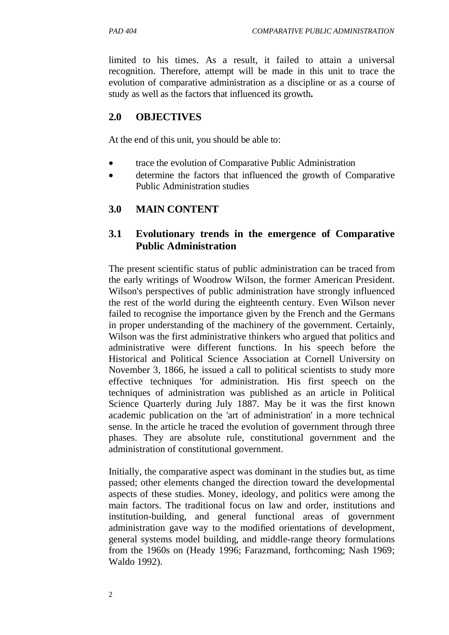limited to his times. As a result, it failed to attain a universal recognition. Therefore, attempt will be made in this unit to trace the evolution of comparative administration as a discipline or as a course of study as well as the factors that influenced its growth**.** 

## **2.0 OBJECTIVES**

At the end of this unit, you should be able to:

- trace the evolution of Comparative Public Administration
- determine the factors that influenced the growth of Comparative Public Administration studies

## **3.0 MAIN CONTENT**

## **3.1 Evolutionary trends in the emergence of Comparative Public Administration**

The present scientific status of public administration can be traced from the early writings of Woodrow Wilson, the former American President. Wilson's perspectives of public administration have strongly influenced the rest of the world during the eighteenth century. Even Wilson never failed to recognise the importance given by the French and the Germans in proper understanding of the machinery of the government. Certainly, Wilson was the first administrative thinkers who argued that politics and administrative were different functions. In his speech before the Historical and Political Science Association at Cornell University on November 3, 1866, he issued a call to political scientists to study more effective techniques 'for administration. His first speech on the techniques of administration was published as an article in Political Science Quarterly during July 1887. May be it was the first known academic publication on the 'art of administration' in a more technical sense. In the article he traced the evolution of government through three phases. They are absolute rule, constitutional government and the administration of constitutional government.

Initially, the comparative aspect was dominant in the studies but, as time passed; other elements changed the direction toward the developmental aspects of these studies. Money, ideology, and politics were among the main factors. The traditional focus on law and order, institutions and institution-building, and general functional areas of government administration gave way to the modified orientations of development, general systems model building, and middle-range theory formulations from the 1960s on (Heady 1996; Farazmand, forthcoming; Nash 1969; Waldo 1992).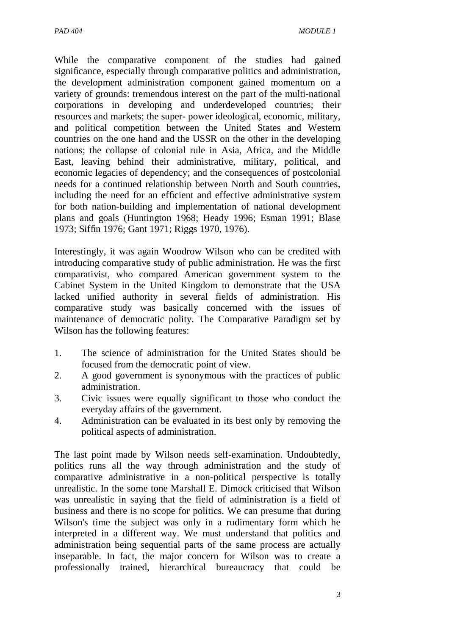While the comparative component of the studies had gained significance, especially through comparative politics and administration, the development administration component gained momentum on a variety of grounds: tremendous interest on the part of the multi-national corporations in developing and underdeveloped countries; their resources and markets; the super- power ideological, economic, military, and political competition between the United States and Western countries on the one hand and the USSR on the other in the developing nations; the collapse of colonial rule in Asia, Africa, and the Middle East, leaving behind their administrative, military, political, and economic legacies of dependency; and the consequences of postcolonial needs for a continued relationship between North and South countries, including the need for an efficient and effective administrative system for both nation-building and implementation of national development plans and goals (Huntington 1968; Heady 1996; Esman 1991; Blase 1973; Siffin 1976; Gant 1971; Riggs 1970, 1976).

Interestingly, it was again Woodrow Wilson who can be credited with introducing comparative study of public administration. He was the first comparativist, who compared American government system to the Cabinet System in the United Kingdom to demonstrate that the USA lacked unified authority in several fields of administration. His comparative study was basically concerned with the issues of maintenance of democratic polity. The Comparative Paradigm set by Wilson has the following features:

- 1. The science of administration for the United States should be focused from the democratic point of view.
- 2. A good government is synonymous with the practices of public administration.
- 3. Civic issues were equally significant to those who conduct the everyday affairs of the government.
- 4. Administration can be evaluated in its best only by removing the political aspects of administration.

The last point made by Wilson needs self-examination. Undoubtedly, politics runs all the way through administration and the study of comparative administrative in a non-political perspective is totally unrealistic. In the some tone Marshall E. Dimock criticised that Wilson was unrealistic in saying that the field of administration is a field of business and there is no scope for politics. We can presume that during Wilson's time the subject was only in a rudimentary form which he interpreted in a different way. We must understand that politics and administration being sequential parts of the same process are actually inseparable. In fact, the major concern for Wilson was to create a professionally trained, hierarchical bureaucracy that could be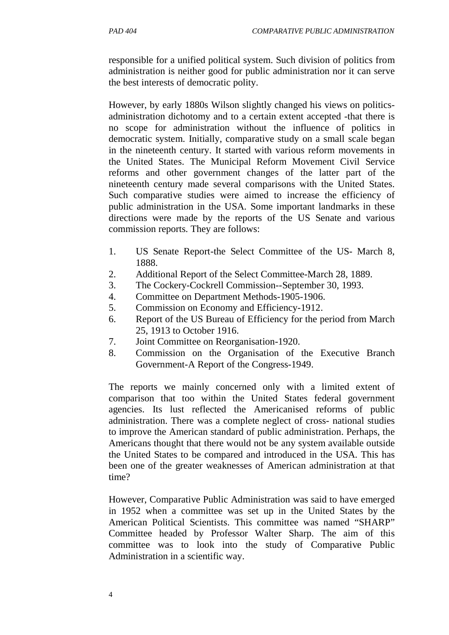responsible for a unified political system. Such division of politics from administration is neither good for public administration nor it can serve the best interests of democratic polity.

However, by early 1880s Wilson slightly changed his views on politicsadministration dichotomy and to a certain extent accepted -that there is no scope for administration without the influence of politics in democratic system. Initially, comparative study on a small scale began in the nineteenth century. It started with various reform movements in the United States. The Municipal Reform Movement Civil Service reforms and other government changes of the latter part of the nineteenth century made several comparisons with the United States. Such comparative studies were aimed to increase the efficiency of public administration in the USA. Some important landmarks in these directions were made by the reports of the US Senate and various commission reports. They are follows:

- 1. US Senate Report-the Select Committee of the US- March 8, 1888.
- 2. Additional Report of the Select Committee-March 28, 1889.
- 3. The Cockery-Cockrell Commission--September 30, 1993.
- 4. Committee on Department Methods-1905-1906.
- 5. Commission on Economy and Efficiency-1912.
- 6. Report of the US Bureau of Efficiency for the period from March 25, 1913 to October 1916.
- 7. Joint Committee on Reorganisation-1920.
- 8. Commission on the Organisation of the Executive Branch Government-A Report of the Congress-1949.

The reports we mainly concerned only with a limited extent of comparison that too within the United States federal government agencies. Its lust reflected the Americanised reforms of public administration. There was a complete neglect of cross- national studies to improve the American standard of public administration. Perhaps, the Americans thought that there would not be any system available outside the United States to be compared and introduced in the USA. This has been one of the greater weaknesses of American administration at that time?

However, Comparative Public Administration was said to have emerged in 1952 when a committee was set up in the United States by the American Political Scientists. This committee was named "SHARP" Committee headed by Professor Walter Sharp. The aim of this committee was to look into the study of Comparative Public Administration in a scientific way.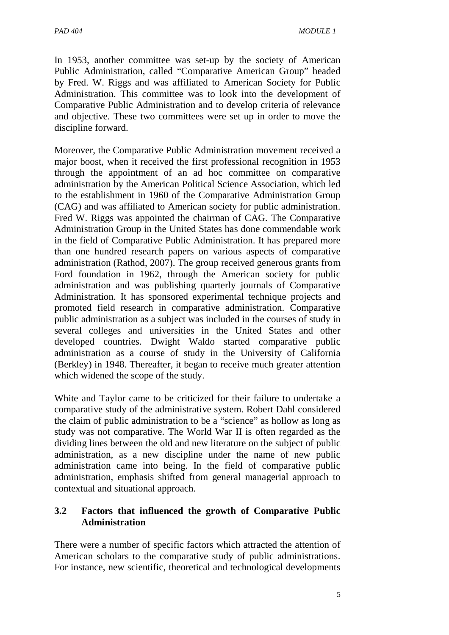In 1953, another committee was set-up by the society of American Public Administration, called "Comparative American Group" headed by Fred. W. Riggs and was affiliated to American Society for Public Administration. This committee was to look into the development of Comparative Public Administration and to develop criteria of relevance and objective. These two committees were set up in order to move the discipline forward.

Moreover, the Comparative Public Administration movement received a major boost, when it received the first professional recognition in 1953 through the appointment of an ad hoc committee on comparative administration by the American Political Science Association, which led to the establishment in 1960 of the Comparative Administration Group (CAG) and was affiliated to American society for public administration. Fred W. Riggs was appointed the chairman of CAG. The Comparative Administration Group in the United States has done commendable work in the field of Comparative Public Administration. It has prepared more than one hundred research papers on various aspects of comparative administration (Rathod, 2007). The group received generous grants from Ford foundation in 1962, through the American society for public administration and was publishing quarterly journals of Comparative Administration. It has sponsored experimental technique projects and promoted field research in comparative administration. Comparative public administration as a subject was included in the courses of study in several colleges and universities in the United States and other developed countries. Dwight Waldo started comparative public administration as a course of study in the University of California (Berkley) in 1948. Thereafter, it began to receive much greater attention which widened the scope of the study.

White and Taylor came to be criticized for their failure to undertake a comparative study of the administrative system. Robert Dahl considered the claim of public administration to be a "science" as hollow as long as study was not comparative. The World War II is often regarded as the dividing lines between the old and new literature on the subject of public administration, as a new discipline under the name of new public administration came into being. In the field of comparative public administration, emphasis shifted from general managerial approach to contextual and situational approach.

## **3.2 Factors that influenced the growth of Comparative Public Administration**

There were a number of specific factors which attracted the attention of American scholars to the comparative study of public administrations. For instance, new scientific, theoretical and technological developments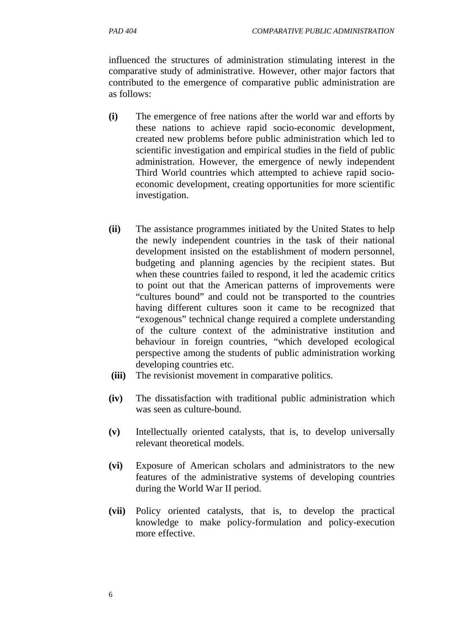influenced the structures of administration stimulating interest in the comparative study of administrative. However, other major factors that contributed to the emergence of comparative public administration are as follows:

- **(i)** The emergence of free nations after the world war and efforts by these nations to achieve rapid socio-economic development, created new problems before public administration which led to scientific investigation and empirical studies in the field of public administration. However, the emergence of newly independent Third World countries which attempted to achieve rapid socioeconomic development, creating opportunities for more scientific investigation.
- **(ii)** The assistance programmes initiated by the United States to help the newly independent countries in the task of their national development insisted on the establishment of modern personnel, budgeting and planning agencies by the recipient states. But when these countries failed to respond, it led the academic critics to point out that the American patterns of improvements were "cultures bound" and could not be transported to the countries having different cultures soon it came to be recognized that "exogenous" technical change required a complete understanding of the culture context of the administrative institution and behaviour in foreign countries, "which developed ecological perspective among the students of public administration working developing countries etc.
- **(iii)** The revisionist movement in comparative politics.
- **(iv)** The dissatisfaction with traditional public administration which was seen as culture-bound.
- **(v)** Intellectually oriented catalysts, that is, to develop universally relevant theoretical models.
- **(vi)** Exposure of American scholars and administrators to the new features of the administrative systems of developing countries during the World War II period.
- **(vii)** Policy oriented catalysts, that is, to develop the practical knowledge to make policy-formulation and policy-execution more effective.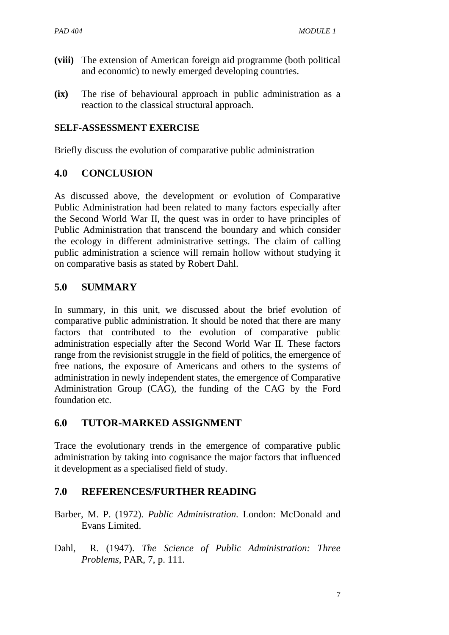- **(viii)** The extension of American foreign aid programme (both political and economic) to newly emerged developing countries.
- **(ix)** The rise of behavioural approach in public administration as a reaction to the classical structural approach.

#### **SELF-ASSESSMENT EXERCISE**

Briefly discuss the evolution of comparative public administration

#### **4.0 CONCLUSION**

As discussed above, the development or evolution of Comparative Public Administration had been related to many factors especially after the Second World War II, the quest was in order to have principles of Public Administration that transcend the boundary and which consider the ecology in different administrative settings. The claim of calling public administration a science will remain hollow without studying it on comparative basis as stated by Robert Dahl.

#### **5.0 SUMMARY**

In summary, in this unit, we discussed about the brief evolution of comparative public administration. It should be noted that there are many factors that contributed to the evolution of comparative public administration especially after the Second World War II. These factors range from the revisionist struggle in the field of politics, the emergence of free nations, the exposure of Americans and others to the systems of administration in newly independent states, the emergence of Comparative Administration Group (CAG), the funding of the CAG by the Ford foundation etc.

#### **6.0 TUTOR-MARKED ASSIGNMENT**

Trace the evolutionary trends in the emergence of comparative public administration by taking into cognisance the major factors that influenced it development as a specialised field of study.

#### **7.0 REFERENCES/FURTHER READING**

- Barber, M. P. (1972). *Public Administration.* London: McDonald and Evans Limited.
- Dahl, R. (1947). *The Science of Public Administration: Three Problems,* PAR, 7, p. 111.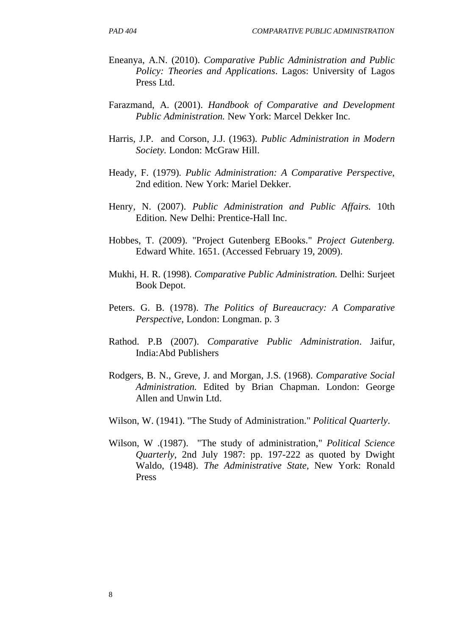- Eneanya, A.N. (2010). *Comparative Public Administration and Public Policy: Theories and Applications*. Lagos: University of Lagos Press Ltd.
- Farazmand, A. (2001). *Handbook of Comparative and Development Public Administration.* New York: Marcel Dekker Inc.
- Harris, J.P. and Corson, J.J. (1963). *Public Administration in Modern Society.* London: McGraw Hill.
- Heady, F. (1979). *Public Administration: A Comparative Perspective*, 2nd edition. New York: Mariel Dekker.
- Henry, N. (2007). *Public Administration and Public Affairs.* 10th Edition. New Delhi: Prentice-Hall Inc.
- Hobbes, T. (2009). "Project Gutenberg EBooks." *Project Gutenberg.* Edward White. 1651. (Accessed February 19, 2009).
- Mukhi, H. R. (1998). *Comparative Public Administration.* Delhi: Surjeet Book Depot.
- Peters. G. B. (1978). *The Politics of Bureaucracy: A Comparative Perspective*, London: Longman. p. 3
- Rathod. P.B (2007). *Comparative Public Administration*. Jaifur, India:Abd Publishers
- Rodgers, B. N., Greve, J. and Morgan, J.S. (1968). *Comparative Social Administration.* Edited by Brian Chapman. London: George Allen and Unwin Ltd.
- Wilson, W. (1941). "The Study of Administration." *Political Quarterly*.
- Wilson, W .(1987). "The study of administration," *Political Science Quarterly*, 2nd July 1987: pp. 197-222 as quoted by Dwight Waldo, (1948). *The Administrative State,* New York: Ronald Press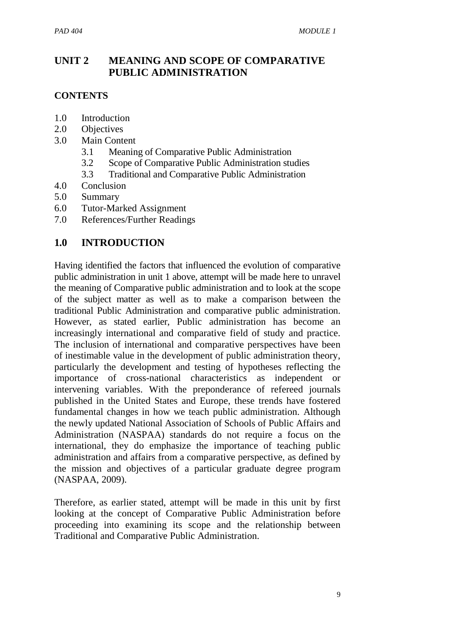## **UNIT 2 MEANING AND SCOPE OF COMPARATIVE PUBLIC ADMINISTRATION**

#### **CONTENTS**

- 1.0 Introduction
- 2.0 Objectives
- 3.0 Main Content
	- 3.1 Meaning of Comparative Public Administration
	- 3.2 Scope of Comparative Public Administration studies
	- 3.3 Traditional and Comparative Public Administration
- 4.0 Conclusion
- 5.0 Summary
- 6.0 Tutor-Marked Assignment
- 7.0 References/Further Readings

#### **1.0 INTRODUCTION**

Having identified the factors that influenced the evolution of comparative public administration in unit 1 above, attempt will be made here to unravel the meaning of Comparative public administration and to look at the scope of the subject matter as well as to make a comparison between the traditional Public Administration and comparative public administration. However, as stated earlier, Public administration has become an increasingly international and comparative field of study and practice. The inclusion of international and comparative perspectives have been of inestimable value in the development of public administration theory, particularly the development and testing of hypotheses reflecting the importance of cross-national characteristics as independent or intervening variables. With the preponderance of refereed journals published in the United States and Europe, these trends have fostered fundamental changes in how we teach public administration. Although the newly updated National Association of Schools of Public Affairs and Administration (NASPAA) standards do not require a focus on the international, they do emphasize the importance of teaching public administration and affairs from a comparative perspective, as defined by the mission and objectives of a particular graduate degree program (NASPAA, 2009).

Therefore, as earlier stated, attempt will be made in this unit by first looking at the concept of Comparative Public Administration before proceeding into examining its scope and the relationship between Traditional and Comparative Public Administration.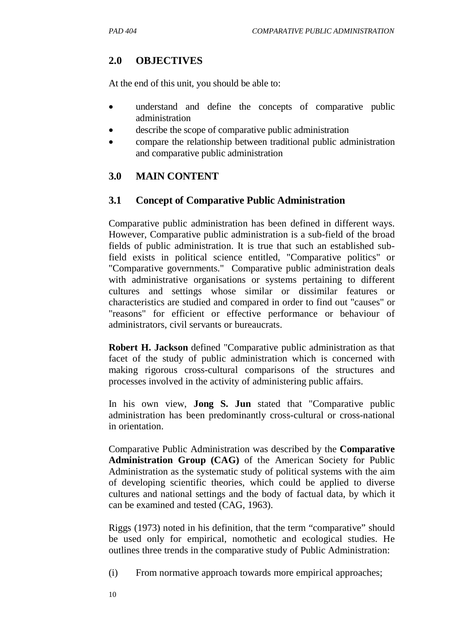# **2.0 OBJECTIVES**

At the end of this unit, you should be able to:

- understand and define the concepts of comparative public administration
- describe the scope of comparative public administration
- compare the relationship between traditional public administration and comparative public administration

# **3.0 MAIN CONTENT**

# **3.1 Concept of Comparative Public Administration**

Comparative public administration has been defined in different ways. However, Comparative public administration is a sub-field of the broad fields of public administration. It is true that such an established subfield exists in political science entitled, "Comparative politics" or "Comparative governments." Comparative public administration deals with administrative organisations or systems pertaining to different cultures and settings whose similar or dissimilar features or characteristics are studied and compared in order to find out "causes" or "reasons" for efficient or effective performance or behaviour of administrators, civil servants or bureaucrats.

**Robert H. Jackson** defined "Comparative public administration as that facet of the study of public administration which is concerned with making rigorous cross-cultural comparisons of the structures and processes involved in the activity of administering public affairs.

In his own view, **Jong S. Jun** stated that "Comparative public administration has been predominantly cross-cultural or cross-national in orientation.

Comparative Public Administration was described by the **Comparative Administration Group (CAG)** of the American Society for Public Administration as the systematic study of political systems with the aim of developing scientific theories, which could be applied to diverse cultures and national settings and the body of factual data, by which it can be examined and tested (CAG, 1963).

Riggs (1973) noted in his definition, that the term "comparative" should be used only for empirical, nomothetic and ecological studies. He outlines three trends in the comparative study of Public Administration:

(i) From normative approach towards more empirical approaches;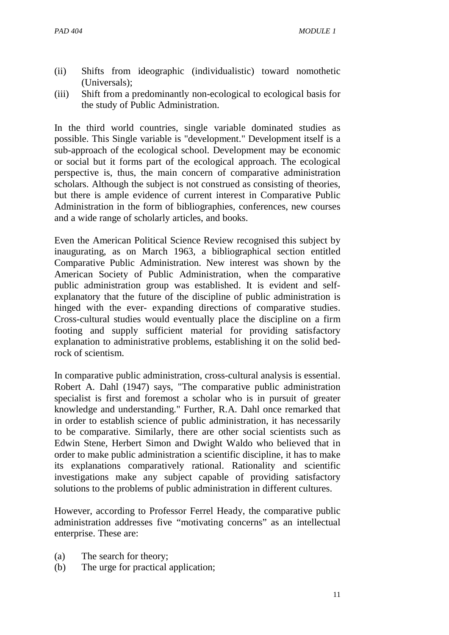*PAD 404 MODULE 1* 

- (ii) Shifts from ideographic (individualistic) toward nomothetic (Universals);
- (iii) Shift from a predominantly non-ecological to ecological basis for the study of Public Administration.

In the third world countries, single variable dominated studies as possible. This Single variable is "development." Development itself is a sub-approach of the ecological school. Development may be economic or social but it forms part of the ecological approach. The ecological perspective is, thus, the main concern of comparative administration scholars. Although the subject is not construed as consisting of theories, but there is ample evidence of current interest in Comparative Public Administration in the form of bibliographies, conferences, new courses and a wide range of scholarly articles, and books.

Even the American Political Science Review recognised this subject by inaugurating, as on March 1963, a bibliographical section entitled Comparative Public Administration. New interest was shown by the American Society of Public Administration, when the comparative public administration group was established. It is evident and selfexplanatory that the future of the discipline of public administration is hinged with the ever- expanding directions of comparative studies. Cross-cultural studies would eventually place the discipline on a firm footing and supply sufficient material for providing satisfactory explanation to administrative problems, establishing it on the solid bedrock of scientism.

In comparative public administration, cross-cultural analysis is essential. Robert A. Dahl (1947) says, "The comparative public administration specialist is first and foremost a scholar who is in pursuit of greater knowledge and understanding." Further, R.A. Dahl once remarked that in order to establish science of public administration, it has necessarily to be comparative. Similarly, there are other social scientists such as Edwin Stene, Herbert Simon and Dwight Waldo who believed that in order to make public administration a scientific discipline, it has to make its explanations comparatively rational. Rationality and scientific investigations make any subject capable of providing satisfactory solutions to the problems of public administration in different cultures.

However, according to Professor Ferrel Heady, the comparative public administration addresses five "motivating concerns" as an intellectual enterprise. These are:

- (a) The search for theory;
- (b) The urge for practical application;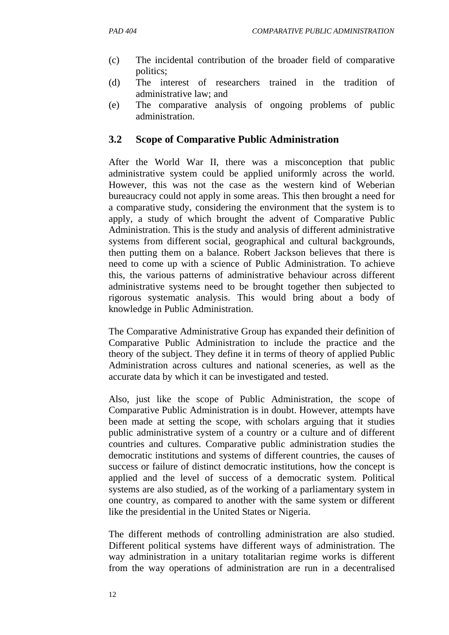- (c) The incidental contribution of the broader field of comparative politics;
- (d) The interest of researchers trained in the tradition of administrative law; and
- (e) The comparative analysis of ongoing problems of public administration.

#### **3.2 Scope of Comparative Public Administration**

After the World War II, there was a misconception that public administrative system could be applied uniformly across the world. However, this was not the case as the western kind of Weberian bureaucracy could not apply in some areas. This then brought a need for a comparative study, considering the environment that the system is to apply, a study of which brought the advent of Comparative Public Administration. This is the study and analysis of different administrative systems from different social, geographical and cultural backgrounds, then putting them on a balance. Robert Jackson believes that there is need to come up with a science of Public Administration. To achieve this, the various patterns of administrative behaviour across different administrative systems need to be brought together then subjected to rigorous systematic analysis. This would bring about a body of knowledge in Public Administration.

The Comparative Administrative Group has expanded their definition of Comparative Public Administration to include the practice and the theory of the subject. They define it in terms of theory of applied Public Administration across cultures and national sceneries, as well as the accurate data by which it can be investigated and tested.

Also, just like the scope of Public Administration, the scope of Comparative Public Administration is in doubt. However, attempts have been made at setting the scope, with scholars arguing that it studies public administrative system of a country or a culture and of different countries and cultures. Comparative public administration studies the democratic institutions and systems of different countries, the causes of success or failure of distinct democratic institutions, how the concept is applied and the level of success of a democratic system. Political systems are also studied, as of the working of a parliamentary system in one country, as compared to another with the same system or different like the presidential in the United States or Nigeria.

The different methods of controlling administration are also studied. Different political systems have different ways of administration. The way administration in a unitary totalitarian regime works is different from the way operations of administration are run in a decentralised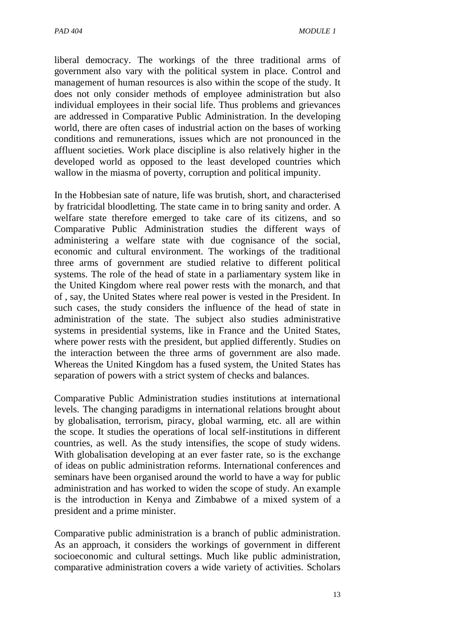liberal democracy. The workings of the three traditional arms of government also vary with the political system in place. Control and management of human resources is also within the scope of the study. It does not only consider methods of employee administration but also individual employees in their social life. Thus problems and grievances are addressed in Comparative Public Administration. In the developing world, there are often cases of industrial action on the bases of working conditions and remunerations, issues which are not pronounced in the affluent societies. Work place discipline is also relatively higher in the developed world as opposed to the least developed countries which wallow in the miasma of poverty, corruption and political impunity.

In the Hobbesian sate of nature, life was brutish, short, and characterised by fratricidal bloodletting. The state came in to bring sanity and order. A welfare state therefore emerged to take care of its citizens, and so Comparative Public Administration studies the different ways of administering a welfare state with due cognisance of the social, economic and cultural environment. The workings of the traditional three arms of government are studied relative to different political systems. The role of the head of state in a parliamentary system like in the United Kingdom where real power rests with the monarch, and that of , say, the United States where real power is vested in the President. In such cases, the study considers the influence of the head of state in administration of the state. The subject also studies administrative systems in presidential systems, like in France and the United States, where power rests with the president, but applied differently. Studies on the interaction between the three arms of government are also made. Whereas the United Kingdom has a fused system, the United States has separation of powers with a strict system of checks and balances.

Comparative Public Administration studies institutions at international levels. The changing paradigms in international relations brought about by globalisation, terrorism, piracy, global warming, etc. all are within the scope. It studies the operations of local self-institutions in different countries, as well. As the study intensifies, the scope of study widens. With globalisation developing at an ever faster rate, so is the exchange of ideas on public administration reforms. International conferences and seminars have been organised around the world to have a way for public administration and has worked to widen the scope of study. An example is the introduction in Kenya and Zimbabwe of a mixed system of a president and a prime minister.

Comparative public administration is a branch of public administration. As an approach, it considers the workings of government in different socioeconomic and cultural settings. Much like public administration, comparative administration covers a wide variety of activities. Scholars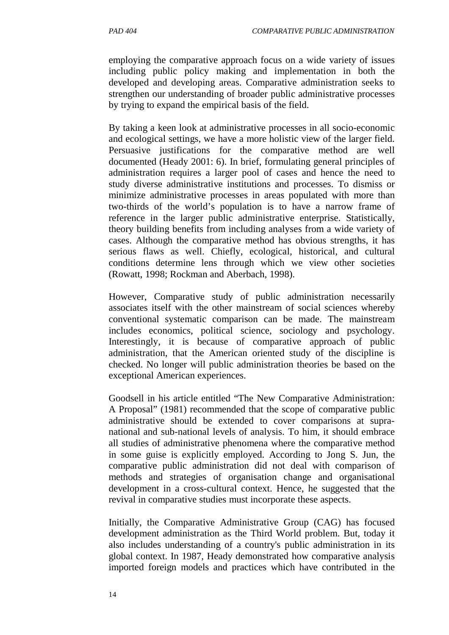employing the comparative approach focus on a wide variety of issues including public policy making and implementation in both the developed and developing areas. Comparative administration seeks to strengthen our understanding of broader public administrative processes by trying to expand the empirical basis of the field.

By taking a keen look at administrative processes in all socio-economic and ecological settings, we have a more holistic view of the larger field. Persuasive justifications for the comparative method are well documented (Heady 2001: 6). In brief, formulating general principles of administration requires a larger pool of cases and hence the need to study diverse administrative institutions and processes. To dismiss or minimize administrative processes in areas populated with more than two-thirds of the world's population is to have a narrow frame of reference in the larger public administrative enterprise. Statistically, theory building benefits from including analyses from a wide variety of cases. Although the comparative method has obvious strengths, it has serious flaws as well. Chiefly, ecological, historical, and cultural conditions determine lens through which we view other societies (Rowatt, 1998; Rockman and Aberbach, 1998).

However, Comparative study of public administration necessarily associates itself with the other mainstream of social sciences whereby conventional systematic comparison can be made. The mainstream includes economics, political science, sociology and psychology. Interestingly, it is because of comparative approach of public administration, that the American oriented study of the discipline is checked. No longer will public administration theories be based on the exceptional American experiences.

Goodsell in his article entitled "The New Comparative Administration: A Proposal" (1981) recommended that the scope of comparative public administrative should be extended to cover comparisons at supranational and sub-national levels of analysis. To him, it should embrace all studies of administrative phenomena where the comparative method in some guise is explicitly employed. According to Jong S. Jun, the comparative public administration did not deal with comparison of methods and strategies of organisation change and organisational development in a cross-cultural context. Hence, he suggested that the revival in comparative studies must incorporate these aspects.

Initially, the Comparative Administrative Group (CAG) has focused development administration as the Third World problem. But, today it also includes understanding of a country's public administration in its global context. In 1987, Heady demonstrated how comparative analysis imported foreign models and practices which have contributed in the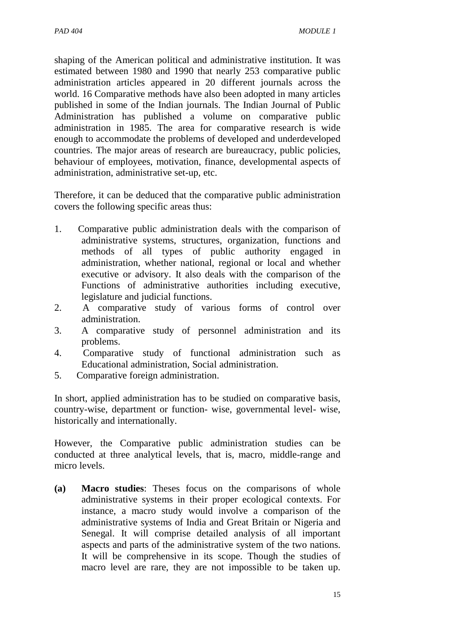shaping of the American political and administrative institution. It was estimated between 1980 and 1990 that nearly 253 comparative public administration articles appeared in 20 different journals across the world. 16 Comparative methods have also been adopted in many articles published in some of the Indian journals. The Indian Journal of Public Administration has published a volume on comparative public administration in 1985. The area for comparative research is wide enough to accommodate the problems of developed and underdeveloped countries. The major areas of research are bureaucracy, public policies, behaviour of employees, motivation, finance, developmental aspects of administration, administrative set-up, etc.

Therefore, it can be deduced that the comparative public administration covers the following specific areas thus:

- 1. Comparative public administration deals with the comparison of administrative systems, structures, organization, functions and methods of all types of public authority engaged in administration, whether national, regional or local and whether executive or advisory. It also deals with the comparison of the Functions of administrative authorities including executive, legislature and judicial functions.
- 2. A comparative study of various forms of control over administration.
- 3. A comparative study of personnel administration and its problems.
- 4. Comparative study of functional administration such as Educational administration, Social administration.
- 5. Comparative foreign administration.

In short, applied administration has to be studied on comparative basis, country-wise, department or function- wise, governmental level- wise, historically and internationally.

However, the Comparative public administration studies can be conducted at three analytical levels, that is, macro, middle-range and micro levels.

**(a) Macro studies**: Theses focus on the comparisons of whole administrative systems in their proper ecological contexts. For instance, a macro study would involve a comparison of the administrative systems of India and Great Britain or Nigeria and Senegal. It will comprise detailed analysis of all important aspects and parts of the administrative system of the two nations. It will be comprehensive in its scope. Though the studies of macro level are rare, they are not impossible to be taken up.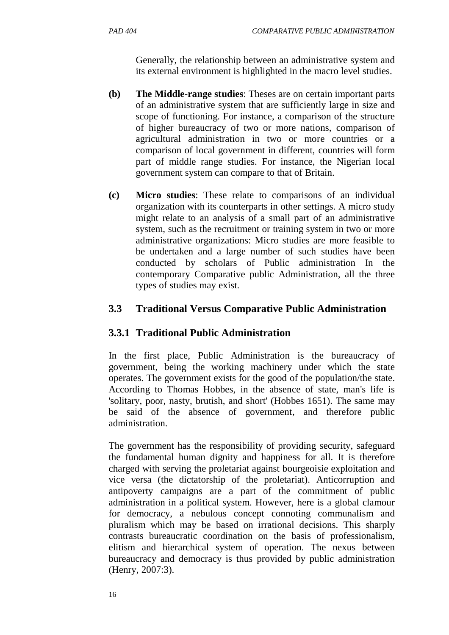Generally, the relationship between an administrative system and its external environment is highlighted in the macro level studies.

- **(b) The Middle-range studies**: Theses are on certain important parts of an administrative system that are sufficiently large in size and scope of functioning. For instance, a comparison of the structure of higher bureaucracy of two or more nations, comparison of agricultural administration in two or more countries or a comparison of local government in different, countries will form part of middle range studies. For instance, the Nigerian local government system can compare to that of Britain.
- **(c) Micro studies**: These relate to comparisons of an individual organization with its counterparts in other settings. A micro study might relate to an analysis of a small part of an administrative system, such as the recruitment or training system in two or more administrative organizations: Micro studies are more feasible to be undertaken and a large number of such studies have been conducted by scholars of Public administration In the contemporary Comparative public Administration, all the three types of studies may exist.

## **3.3 Traditional Versus Comparative Public Administration**

## **3.3.1 Traditional Public Administration**

In the first place, Public Administration is the bureaucracy of government, being the working machinery under which the state operates. The government exists for the good of the population/the state. According to Thomas Hobbes, in the absence of state, man's life is 'solitary, poor, nasty, brutish, and short' (Hobbes 1651). The same may be said of the absence of government, and therefore public administration.

The government has the responsibility of providing security, safeguard the fundamental human dignity and happiness for all. It is therefore charged with serving the proletariat against bourgeoisie exploitation and vice versa (the dictatorship of the proletariat). Anticorruption and antipoverty campaigns are a part of the commitment of public administration in a political system. However, here is a global clamour for democracy, a nebulous concept connoting communalism and pluralism which may be based on irrational decisions. This sharply contrasts bureaucratic coordination on the basis of professionalism, elitism and hierarchical system of operation. The nexus between bureaucracy and democracy is thus provided by public administration (Henry, 2007:3).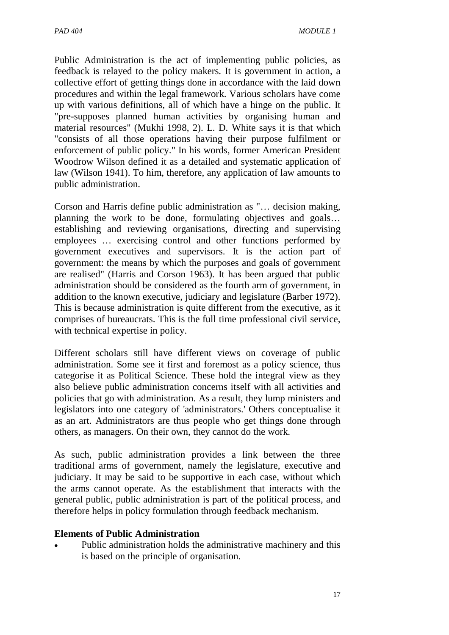Public Administration is the act of implementing public policies, as feedback is relayed to the policy makers. It is government in action, a collective effort of getting things done in accordance with the laid down procedures and within the legal framework. Various scholars have come up with various definitions, all of which have a hinge on the public. It "pre-supposes planned human activities by organising human and material resources" (Mukhi 1998, 2). L. D. White says it is that which "consists of all those operations having their purpose fulfilment or enforcement of public policy." In his words, former American President Woodrow Wilson defined it as a detailed and systematic application of law (Wilson 1941). To him, therefore, any application of law amounts to public administration.

Corson and Harris define public administration as "… decision making, planning the work to be done, formulating objectives and goals… establishing and reviewing organisations, directing and supervising employees … exercising control and other functions performed by government executives and supervisors. It is the action part of government: the means by which the purposes and goals of government are realised" (Harris and Corson 1963). It has been argued that public administration should be considered as the fourth arm of government, in addition to the known executive, judiciary and legislature (Barber 1972). This is because administration is quite different from the executive, as it comprises of bureaucrats. This is the full time professional civil service, with technical expertise in policy.

Different scholars still have different views on coverage of public administration. Some see it first and foremost as a policy science, thus categorise it as Political Science. These hold the integral view as they also believe public administration concerns itself with all activities and policies that go with administration. As a result, they lump ministers and legislators into one category of 'administrators.' Others conceptualise it as an art. Administrators are thus people who get things done through others, as managers. On their own, they cannot do the work.

As such, public administration provides a link between the three traditional arms of government, namely the legislature, executive and judiciary. It may be said to be supportive in each case, without which the arms cannot operate. As the establishment that interacts with the general public, public administration is part of the political process, and therefore helps in policy formulation through feedback mechanism.

#### **Elements of Public Administration**

• Public administration holds the administrative machinery and this is based on the principle of organisation.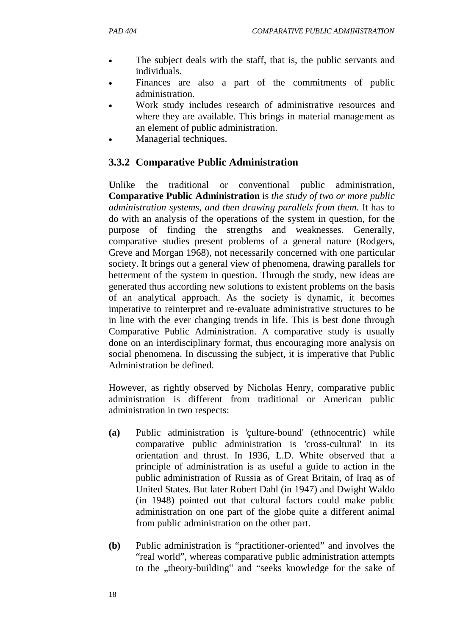- The subject deals with the staff, that is, the public servants and individuals.
- Finances are also a part of the commitments of public administration.
- Work study includes research of administrative resources and where they are available. This brings in material management as an element of public administration.
- Managerial techniques.

## **3.3.2 Comparative Public Administration**

Unlike the traditional or conventional public administration, **Comparative Public Administration** is *the study of two or more public administration systems, and then drawing parallels from them.* It has to do with an analysis of the operations of the system in question, for the purpose of finding the strengths and weaknesses. Generally, comparative studies present problems of a general nature (Rodgers, Greve and Morgan 1968), not necessarily concerned with one particular society. It brings out a general view of phenomena, drawing parallels for betterment of the system in question. Through the study, new ideas are generated thus according new solutions to existent problems on the basis of an analytical approach. As the society is dynamic, it becomes imperative to reinterpret and re-evaluate administrative structures to be in line with the ever changing trends in life. This is best done through Comparative Public Administration. A comparative study is usually done on an interdisciplinary format, thus encouraging more analysis on social phenomena. In discussing the subject, it is imperative that Public Administration be defined.

However, as rightly observed by Nicholas Henry, comparative public administration is different from traditional or American public administration in two respects:

- **(a)** Public administration is 'çulture-bound' (ethnocentric) while comparative public administration is 'cross-cultural' in its orientation and thrust. In 1936, L.D. White observed that a principle of administration is as useful a guide to action in the public administration of Russia as of Great Britain, of Iraq as of United States. But later Robert Dahl (in 1947) and Dwight Waldo (in 1948) pointed out that cultural factors could make public administration on one part of the globe quite a different animal from public administration on the other part.
- **(b)** Public administration is "practitioner-oriented" and involves the "real world", whereas comparative public administration attempts to the "theory-building" and "seeks knowledge for the sake of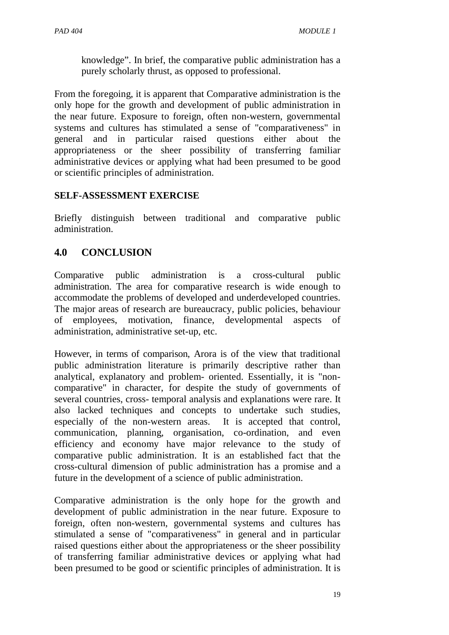knowledge". In brief, the comparative public administration has a purely scholarly thrust, as opposed to professional.

From the foregoing, it is apparent that Comparative administration is the only hope for the growth and development of public administration in the near future. Exposure to foreign, often non-western, governmental systems and cultures has stimulated a sense of "comparativeness" in general and in particular raised questions either about the appropriateness or the sheer possibility of transferring familiar administrative devices or applying what had been presumed to be good or scientific principles of administration.

#### **SELF-ASSESSMENT EXERCISE**

Briefly distinguish between traditional and comparative public administration.

## **4.0 CONCLUSION**

Comparative public administration is a cross-cultural public administration. The area for comparative research is wide enough to accommodate the problems of developed and underdeveloped countries. The major areas of research are bureaucracy, public policies, behaviour of employees, motivation, finance, developmental aspects of administration, administrative set-up, etc.

However, in terms of comparison, Arora is of the view that traditional public administration literature is primarily descriptive rather than analytical, explanatory and problem- oriented. Essentially, it is "noncomparative" in character, for despite the study of governments of several countries, cross- temporal analysis and explanations were rare. It also lacked techniques and concepts to undertake such studies, especially of the non-western areas. It is accepted that control, communication, planning, organisation, co-ordination, and even efficiency and economy have major relevance to the study of comparative public administration. It is an established fact that the cross-cultural dimension of public administration has a promise and a future in the development of a science of public administration.

Comparative administration is the only hope for the growth and development of public administration in the near future. Exposure to foreign, often non-western, governmental systems and cultures has stimulated a sense of "comparativeness" in general and in particular raised questions either about the appropriateness or the sheer possibility of transferring familiar administrative devices or applying what had been presumed to be good or scientific principles of administration. It is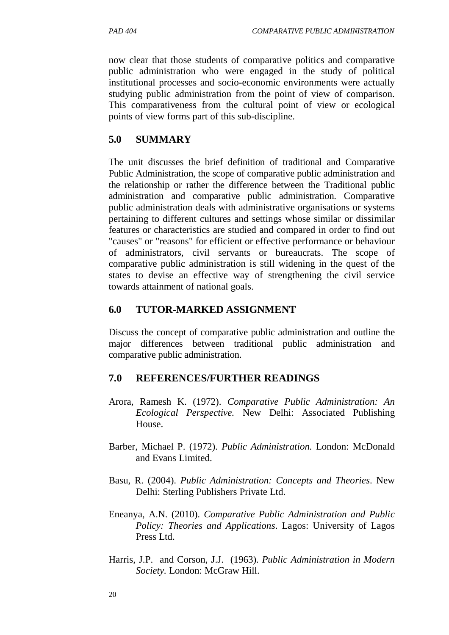now clear that those students of comparative politics and comparative public administration who were engaged in the study of political institutional processes and socio-economic environments were actually studying public administration from the point of view of comparison. This comparativeness from the cultural point of view or ecological points of view forms part of this sub-discipline.

## **5.0 SUMMARY**

The unit discusses the brief definition of traditional and Comparative Public Administration, the scope of comparative public administration and the relationship or rather the difference between the Traditional public administration and comparative public administration. Comparative public administration deals with administrative organisations or systems pertaining to different cultures and settings whose similar or dissimilar features or characteristics are studied and compared in order to find out "causes" or "reasons" for efficient or effective performance or behaviour of administrators, civil servants or bureaucrats. The scope of comparative public administration is still widening in the quest of the states to devise an effective way of strengthening the civil service towards attainment of national goals.

## **6.0 TUTOR-MARKED ASSIGNMENT**

Discuss the concept of comparative public administration and outline the major differences between traditional public administration and comparative public administration.

## **7.0 REFERENCES/FURTHER READINGS**

- Arora, Ramesh K. (1972). *Comparative Public Administration: An Ecological Perspective.* New Delhi: Associated Publishing House.
- Barber, Michael P. (1972). *Public Administration.* London: McDonald and Evans Limited.
- Basu, R. (2004). *Public Administration: Concepts and Theories*. New Delhi: Sterling Publishers Private Ltd.
- Eneanya, A.N. (2010). *Comparative Public Administration and Public Policy: Theories and Applications*. Lagos: University of Lagos Press Ltd.
- Harris, J.P. and Corson, J.J. (1963). *Public Administration in Modern Society.* London: McGraw Hill.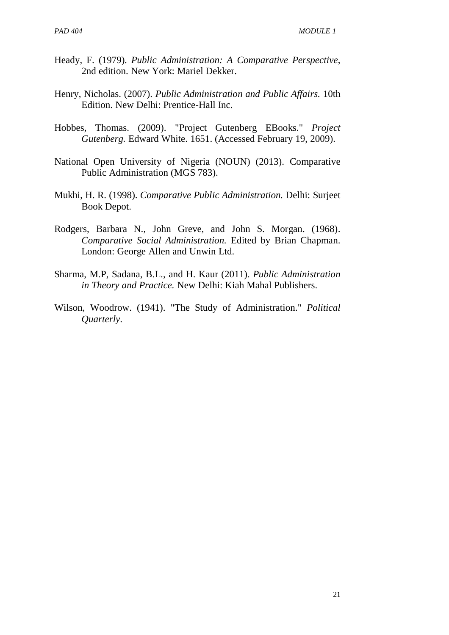- Heady, F. (1979). *Public Administration: A Comparative Perspective*, 2nd edition. New York: Mariel Dekker.
- Henry, Nicholas. (2007). *Public Administration and Public Affairs.* 10th Edition. New Delhi: Prentice-Hall Inc.
- Hobbes, Thomas. (2009). "Project Gutenberg EBooks." *Project Gutenberg.* Edward White. 1651. (Accessed February 19, 2009).
- National Open University of Nigeria (NOUN) (2013). Comparative Public Administration (MGS 783).
- Mukhi, H. R. (1998). *Comparative Public Administration.* Delhi: Surjeet Book Depot.
- Rodgers, Barbara N., John Greve, and John S. Morgan. (1968). *Comparative Social Administration.* Edited by Brian Chapman. London: George Allen and Unwin Ltd.
- Sharma, M.P, Sadana, B.L., and H. Kaur (2011). *Public Administration in Theory and Practice.* New Delhi: Kiah Mahal Publishers.
- Wilson, Woodrow. (1941). "The Study of Administration." *Political Quarterly*.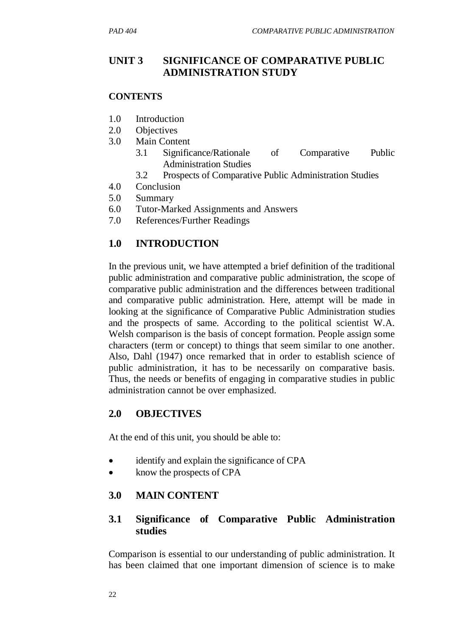## **UNIT 3 SIGNIFICANCE OF COMPARATIVE PUBLIC ADMINISTRATION STUDY**

### **CONTENTS**

- 1.0 Introduction
- 2.0 Objectives
- 3.0 Main Content
	- 3.1 Significance/Rationale of Comparative Public Administration Studies
	- 3.2 Prospects of Comparative Public Administration Studies
- 4.0 Conclusion
- 5.0 Summary
- 6.0 Tutor-Marked Assignments and Answers
- 7.0 References/Further Readings

# **1.0 INTRODUCTION**

In the previous unit, we have attempted a brief definition of the traditional public administration and comparative public administration, the scope of comparative public administration and the differences between traditional and comparative public administration. Here, attempt will be made in looking at the significance of Comparative Public Administration studies and the prospects of same. According to the political scientist W.A. Welsh comparison is the basis of concept formation. People assign some characters (term or concept) to things that seem similar to one another. Also, Dahl (1947) once remarked that in order to establish science of public administration, it has to be necessarily on comparative basis. Thus, the needs or benefits of engaging in comparative studies in public administration cannot be over emphasized.

## **2.0 OBJECTIVES**

At the end of this unit, you should be able to:

- identify and explain the significance of CPA
- know the prospects of CPA

## **3.0 MAIN CONTENT**

## **3.1 Significance of Comparative Public Administration studies**

Comparison is essential to our understanding of public administration. It has been claimed that one important dimension of science is to make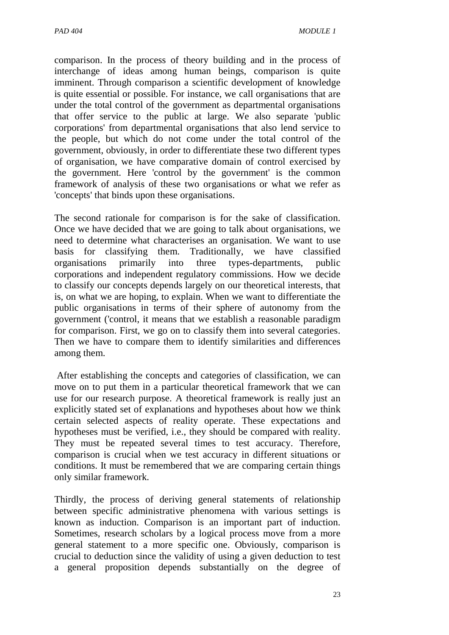comparison. In the process of theory building and in the process of interchange of ideas among human beings, comparison is quite imminent. Through comparison a scientific development of knowledge is quite essential or possible. For instance, we call organisations that are under the total control of the government as departmental organisations that offer service to the public at large. We also separate 'public corporations' from departmental organisations that also lend service to the people, but which do not come under the total control of the government, obviously, in order to differentiate these two different types of organisation, we have comparative domain of control exercised by the government. Here 'control by the government' is the common framework of analysis of these two organisations or what we refer as 'concepts' that binds upon these organisations.

The second rationale for comparison is for the sake of classification. Once we have decided that we are going to talk about organisations, we need to determine what characterises an organisation. We want to use basis for classifying them. Traditionally, we have classified organisations primarily into three types-departments, public corporations and independent regulatory commissions. How we decide to classify our concepts depends largely on our theoretical interests, that is, on what we are hoping, to explain. When we want to differentiate the public organisations in terms of their sphere of autonomy from the government ('control, it means that we establish a reasonable paradigm for comparison. First, we go on to classify them into several categories. Then we have to compare them to identify similarities and differences among them.

 After establishing the concepts and categories of classification, we can move on to put them in a particular theoretical framework that we can use for our research purpose. A theoretical framework is really just an explicitly stated set of explanations and hypotheses about how we think certain selected aspects of reality operate. These expectations and hypotheses must be verified, i.e., they should be compared with reality. They must be repeated several times to test accuracy. Therefore, comparison is crucial when we test accuracy in different situations or conditions. It must be remembered that we are comparing certain things only similar framework.

Thirdly, the process of deriving general statements of relationship between specific administrative phenomena with various settings is known as induction. Comparison is an important part of induction. Sometimes, research scholars by a logical process move from a more general statement to a more specific one. Obviously, comparison is crucial to deduction since the validity of using a given deduction to test a general proposition depends substantially on the degree of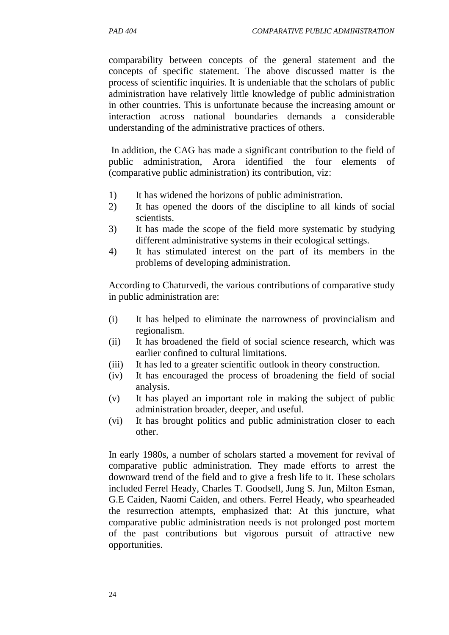comparability between concepts of the general statement and the concepts of specific statement. The above discussed matter is the process of scientific inquiries. It is undeniable that the scholars of public administration have relatively little knowledge of public administration in other countries. This is unfortunate because the increasing amount or interaction across national boundaries demands a considerable understanding of the administrative practices of others.

In addition, the CAG has made a significant contribution to the field of public administration, Arora identified the four elements of (comparative public administration) its contribution, viz:

- 1) It has widened the horizons of public administration.
- 2) It has opened the doors of the discipline to all kinds of social scientists.
- 3) It has made the scope of the field more systematic by studying different administrative systems in their ecological settings.
- 4) It has stimulated interest on the part of its members in the problems of developing administration.

According to Chaturvedi, the various contributions of comparative study in public administration are:

- (i) It has helped to eliminate the narrowness of provincialism and regionalism.
- (ii) It has broadened the field of social science research, which was earlier confined to cultural limitations.
- (iii) It has led to a greater scientific outlook in theory construction.
- (iv) It has encouraged the process of broadening the field of social analysis.
- (v) It has played an important role in making the subject of public administration broader, deeper, and useful.
- (vi) It has brought politics and public administration closer to each other.

In early 1980s, a number of scholars started a movement for revival of comparative public administration. They made efforts to arrest the downward trend of the field and to give a fresh life to it. These scholars included Ferrel Heady, Charles T. Goodsell, Jung S. Jun, Milton Esman, G.E Caiden, Naomi Caiden, and others. Ferrel Heady, who spearheaded the resurrection attempts, emphasized that: At this juncture, what comparative public administration needs is not prolonged post mortem of the past contributions but vigorous pursuit of attractive new opportunities.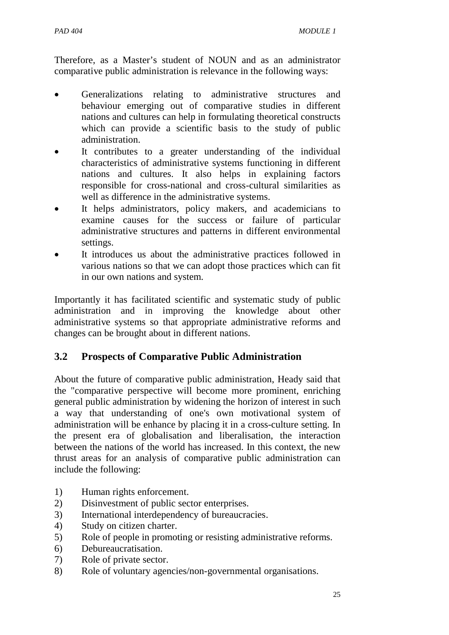Therefore, as a Master's student of NOUN and as an administrator comparative public administration is relevance in the following ways:

- Generalizations relating to administrative structures and behaviour emerging out of comparative studies in different nations and cultures can help in formulating theoretical constructs which can provide a scientific basis to the study of public administration.
- It contributes to a greater understanding of the individual characteristics of administrative systems functioning in different nations and cultures. It also helps in explaining factors responsible for cross-national and cross-cultural similarities as well as difference in the administrative systems.
- It helps administrators, policy makers, and academicians to examine causes for the success or failure of particular administrative structures and patterns in different environmental settings.
- It introduces us about the administrative practices followed in various nations so that we can adopt those practices which can fit in our own nations and system.

Importantly it has facilitated scientific and systematic study of public administration and in improving the knowledge about other administrative systems so that appropriate administrative reforms and changes can be brought about in different nations.

# **3.2 Prospects of Comparative Public Administration**

About the future of comparative public administration, Heady said that the "comparative perspective will become more prominent, enriching general public administration by widening the horizon of interest in such a way that understanding of one's own motivational system of administration will be enhance by placing it in a cross-culture setting. In the present era of globalisation and liberalisation, the interaction between the nations of the world has increased. In this context, the new thrust areas for an analysis of comparative public administration can include the following:

- 1) Human rights enforcement.
- 2) Disinvestment of public sector enterprises.
- 3) International interdependency of bureaucracies.
- 4) Study on citizen charter.
- 5) Role of people in promoting or resisting administrative reforms.
- 6) Debureaucratisation.
- 7) Role of private sector.
- 8) Role of voluntary agencies/non-governmental organisations.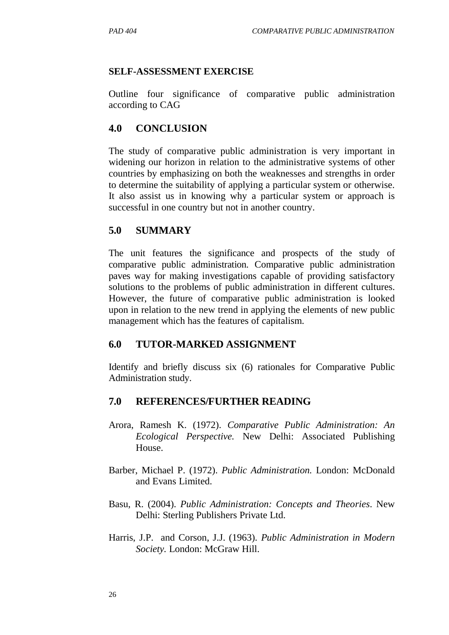#### **SELF-ASSESSMENT EXERCISE**

Outline four significance of comparative public administration according to CAG

#### **4.0 CONCLUSION**

The study of comparative public administration is very important in widening our horizon in relation to the administrative systems of other countries by emphasizing on both the weaknesses and strengths in order to determine the suitability of applying a particular system or otherwise. It also assist us in knowing why a particular system or approach is successful in one country but not in another country.

### **5.0 SUMMARY**

The unit features the significance and prospects of the study of comparative public administration. Comparative public administration paves way for making investigations capable of providing satisfactory solutions to the problems of public administration in different cultures. However, the future of comparative public administration is looked upon in relation to the new trend in applying the elements of new public management which has the features of capitalism.

### **6.0 TUTOR-MARKED ASSIGNMENT**

Identify and briefly discuss six (6) rationales for Comparative Public Administration study.

### **7.0 REFERENCES/FURTHER READING**

- Arora, Ramesh K. (1972). *Comparative Public Administration: An Ecological Perspective.* New Delhi: Associated Publishing House.
- Barber, Michael P. (1972). *Public Administration.* London: McDonald and Evans Limited.
- Basu, R. (2004). *Public Administration: Concepts and Theories*. New Delhi: Sterling Publishers Private Ltd.
- Harris, J.P. and Corson, J.J. (1963). *Public Administration in Modern Society.* London: McGraw Hill.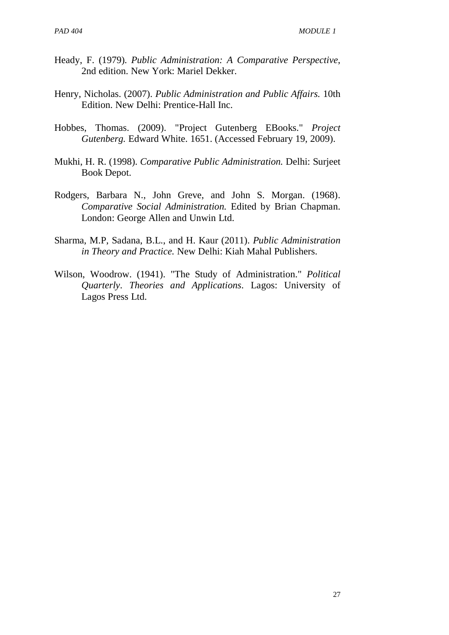- Heady, F. (1979). *Public Administration: A Comparative Perspective*, 2nd edition. New York: Mariel Dekker.
- Henry, Nicholas. (2007). *Public Administration and Public Affairs.* 10th Edition. New Delhi: Prentice-Hall Inc.
- Hobbes, Thomas. (2009). "Project Gutenberg EBooks." *Project Gutenberg.* Edward White. 1651. (Accessed February 19, 2009).
- Mukhi, H. R. (1998). *Comparative Public Administration.* Delhi: Surjeet Book Depot.
- Rodgers, Barbara N., John Greve, and John S. Morgan. (1968). *Comparative Social Administration.* Edited by Brian Chapman. London: George Allen and Unwin Ltd.
- Sharma, M.P, Sadana, B.L., and H. Kaur (2011). *Public Administration in Theory and Practice.* New Delhi: Kiah Mahal Publishers.
- Wilson, Woodrow. (1941). "The Study of Administration." *Political Quarterly*. *Theories and Applications*. Lagos: University of Lagos Press Ltd.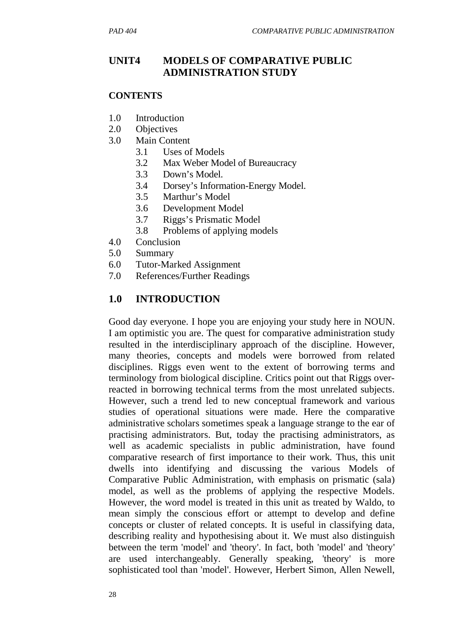### **UNIT4 MODELS OF COMPARATIVE PUBLIC ADMINISTRATION STUDY**

#### **CONTENTS**

- 1.0 Introduction
- 2.0 Objectives
- 3.0 Main Content
	- 3.1 Uses of Models
	- 3.2 Max Weber Model of Bureaucracy
	- 3.3 Down's Model.
	- 3.4 Dorsey's Information-Energy Model.
	- 3.5 Marthur's Model
	- 3.6 Development Model
	- 3.7 Riggs's Prismatic Model
	- 3.8 Problems of applying models
- 4.0 Conclusion
- 5.0 Summary
- 6.0 Tutor-Marked Assignment
- 7.0 References/Further Readings

### **1.0 INTRODUCTION**

Good day everyone. I hope you are enjoying your study here in NOUN. I am optimistic you are. The quest for comparative administration study resulted in the interdisciplinary approach of the discipline. However, many theories, concepts and models were borrowed from related disciplines. Riggs even went to the extent of borrowing terms and terminology from biological discipline. Critics point out that Riggs overreacted in borrowing technical terms from the most unrelated subjects. However, such a trend led to new conceptual framework and various studies of operational situations were made. Here the comparative administrative scholars sometimes speak a language strange to the ear of practising administrators. But, today the practising administrators, as well as academic specialists in public administration, have found comparative research of first importance to their work. Thus, this unit dwells into identifying and discussing the various Models of Comparative Public Administration, with emphasis on prismatic (sala) model, as well as the problems of applying the respective Models. However, the word model is treated in this unit as treated by Waldo, to mean simply the conscious effort or attempt to develop and define concepts or cluster of related concepts. It is useful in classifying data, describing reality and hypothesising about it. We must also distinguish between the term 'model' and 'theory'. In fact, both 'model' and 'theory' are used interchangeably. Generally speaking, 'theory' is more sophisticated tool than 'model'. However, Herbert Simon, Allen Newell,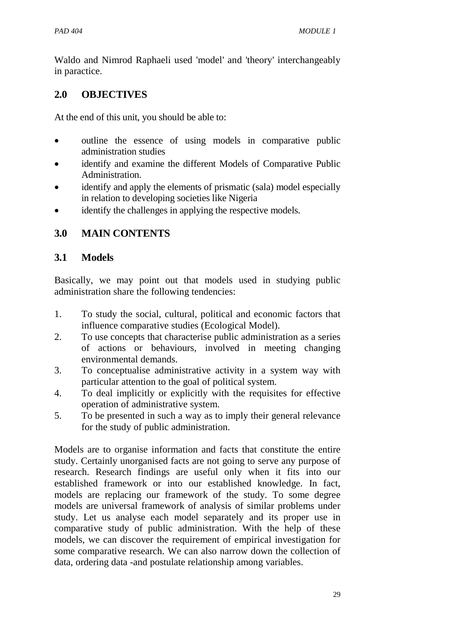Waldo and Nimrod Raphaeli used 'model' and 'theory' interchangeably in paractice.

# **2.0 OBJECTIVES**

At the end of this unit, you should be able to:

- outline the essence of using models in comparative public administration studies
- identify and examine the different Models of Comparative Public Administration.
- identify and apply the elements of prismatic (sala) model especially in relation to developing societies like Nigeria
- identify the challenges in applying the respective models.

# **3.0 MAIN CONTENTS**

## **3.1 Models**

Basically, we may point out that models used in studying public administration share the following tendencies:

- 1. To study the social, cultural, political and economic factors that influence comparative studies (Ecological Model).
- 2. To use concepts that characterise public administration as a series of actions or behaviours, involved in meeting changing environmental demands.
- 3. To conceptualise administrative activity in a system way with particular attention to the goal of political system.
- 4. To deal implicitly or explicitly with the requisites for effective operation of administrative system.
- 5. To be presented in such a way as to imply their general relevance for the study of public administration.

Models are to organise information and facts that constitute the entire study. Certainly unorganised facts are not going to serve any purpose of research. Research findings are useful only when it fits into our established framework or into our established knowledge. In fact, models are replacing our framework of the study. To some degree models are universal framework of analysis of similar problems under study. Let us analyse each model separately and its proper use in comparative study of public administration. With the help of these models, we can discover the requirement of empirical investigation for some comparative research. We can also narrow down the collection of data, ordering data -and postulate relationship among variables.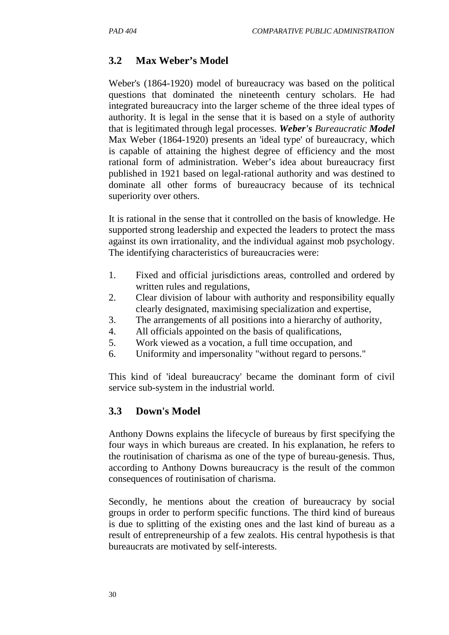# **3.2 Max Weber's Model**

Weber's (1864-1920) model of bureaucracy was based on the political questions that dominated the nineteenth century scholars. He had integrated bureaucracy into the larger scheme of the three ideal types of authority. It is legal in the sense that it is based on a style of authority that is legitimated through legal processes. *Weber's Bureaucratic Model*  Max Weber (1864-1920) presents an 'ideal type' of bureaucracy, which is capable of attaining the highest degree of efficiency and the most rational form of administration. Weber's idea about bureaucracy first published in 1921 based on legal-rational authority and was destined to dominate all other forms of bureaucracy because of its technical superiority over others.

It is rational in the sense that it controlled on the basis of knowledge. He supported strong leadership and expected the leaders to protect the mass against its own irrationality, and the individual against mob psychology. The identifying characteristics of bureaucracies were:

- 1. Fixed and official jurisdictions areas, controlled and ordered by written rules and regulations,
- 2. Clear division of labour with authority and responsibility equally clearly designated, maximising specialization and expertise,
- 3. The arrangements of all positions into a hierarchy of authority,
- 4. All officials appointed on the basis of qualifications,
- 5. Work viewed as a vocation, a full time occupation, and
- 6. Uniformity and impersonality "without regard to persons."

This kind of 'ideal bureaucracy' became the dominant form of civil service sub-system in the industrial world.

# **3.3 Down's Model**

Anthony Downs explains the lifecycle of bureaus by first specifying the four ways in which bureaus are created. In his explanation, he refers to the routinisation of charisma as one of the type of bureau-genesis. Thus, according to Anthony Downs bureaucracy is the result of the common consequences of routinisation of charisma.

Secondly, he mentions about the creation of bureaucracy by social groups in order to perform specific functions. The third kind of bureaus is due to splitting of the existing ones and the last kind of bureau as a result of entrepreneurship of a few zealots. His central hypothesis is that bureaucrats are motivated by self-interests.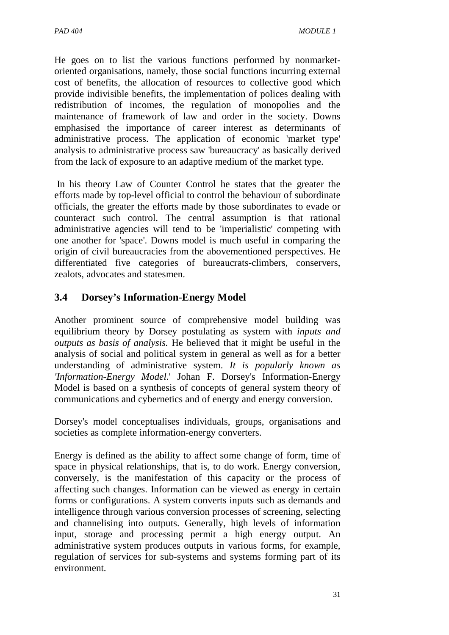He goes on to list the various functions performed by nonmarketoriented organisations, namely, those social functions incurring external cost of benefits, the allocation of resources to collective good which provide indivisible benefits, the implementation of polices dealing with redistribution of incomes, the regulation of monopolies and the maintenance of framework of law and order in the society. Downs emphasised the importance of career interest as determinants of administrative process. The application of economic 'market type' analysis to administrative process saw 'bureaucracy' as basically derived from the lack of exposure to an adaptive medium of the market type.

 In his theory Law of Counter Control he states that the greater the efforts made by top-level official to control the behaviour of subordinate officials, the greater the efforts made by those subordinates to evade or counteract such control. The central assumption is that rational administrative agencies will tend to be 'imperialistic' competing with one another for 'space'. Downs model is much useful in comparing the origin of civil bureaucracies from the abovementioned perspectives. He differentiated five categories of bureaucrats-climbers, conservers, zealots, advocates and statesmen.

# **3.4 Dorsey's Information-Energy Model**

Another prominent source of comprehensive model building was equilibrium theory by Dorsey postulating as system with *inputs and outputs as basis of analysis.* He believed that it might be useful in the analysis of social and political system in general as well as for a better understanding of administrative system. *It is popularly known as 'Information-Energy Model*.' Johan F. Dorsey's Information-Energy Model is based on a synthesis of concepts of general system theory of communications and cybernetics and of energy and energy conversion.

Dorsey's model conceptualises individuals, groups, organisations and societies as complete information-energy converters.

Energy is defined as the ability to affect some change of form, time of space in physical relationships, that is, to do work. Energy conversion, conversely, is the manifestation of this capacity or the process of affecting such changes. Information can be viewed as energy in certain forms or configurations. A system converts inputs such as demands and intelligence through various conversion processes of screening, selecting and channelising into outputs. Generally, high levels of information input, storage and processing permit a high energy output. An administrative system produces outputs in various forms, for example, regulation of services for sub-systems and systems forming part of its environment.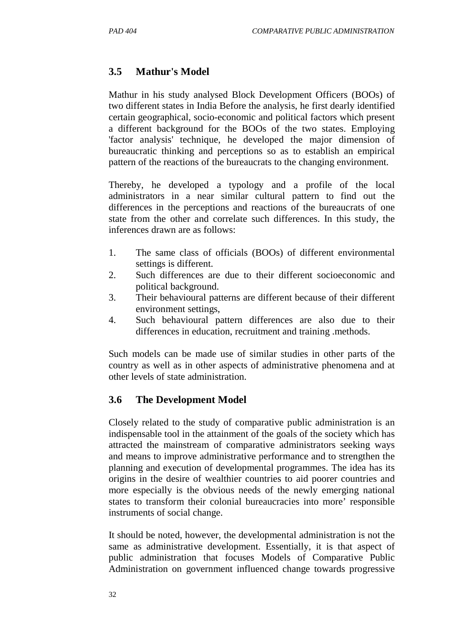# **3.5 Mathur's Model**

Mathur in his study analysed Block Development Officers (BOOs) of two different states in India Before the analysis, he first dearly identified certain geographical, socio-economic and political factors which present a different background for the BOOs of the two states. Employing 'factor analysis' technique, he developed the major dimension of bureaucratic thinking and perceptions so as to establish an empirical pattern of the reactions of the bureaucrats to the changing environment.

Thereby, he developed a typology and a profile of the local administrators in a near similar cultural pattern to find out the differences in the perceptions and reactions of the bureaucrats of one state from the other and correlate such differences. In this study, the inferences drawn are as follows:

- 1. The same class of officials (BOOs) of different environmental settings is different.
- 2. Such differences are due to their different socioeconomic and political background.
- 3. Their behavioural patterns are different because of their different environment settings,
- 4. Such behavioural pattern differences are also due to their differences in education, recruitment and training .methods.

Such models can be made use of similar studies in other parts of the country as well as in other aspects of administrative phenomena and at other levels of state administration.

# **3.6 The Development Model**

Closely related to the study of comparative public administration is an indispensable tool in the attainment of the goals of the society which has attracted the mainstream of comparative administrators seeking ways and means to improve administrative performance and to strengthen the planning and execution of developmental programmes. The idea has its origins in the desire of wealthier countries to aid poorer countries and more especially is the obvious needs of the newly emerging national states to transform their colonial bureaucracies into more' responsible instruments of social change.

It should be noted, however, the developmental administration is not the same as administrative development. Essentially, it is that aspect of public administration that focuses Models of Comparative Public Administration on government influenced change towards progressive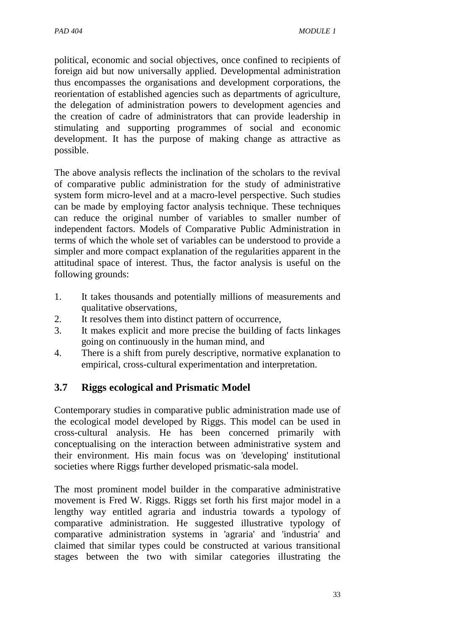political, economic and social objectives, once confined to recipients of foreign aid but now universally applied. Developmental administration thus encompasses the organisations and development corporations, the reorientation of established agencies such as departments of agriculture, the delegation of administration powers to development agencies and the creation of cadre of administrators that can provide leadership in stimulating and supporting programmes of social and economic development. It has the purpose of making change as attractive as possible.

The above analysis reflects the inclination of the scholars to the revival of comparative public administration for the study of administrative system form micro-level and at a macro-level perspective. Such studies can be made by employing factor analysis technique. These techniques can reduce the original number of variables to smaller number of independent factors. Models of Comparative Public Administration in terms of which the whole set of variables can be understood to provide a simpler and more compact explanation of the regularities apparent in the attitudinal space of interest. Thus, the factor analysis is useful on the following grounds:

- 1. It takes thousands and potentially millions of measurements and qualitative observations,
- 2. It resolves them into distinct pattern of occurrence,
- 3. It makes explicit and more precise the building of facts linkages going on continuously in the human mind, and
- 4. There is a shift from purely descriptive, normative explanation to empirical, cross-cultural experimentation and interpretation.

# **3.7 Riggs ecological and Prismatic Model**

Contemporary studies in comparative public administration made use of the ecological model developed by Riggs. This model can be used in cross-cultural analysis. He has been concerned primarily with conceptualising on the interaction between administrative system and their environment. His main focus was on 'developing' institutional societies where Riggs further developed prismatic-sala model.

The most prominent model builder in the comparative administrative movement is Fred W. Riggs. Riggs set forth his first major model in a lengthy way entitled agraria and industria towards a typology of comparative administration. He suggested illustrative typology of comparative administration systems in 'agraria' and 'industria' and claimed that similar types could be constructed at various transitional stages between the two with similar categories illustrating the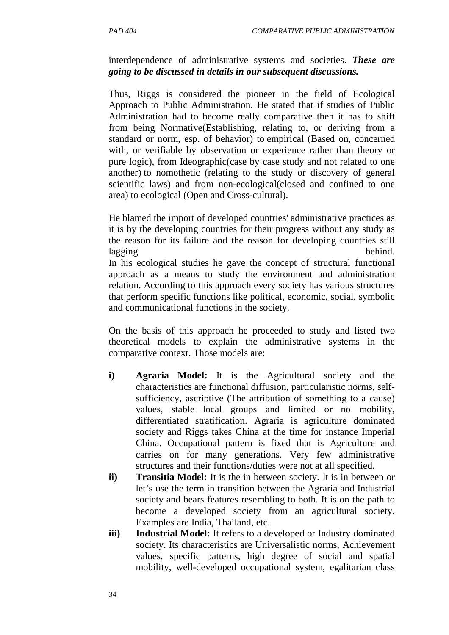interdependence of administrative systems and societies. *These are going to be discussed in details in our subsequent discussions.* 

Thus, Riggs is considered the pioneer in the field of Ecological Approach to Public Administration. He stated that if studies of Public Administration had to become really comparative then it has to shift from being Normative(Establishing, relating to, or deriving from a standard or norm, esp. of behavior) to empirical (Based on, concerned with, or verifiable by observation or experience rather than theory or pure logic), from Ideographic(case by case study and not related to one another) to nomothetic (relating to the study or discovery of general scientific laws) and from non-ecological(closed and confined to one area) to ecological (Open and Cross-cultural).

He blamed the import of developed countries' administrative practices as it is by the developing countries for their progress without any study as the reason for its failure and the reason for developing countries still lagging behind. In his ecological studies he gave the concept of structural functional approach as a means to study the environment and administration relation. According to this approach every society has various structures that perform specific functions like political, economic, social, symbolic and communicational functions in the society.

On the basis of this approach he proceeded to study and listed two theoretical models to explain the administrative systems in the comparative context. Those models are:

- **i) Agraria Model:** It is the Agricultural society and the characteristics are functional diffusion, particularistic norms, selfsufficiency, ascriptive (The attribution of something to a cause) values, stable local groups and limited or no mobility, differentiated stratification. Agraria is agriculture dominated society and Riggs takes China at the time for instance Imperial China. Occupational pattern is fixed that is Agriculture and carries on for many generations. Very few administrative structures and their functions/duties were not at all specified.
- **ii) Transitia Model:** It is the in between society. It is in between or let's use the term in transition between the Agraria and Industrial society and bears features resembling to both. It is on the path to become a developed society from an agricultural society. Examples are India, Thailand, etc.
- **iii)** Industrial Model: It refers to a developed or Industry dominated society. Its characteristics are Universalistic norms, Achievement values, specific patterns, high degree of social and spatial mobility, well-developed occupational system, egalitarian class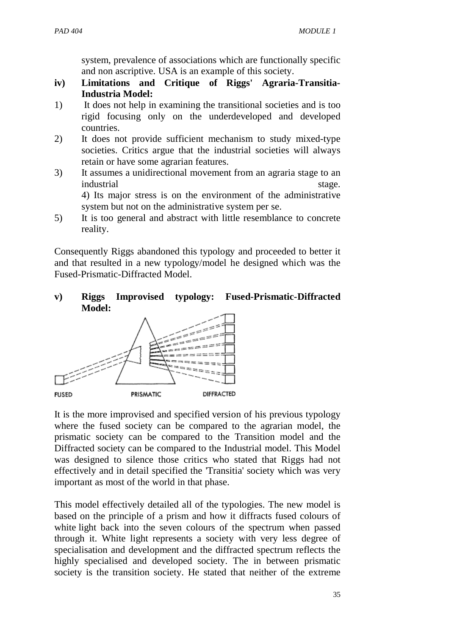system, prevalence of associations which are functionally specific and non ascriptive. USA is an example of this society.

- **iv) Limitations and Critique of Riggs' Agraria-Transitia-Industria Model:**
- 1) It does not help in examining the transitional societies and is too rigid focusing only on the underdeveloped and developed countries.
- 2) It does not provide sufficient mechanism to study mixed-type societies. Critics argue that the industrial societies will always retain or have some agrarian features.
- 3) It assumes a unidirectional movement from an agraria stage to an industrial stage.

4) Its major stress is on the environment of the administrative system but not on the administrative system per se.

5) It is too general and abstract with little resemblance to concrete reality.

Consequently Riggs abandoned this typology and proceeded to better it and that resulted in a new typology/model he designed which was the Fused-Prismatic-Diffracted Model.

### **v) Riggs Improvised typology: Fused-Prismatic-Diffracted Model:**



It is the more improvised and specified version of his previous typology where the fused society can be compared to the agrarian model, the prismatic society can be compared to the Transition model and the Diffracted society can be compared to the Industrial model. This Model was designed to silence those critics who stated that Riggs had not effectively and in detail specified the 'Transitia' society which was very important as most of the world in that phase.

This model effectively detailed all of the typologies. The new model is based on the principle of a prism and how it diffracts fused colours of white light back into the seven colours of the spectrum when passed through it. White light represents a society with very less degree of specialisation and development and the diffracted spectrum reflects the highly specialised and developed society. The in between prismatic society is the transition society. He stated that neither of the extreme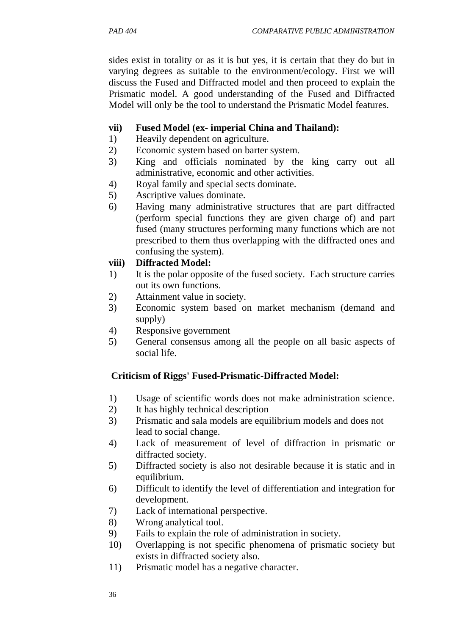sides exist in totality or as it is but yes, it is certain that they do but in varying degrees as suitable to the environment/ecology. First we will discuss the Fused and Diffracted model and then proceed to explain the Prismatic model. A good understanding of the Fused and Diffracted Model will only be the tool to understand the Prismatic Model features.

### **vii) Fused Model (ex- imperial China and Thailand):**

- 1) Heavily dependent on agriculture.
- 2) Economic system based on barter system.
- 3) King and officials nominated by the king carry out all administrative, economic and other activities.
- 4) Royal family and special sects dominate.
- 5) Ascriptive values dominate.
- 6) Having many administrative structures that are part diffracted (perform special functions they are given charge of) and part fused (many structures performing many functions which are not prescribed to them thus overlapping with the diffracted ones and confusing the system).

### **viii) Diffracted Model:**

- 1) It is the polar opposite of the fused society. Each structure carries out its own functions.
- 2) Attainment value in society.
- 3) Economic system based on market mechanism (demand and supply)
- 4) Responsive government
- 5) General consensus among all the people on all basic aspects of social life.

## **Criticism of Riggs' Fused-Prismatic-Diffracted Model:**

- 1) Usage of scientific words does not make administration science.
- 2) It has highly technical description
- 3) Prismatic and sala models are equilibrium models and does not lead to social change.
- 4) Lack of measurement of level of diffraction in prismatic or diffracted society.
- 5) Diffracted society is also not desirable because it is static and in equilibrium.
- 6) Difficult to identify the level of differentiation and integration for development.
- 7) Lack of international perspective.
- 8) Wrong analytical tool.
- 9) Fails to explain the role of administration in society.
- 10) Overlapping is not specific phenomena of prismatic society but exists in diffracted society also.
- 11) Prismatic model has a negative character.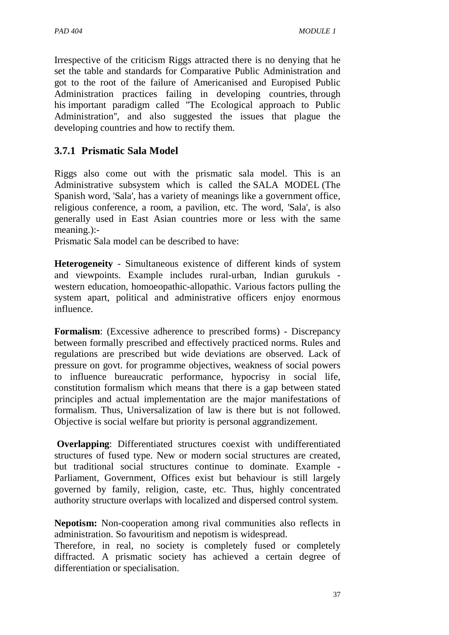Irrespective of the criticism Riggs attracted there is no denying that he set the table and standards for Comparative Public Administration and got to the root of the failure of Americanised and Europised Public Administration practices failing in developing countries, through his important paradigm called ''The Ecological approach to Public Administration'', and also suggested the issues that plague the developing countries and how to rectify them.

# **3.7.1 Prismatic Sala Model**

Riggs also come out with the prismatic sala model. This is an Administrative subsystem which is called the SALA MODEL (The Spanish word, 'Sala', has a variety of meanings like a government office, religious conference, a room, a pavilion, etc. The word, 'Sala', is also generally used in East Asian countries more or less with the same meaning.):-

Prismatic Sala model can be described to have:

**Heterogeneity** - Simultaneous existence of different kinds of system and viewpoints. Example includes rural-urban, Indian gurukuls western education, homoeopathic-allopathic. Various factors pulling the system apart, political and administrative officers enjoy enormous influence.

**Formalism**: (Excessive adherence to prescribed forms) - Discrepancy between formally prescribed and effectively practiced norms. Rules and regulations are prescribed but wide deviations are observed. Lack of pressure on govt. for programme objectives, weakness of social powers to influence bureaucratic performance, hypocrisy in social life, constitution formalism which means that there is a gap between stated principles and actual implementation are the major manifestations of formalism. Thus, Universalization of law is there but is not followed. Objective is social welfare but priority is personal aggrandizement.

**Overlapping**: Differentiated structures coexist with undifferentiated structures of fused type. New or modern social structures are created, but traditional social structures continue to dominate. Example - Parliament, Government, Offices exist but behaviour is still largely governed by family, religion, caste, etc. Thus, highly concentrated authority structure overlaps with localized and dispersed control system.

**Nepotism:** Non-cooperation among rival communities also reflects in administration. So favouritism and nepotism is widespread.

Therefore, in real, no society is completely fused or completely diffracted. A prismatic society has achieved a certain degree of differentiation or specialisation.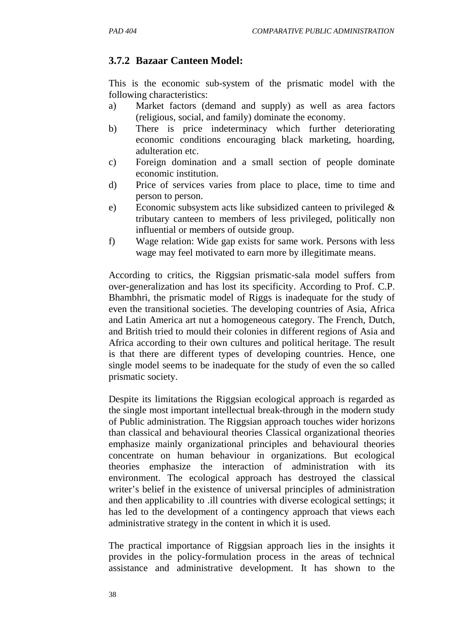# **3.7.2 Bazaar Canteen Model:**

This is the economic sub-system of the prismatic model with the following characteristics:

- a) Market factors (demand and supply) as well as area factors (religious, social, and family) dominate the economy.
- b) There is price indeterminacy which further deteriorating economic conditions encouraging black marketing, hoarding, adulteration etc.
- c) Foreign domination and a small section of people dominate economic institution.
- d) Price of services varies from place to place, time to time and person to person.
- e) Economic subsystem acts like subsidized canteen to privileged & tributary canteen to members of less privileged, politically non influential or members of outside group.
- f) Wage relation: Wide gap exists for same work. Persons with less wage may feel motivated to earn more by illegitimate means.

According to critics, the Riggsian prismatic-sala model suffers from over-generalization and has lost its specificity. According to Prof. C.P. Bhambhri, the prismatic model of Riggs is inadequate for the study of even the transitional societies. The developing countries of Asia, Africa and Latin America art nut a homogeneous category. The French, Dutch, and British tried to mould their colonies in different regions of Asia and Africa according to their own cultures and political heritage. The result is that there are different types of developing countries. Hence, one single model seems to be inadequate for the study of even the so called prismatic society.

Despite its limitations the Riggsian ecological approach is regarded as the single most important intellectual break-through in the modern study of Public administration. The Riggsian approach touches wider horizons than classical and behavioural theories Classical organizational theories emphasize mainly organizational principles and behavioural theories concentrate on human behaviour in organizations. But ecological theories emphasize the interaction of administration with its environment. The ecological approach has destroyed the classical writer's belief in the existence of universal principles of administration and then applicability to .ill countries with diverse ecological settings; it has led to the development of a contingency approach that views each administrative strategy in the content in which it is used.

The practical importance of Riggsian approach lies in the insights it provides in the policy-formulation process in the areas of technical assistance and administrative development. It has shown to the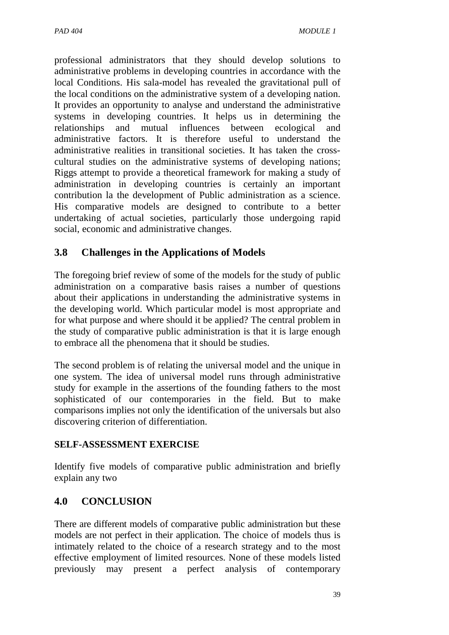professional administrators that they should develop solutions to administrative problems in developing countries in accordance with the local Conditions. His sala-model has revealed the gravitational pull of the local conditions on the administrative system of a developing nation. It provides an opportunity to analyse and understand the administrative systems in developing countries. It helps us in determining the relationships and mutual influences between ecological and administrative factors. It is therefore useful to understand the administrative realities in transitional societies. It has taken the crosscultural studies on the administrative systems of developing nations; Riggs attempt to provide a theoretical framework for making a study of administration in developing countries is certainly an important contribution la the development of Public administration as a science. His comparative models are designed to contribute to a better undertaking of actual societies, particularly those undergoing rapid social, economic and administrative changes.

## **3.8 Challenges in the Applications of Models**

The foregoing brief review of some of the models for the study of public administration on a comparative basis raises a number of questions about their applications in understanding the administrative systems in the developing world. Which particular model is most appropriate and for what purpose and where should it be applied? The central problem in the study of comparative public administration is that it is large enough to embrace all the phenomena that it should be studies.

The second problem is of relating the universal model and the unique in one system. The idea of universal model runs through administrative study for example in the assertions of the founding fathers to the most sophisticated of our contemporaries in the field. But to make comparisons implies not only the identification of the universals but also discovering criterion of differentiation.

## **SELF-ASSESSMENT EXERCISE**

Identify five models of comparative public administration and briefly explain any two

## **4.0 CONCLUSION**

There are different models of comparative public administration but these models are not perfect in their application. The choice of models thus is intimately related to the choice of a research strategy and to the most effective employment of limited resources. None of these models listed previously may present a perfect analysis of contemporary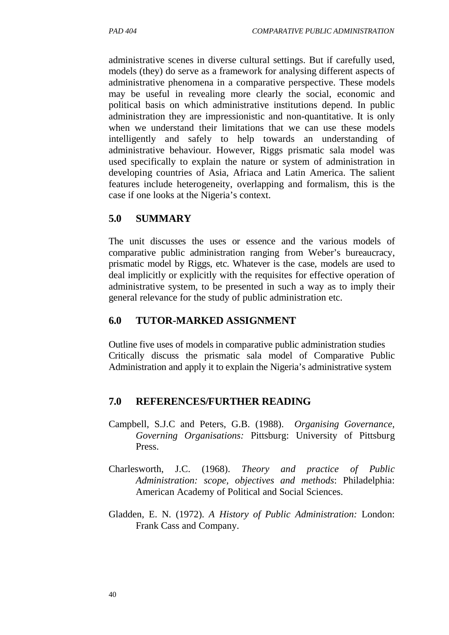administrative scenes in diverse cultural settings. But if carefully used, models (they) do serve as a framework for analysing different aspects of administrative phenomena in a comparative perspective. These models may be useful in revealing more clearly the social, economic and political basis on which administrative institutions depend. In public administration they are impressionistic and non-quantitative. It is only when we understand their limitations that we can use these models intelligently and safely to help towards an understanding of administrative behaviour. However, Riggs prismatic sala model was used specifically to explain the nature or system of administration in developing countries of Asia, Afriaca and Latin America. The salient features include heterogeneity, overlapping and formalism, this is the case if one looks at the Nigeria's context.

## **5.0 SUMMARY**

The unit discusses the uses or essence and the various models of comparative public administration ranging from Weber's bureaucracy, prismatic model by Riggs, etc. Whatever is the case, models are used to deal implicitly or explicitly with the requisites for effective operation of administrative system, to be presented in such a way as to imply their general relevance for the study of public administration etc.

### **6.0 TUTOR-MARKED ASSIGNMENT**

Outline five uses of models in comparative public administration studies Critically discuss the prismatic sala model of Comparative Public Administration and apply it to explain the Nigeria's administrative system

### **7.0 REFERENCES/FURTHER READING**

- Campbell, S.J.C and Peters, G.B. (1988). *Organising Governance, Governing Organisations:* Pittsburg: University of Pittsburg Press.
- Charlesworth, J.C. (1968). *Theory and practice of Public Administration: scope, objectives and methods*: Philadelphia: American Academy of Political and Social Sciences.
- Gladden, E. N. (1972). *A History of Public Administration:* London: Frank Cass and Company.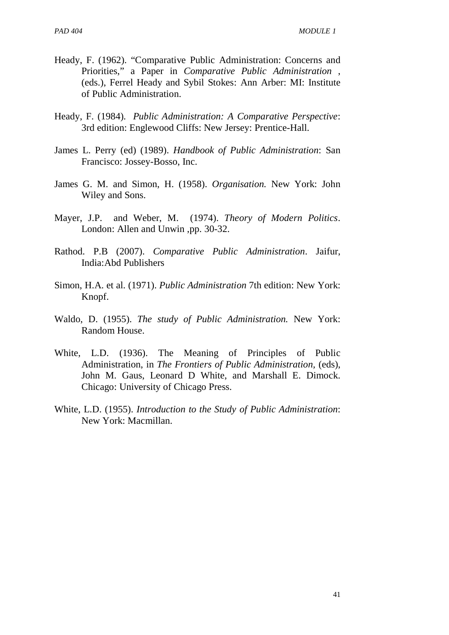- Heady, F. (1962). "Comparative Public Administration: Concerns and Priorities," a Paper in *Comparative Public Administration* , (eds.), Ferrel Heady and Sybil Stokes: Ann Arber: MI: Institute of Public Administration.
- Heady, F. (1984). *Public Administration: A Comparative Perspective*: 3rd edition: Englewood Cliffs: New Jersey: Prentice-Hall.
- James L. Perry (ed) (1989). *Handbook of Public Administration*: San Francisco: Jossey-Bosso, Inc.
- James G. M. and Simon, H. (1958). *Organisation.* New York: John Wiley and Sons.
- Mayer, J.P. and Weber, M. (1974). *Theory of Modern Politics*. London: Allen and Unwin ,pp. 30-32.
- Rathod. P.B (2007). *Comparative Public Administration*. Jaifur, India:Abd Publishers
- Simon, H.A. et al. (1971). *Public Administration* 7th edition: New York: Knopf.
- Waldo, D. (1955). *The study of Public Administration.* New York: Random House.
- White, L.D. (1936). The Meaning of Principles of Public Administration, in *The Frontiers of Public Administration,* (eds), John M. Gaus, Leonard D White, and Marshall E. Dimock. Chicago: University of Chicago Press.
- White, L.D. (1955). *Introduction to the Study of Public Administration*: New York: Macmillan.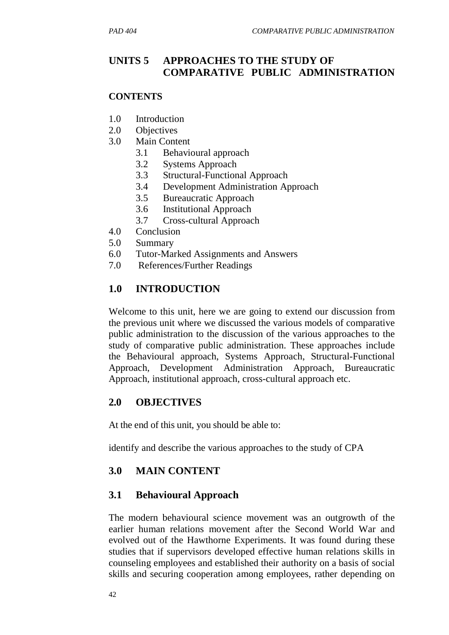## **UNITS 5 APPROACHES TO THE STUDY OF COMPARATIVE PUBLIC ADMINISTRATION**

#### **CONTENTS**

- 1.0 Introduction
- 2.0 Objectives
- 3.0 Main Content
	- 3.1 Behavioural approach
	- 3.2 Systems Approach
	- 3.3 Structural-Functional Approach
	- 3.4 Development Administration Approach
	- 3.5 Bureaucratic Approach
	- 3.6 Institutional Approach
	- 3.7 Cross-cultural Approach
- 4.0 Conclusion
- 5.0 Summary
- 6.0 Tutor-Marked Assignments and Answers
- 7.0 References/Further Readings

## **1.0 INTRODUCTION**

Welcome to this unit, here we are going to extend our discussion from the previous unit where we discussed the various models of comparative public administration to the discussion of the various approaches to the study of comparative public administration. These approaches include the Behavioural approach, Systems Approach, Structural-Functional Approach, Development Administration Approach, Bureaucratic Approach, institutional approach, cross-cultural approach etc.

### **2.0 OBJECTIVES**

At the end of this unit, you should be able to:

identify and describe the various approaches to the study of CPA

### **3.0 MAIN CONTENT**

### **3.1 Behavioural Approach**

The modern behavioural science movement was an outgrowth of the earlier human relations movement after the Second World War and evolved out of the Hawthorne Experiments. It was found during these studies that if supervisors developed effective human relations skills in counseling employees and established their authority on a basis of social skills and securing cooperation among employees, rather depending on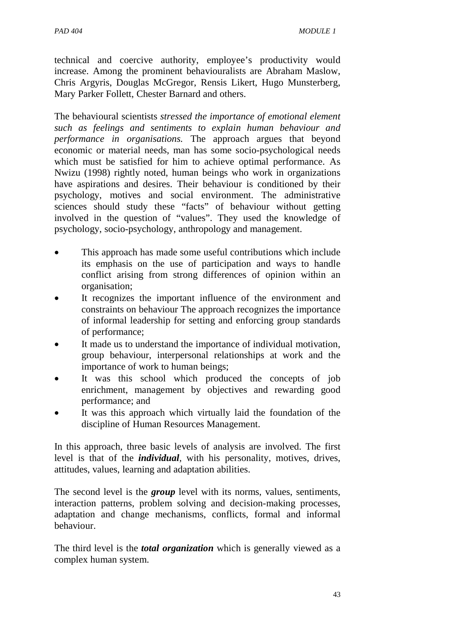technical and coercive authority, employee's productivity would increase. Among the prominent behaviouralists are Abraham Maslow, Chris Argyris, Douglas McGregor, Rensis Likert, Hugo Munsterberg, Mary Parker Follett, Chester Barnard and others.

The behavioural scientists *stressed the importance of emotional element such as feelings and sentiments to explain human behaviour and performance in organisations.* The approach argues that beyond economic or material needs, man has some socio-psychological needs which must be satisfied for him to achieve optimal performance. As Nwizu (1998) rightly noted, human beings who work in organizations have aspirations and desires. Their behaviour is conditioned by their psychology, motives and social environment. The administrative sciences should study these "facts" of behaviour without getting involved in the question of "values". They used the knowledge of psychology, socio-psychology, anthropology and management.

- This approach has made some useful contributions which include its emphasis on the use of participation and ways to handle conflict arising from strong differences of opinion within an organisation;
- It recognizes the important influence of the environment and constraints on behaviour The approach recognizes the importance of informal leadership for setting and enforcing group standards of performance;
- It made us to understand the importance of individual motivation, group behaviour, interpersonal relationships at work and the importance of work to human beings;
- It was this school which produced the concepts of job enrichment, management by objectives and rewarding good performance; and
- It was this approach which virtually laid the foundation of the discipline of Human Resources Management.

In this approach, three basic levels of analysis are involved. The first level is that of the *individual,* with his personality, motives, drives, attitudes, values, learning and adaptation abilities.

The second level is the *group* level with its norms, values, sentiments, interaction patterns, problem solving and decision-making processes, adaptation and change mechanisms, conflicts, formal and informal behaviour.

The third level is the *total organization* which is generally viewed as a complex human system.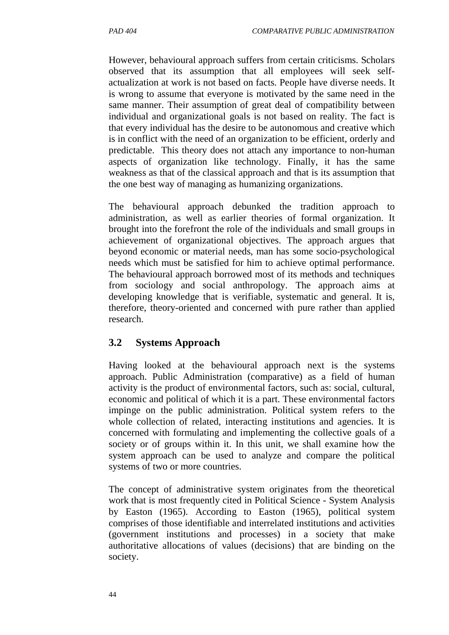However, behavioural approach suffers from certain criticisms. Scholars observed that its assumption that all employees will seek selfactualization at work is not based on facts. People have diverse needs. It is wrong to assume that everyone is motivated by the same need in the same manner. Their assumption of great deal of compatibility between individual and organizational goals is not based on reality. The fact is that every individual has the desire to be autonomous and creative which is in conflict with the need of an organization to be efficient, orderly and predictable. This theory does not attach any importance to non-human aspects of organization like technology. Finally, it has the same weakness as that of the classical approach and that is its assumption that the one best way of managing as humanizing organizations.

The behavioural approach debunked the tradition approach to administration, as well as earlier theories of formal organization. It brought into the forefront the role of the individuals and small groups in achievement of organizational objectives. The approach argues that beyond economic or material needs, man has some socio-psychological needs which must be satisfied for him to achieve optimal performance. The behavioural approach borrowed most of its methods and techniques from sociology and social anthropology. The approach aims at developing knowledge that is verifiable, systematic and general. It is, therefore, theory-oriented and concerned with pure rather than applied research.

# **3.2 Systems Approach**

Having looked at the behavioural approach next is the systems approach. Public Administration (comparative) as a field of human activity is the product of environmental factors, such as: social, cultural, economic and political of which it is a part. These environmental factors impinge on the public administration. Political system refers to the whole collection of related, interacting institutions and agencies. It is concerned with formulating and implementing the collective goals of a society or of groups within it. In this unit, we shall examine how the system approach can be used to analyze and compare the political systems of two or more countries.

The concept of administrative system originates from the theoretical work that is most frequently cited in Political Science - System Analysis by Easton (1965). According to Easton (1965), political system comprises of those identifiable and interrelated institutions and activities (government institutions and processes) in a society that make authoritative allocations of values (decisions) that are binding on the society.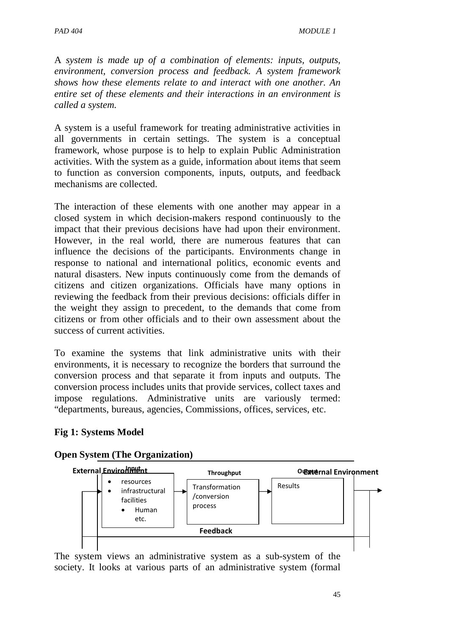A *system is made up of a combination of elements: inputs, outputs, environment, conversion process and feedback. A system framework shows how these elements relate to and interact with one another. An entire set of these elements and their interactions in an environment is called a system.* 

A system is a useful framework for treating administrative activities in all governments in certain settings. The system is a conceptual framework, whose purpose is to help to explain Public Administration activities. With the system as a guide, information about items that seem to function as conversion components, inputs, outputs, and feedback mechanisms are collected.

The interaction of these elements with one another may appear in a closed system in which decision-makers respond continuously to the impact that their previous decisions have had upon their environment. However, in the real world, there are numerous features that can influence the decisions of the participants. Environments change in response to national and international politics, economic events and natural disasters. New inputs continuously come from the demands of citizens and citizen organizations. Officials have many options in reviewing the feedback from their previous decisions: officials differ in the weight they assign to precedent, to the demands that come from citizens or from other officials and to their own assessment about the success of current activities.

To examine the systems that link administrative units with their environments, it is necessary to recognize the borders that surround the conversion process and that separate it from inputs and outputs. The conversion process includes units that provide services, collect taxes and impose regulations. Administrative units are variously termed: "departments, bureaus, agencies, Commissions, offices, services, etc.

# **Fig 1: Systems Model**

### **Open System (The Organization)**



The system views an administrative system as a sub-system of the society. It looks at various parts of an administrative system (formal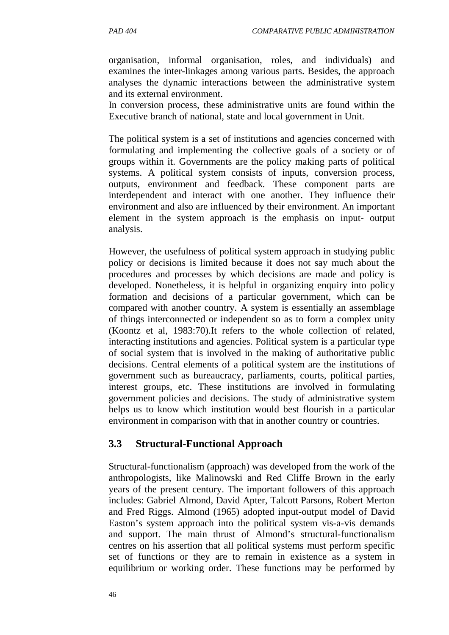organisation, informal organisation, roles, and individuals) and examines the inter-linkages among various parts. Besides, the approach analyses the dynamic interactions between the administrative system and its external environment.

In conversion process, these administrative units are found within the Executive branch of national, state and local government in Unit.

The political system is a set of institutions and agencies concerned with formulating and implementing the collective goals of a society or of groups within it. Governments are the policy making parts of political systems. A political system consists of inputs, conversion process, outputs, environment and feedback. These component parts are interdependent and interact with one another. They influence their environment and also are influenced by their environment. An important element in the system approach is the emphasis on input- output analysis.

However, the usefulness of political system approach in studying public policy or decisions is limited because it does not say much about the procedures and processes by which decisions are made and policy is developed. Nonetheless, it is helpful in organizing enquiry into policy formation and decisions of a particular government, which can be compared with another country. A system is essentially an assemblage of things interconnected or independent so as to form a complex unity (Koontz et al, 1983:70).It refers to the whole collection of related, interacting institutions and agencies. Political system is a particular type of social system that is involved in the making of authoritative public decisions. Central elements of a political system are the institutions of government such as bureaucracy, parliaments, courts, political parties, interest groups, etc. These institutions are involved in formulating government policies and decisions. The study of administrative system helps us to know which institution would best flourish in a particular environment in comparison with that in another country or countries.

## **3.3 Structural-Functional Approach**

Structural-functionalism (approach) was developed from the work of the anthropologists, like Malinowski and Red Cliffe Brown in the early years of the present century. The important followers of this approach includes: Gabriel Almond, David Apter, Talcott Parsons, Robert Merton and Fred Riggs. Almond (1965) adopted input-output model of David Easton's system approach into the political system vis-a-vis demands and support. The main thrust of Almond's structural-functionalism centres on his assertion that all political systems must perform specific set of functions or they are to remain in existence as a system in equilibrium or working order. These functions may be performed by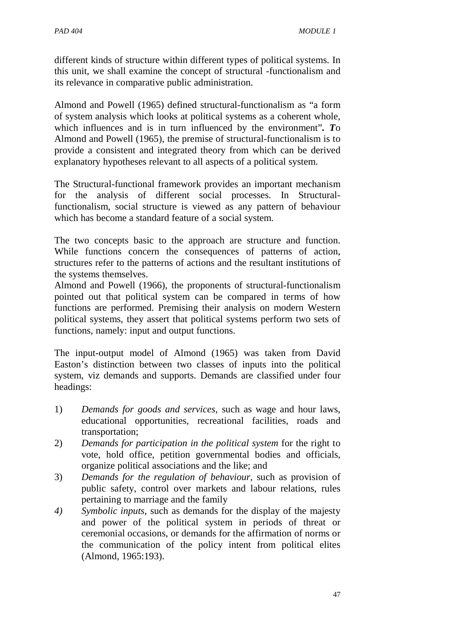different kinds of structure within different types of political systems. In this unit, we shall examine the concept of structural -functionalism and its relevance in comparative public administration.

Almond and Powell (1965) defined structural-functionalism as "a form of system analysis which looks at political systems as a coherent whole, which influences and is in turn influenced by the environment"*. T*o Almond and Powell (1965), the premise of structural-functionalism is to provide a consistent and integrated theory from which can be derived explanatory hypotheses relevant to all aspects of a political system.

The Structural-functional framework provides an important mechanism for the analysis of different social processes. In Structuralfunctionalism, social structure is viewed as any pattern of behaviour which has become a standard feature of a social system.

The two concepts basic to the approach are structure and function. While functions concern the consequences of patterns of action, structures refer to the patterns of actions and the resultant institutions of the systems themselves.

Almond and Powell (1966), the proponents of structural-functionalism pointed out that political system can be compared in terms of how functions are performed. Premising their analysis on modern Western political systems, they assert that political systems perform two sets of functions, namely: input and output functions.

The input-output model of Almond (1965) was taken from David Easton's distinction between two classes of inputs into the political system, viz demands and supports. Demands are classified under four headings:

- 1) *Demands for goods and services,* such as wage and hour laws, educational opportunities, recreational facilities, roads and transportation;
- 2) *Demands for participation in the political system* for the right to vote, hold office, petition governmental bodies and officials, organize political associations and the like; and
- 3) *Demands for the regulation of behaviour,* such as provision of public safety, control over markets and labour relations, rules pertaining to marriage and the family
- *4) Symbolic inputs*, such as demands for the display of the majesty and power of the political system in periods of threat or ceremonial occasions, or demands for the affirmation of norms or the communication of the policy intent from political elites (Almond, 1965:193).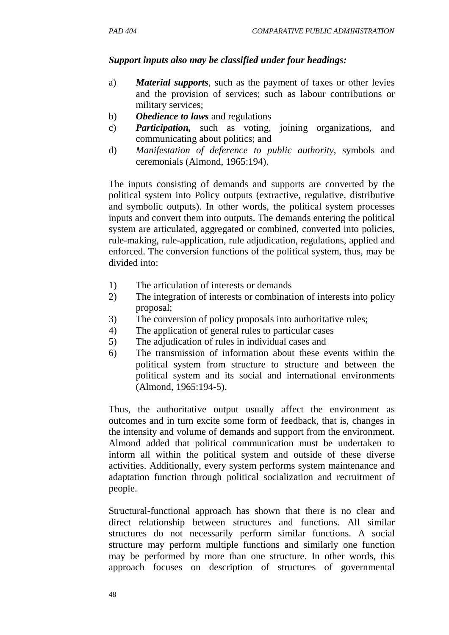### *Support inputs also may be classified under four headings:*

- a) *Material supports*, such as the payment of taxes or other levies and the provision of services; such as labour contributions or military services;
- b) *Obedience to laws* and regulations
- c) *Participation,* such as voting, joining organizations, and communicating about politics; and
- d) *Manifestation of deference to public authority*, symbols and ceremonials (Almond, 1965:194).

The inputs consisting of demands and supports are converted by the political system into Policy outputs (extractive, regulative, distributive and symbolic outputs). In other words, the political system processes inputs and convert them into outputs. The demands entering the political system are articulated, aggregated or combined, converted into policies, rule-making, rule-application, rule adjudication, regulations, applied and enforced. The conversion functions of the political system, thus, may be divided into:

- 1) The articulation of interests or demands
- 2) The integration of interests or combination of interests into policy proposal;
- 3) The conversion of policy proposals into authoritative rules;
- 4) The application of general rules to particular cases
- 5) The adjudication of rules in individual cases and
- 6) The transmission of information about these events within the political system from structure to structure and between the political system and its social and international environments (Almond, 1965:194-5).

Thus, the authoritative output usually affect the environment as outcomes and in turn excite some form of feedback, that is, changes in the intensity and volume of demands and support from the environment. Almond added that political communication must be undertaken to inform all within the political system and outside of these diverse activities. Additionally, every system performs system maintenance and adaptation function through political socialization and recruitment of people.

Structural-functional approach has shown that there is no clear and direct relationship between structures and functions. All similar structures do not necessarily perform similar functions. A social structure may perform multiple functions and similarly one function may be performed by more than one structure. In other words, this approach focuses on description of structures of governmental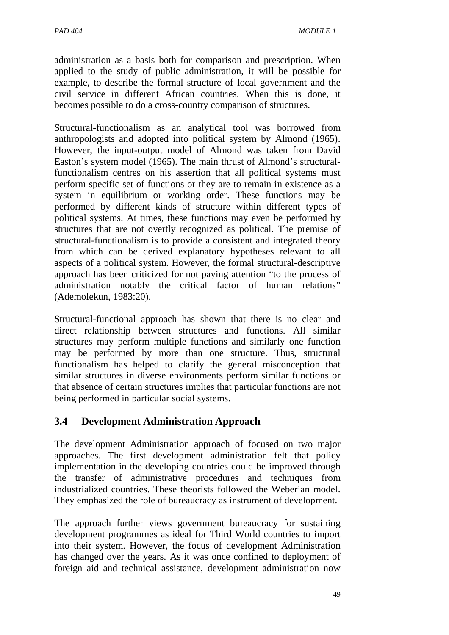administration as a basis both for comparison and prescription. When applied to the study of public administration, it will be possible for example, to describe the formal structure of local government and the civil service in different African countries. When this is done, it becomes possible to do a cross-country comparison of structures.

Structural-functionalism as an analytical tool was borrowed from anthropologists and adopted into political system by Almond (1965). However, the input-output model of Almond was taken from David Easton's system model (1965). The main thrust of Almond's structuralfunctionalism centres on his assertion that all political systems must perform specific set of functions or they are to remain in existence as a system in equilibrium or working order. These functions may be performed by different kinds of structure within different types of political systems. At times, these functions may even be performed by structures that are not overtly recognized as political. The premise of structural-functionalism is to provide a consistent and integrated theory from which can be derived explanatory hypotheses relevant to all aspects of a political system. However, the formal structural-descriptive approach has been criticized for not paying attention "to the process of administration notably the critical factor of human relations" (Ademolekun, 1983:20).

Structural-functional approach has shown that there is no clear and direct relationship between structures and functions. All similar structures may perform multiple functions and similarly one function may be performed by more than one structure. Thus, structural functionalism has helped to clarify the general misconception that similar structures in diverse environments perform similar functions or that absence of certain structures implies that particular functions are not being performed in particular social systems.

# **3.4 Development Administration Approach**

The development Administration approach of focused on two major approaches. The first development administration felt that policy implementation in the developing countries could be improved through the transfer of administrative procedures and techniques from industrialized countries. These theorists followed the Weberian model. They emphasized the role of bureaucracy as instrument of development.

The approach further views government bureaucracy for sustaining development programmes as ideal for Third World countries to import into their system. However, the focus of development Administration has changed over the years. As it was once confined to deployment of foreign aid and technical assistance, development administration now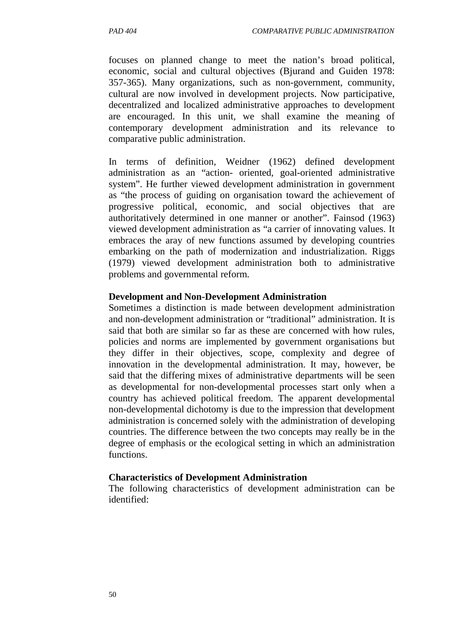focuses on planned change to meet the nation's broad political, economic, social and cultural objectives (Bjurand and Guiden 1978: 357-365). Many organizations, such as non-government, community, cultural are now involved in development projects. Now participative, decentralized and localized administrative approaches to development are encouraged. In this unit, we shall examine the meaning of contemporary development administration and its relevance to comparative public administration.

In terms of definition, Weidner (1962) defined development administration as an "action- oriented, goal-oriented administrative system". He further viewed development administration in government as "the process of guiding on organisation toward the achievement of progressive political, economic, and social objectives that are authoritatively determined in one manner or another". Fainsod (1963) viewed development administration as "a carrier of innovating values. It embraces the aray of new functions assumed by developing countries embarking on the path of modernization and industrialization. Riggs (1979) viewed development administration both to administrative problems and governmental reform.

#### **Development and Non-Development Administration**

Sometimes a distinction is made between development administration and non-development administration or "traditional" administration. It is said that both are similar so far as these are concerned with how rules, policies and norms are implemented by government organisations but they differ in their objectives, scope, complexity and degree of innovation in the developmental administration. It may, however, be said that the differing mixes of administrative departments will be seen as developmental for non-developmental processes start only when a country has achieved political freedom. The apparent developmental non-developmental dichotomy is due to the impression that development administration is concerned solely with the administration of developing countries. The difference between the two concepts may really be in the degree of emphasis or the ecological setting in which an administration functions.

#### **Characteristics of Development Administration**

The following characteristics of development administration can be identified: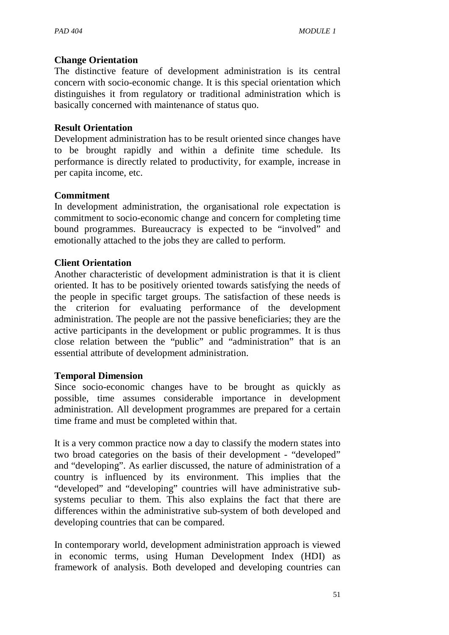### **Change Orientation**

The distinctive feature of development administration is its central concern with socio-economic change. It is this special orientation which distinguishes it from regulatory or traditional administration which is basically concerned with maintenance of status quo.

#### **Result Orientation**

Development administration has to be result oriented since changes have to be brought rapidly and within a definite time schedule. Its performance is directly related to productivity, for example, increase in per capita income, etc.

#### **Commitment**

In development administration, the organisational role expectation is commitment to socio-economic change and concern for completing time bound programmes. Bureaucracy is expected to be "involved" and emotionally attached to the jobs they are called to perform.

#### **Client Orientation**

Another characteristic of development administration is that it is client oriented. It has to be positively oriented towards satisfying the needs of the people in specific target groups. The satisfaction of these needs is the criterion for evaluating performance of the development administration. The people are not the passive beneficiaries; they are the active participants in the development or public programmes. It is thus close relation between the "public" and "administration" that is an essential attribute of development administration.

#### **Temporal Dimension**

Since socio-economic changes have to be brought as quickly as possible, time assumes considerable importance in development administration. All development programmes are prepared for a certain time frame and must be completed within that.

It is a very common practice now a day to classify the modern states into two broad categories on the basis of their development - "developed" and "developing". As earlier discussed, the nature of administration of a country is influenced by its environment. This implies that the "developed" and "developing" countries will have administrative subsystems peculiar to them. This also explains the fact that there are differences within the administrative sub-system of both developed and developing countries that can be compared.

In contemporary world, development administration approach is viewed in economic terms, using Human Development Index (HDI) as framework of analysis. Both developed and developing countries can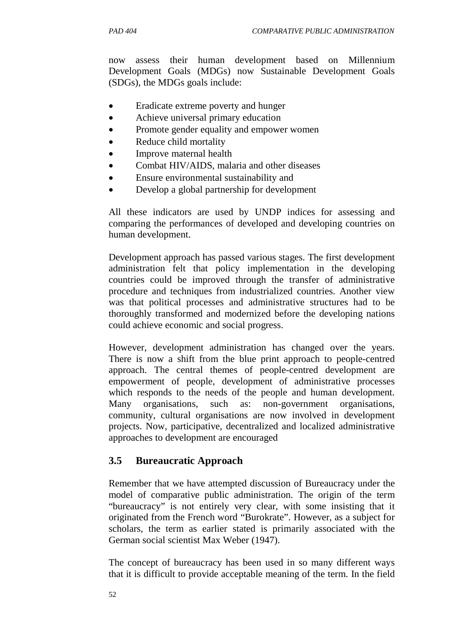now assess their human development based on Millennium Development Goals (MDGs) now Sustainable Development Goals (SDGs), the MDGs goals include:

- Eradicate extreme poverty and hunger
- Achieve universal primary education
- Promote gender equality and empower women
- Reduce child mortality
- Improve maternal health
- Combat HIV/AIDS, malaria and other diseases
- Ensure environmental sustainability and
- Develop a global partnership for development

All these indicators are used by UNDP indices for assessing and comparing the performances of developed and developing countries on human development.

Development approach has passed various stages. The first development administration felt that policy implementation in the developing countries could be improved through the transfer of administrative procedure and techniques from industrialized countries. Another view was that political processes and administrative structures had to be thoroughly transformed and modernized before the developing nations could achieve economic and social progress.

However, development administration has changed over the years. There is now a shift from the blue print approach to people-centred approach. The central themes of people-centred development are empowerment of people, development of administrative processes which responds to the needs of the people and human development. Many organisations, such as: non-government organisations, community, cultural organisations are now involved in development projects. Now, participative, decentralized and localized administrative approaches to development are encouraged

## **3.5 Bureaucratic Approach**

Remember that we have attempted discussion of Bureaucracy under the model of comparative public administration. The origin of the term "bureaucracy" is not entirely very clear, with some insisting that it originated from the French word "Burokrate". However, as a subject for scholars, the term as earlier stated is primarily associated with the German social scientist Max Weber (1947).

The concept of bureaucracy has been used in so many different ways that it is difficult to provide acceptable meaning of the term. In the field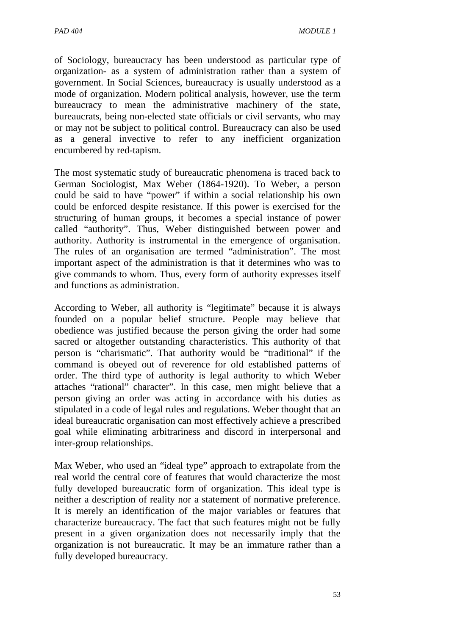of Sociology, bureaucracy has been understood as particular type of organization- as a system of administration rather than a system of government. In Social Sciences, bureaucracy is usually understood as a mode of organization. Modern political analysis, however, use the term bureaucracy to mean the administrative machinery of the state, bureaucrats, being non-elected state officials or civil servants, who may or may not be subject to political control. Bureaucracy can also be used as a general invective to refer to any inefficient organization encumbered by red-tapism.

The most systematic study of bureaucratic phenomena is traced back to German Sociologist, Max Weber (1864-1920). To Weber, a person could be said to have "power" if within a social relationship his own could be enforced despite resistance. If this power is exercised for the structuring of human groups, it becomes a special instance of power called "authority". Thus, Weber distinguished between power and authority. Authority is instrumental in the emergence of organisation. The rules of an organisation are termed "administration". The most important aspect of the administration is that it determines who was to give commands to whom. Thus, every form of authority expresses itself and functions as administration.

According to Weber, all authority is "legitimate" because it is always founded on a popular belief structure. People may believe that obedience was justified because the person giving the order had some sacred or altogether outstanding characteristics. This authority of that person is "charismatic". That authority would be "traditional" if the command is obeyed out of reverence for old established patterns of order. The third type of authority is legal authority to which Weber attaches "rational" character". In this case, men might believe that a person giving an order was acting in accordance with his duties as stipulated in a code of legal rules and regulations. Weber thought that an ideal bureaucratic organisation can most effectively achieve a prescribed goal while eliminating arbitrariness and discord in interpersonal and inter-group relationships.

Max Weber, who used an "ideal type" approach to extrapolate from the real world the central core of features that would characterize the most fully developed bureaucratic form of organization. This ideal type is neither a description of reality nor a statement of normative preference. It is merely an identification of the major variables or features that characterize bureaucracy. The fact that such features might not be fully present in a given organization does not necessarily imply that the organization is not bureaucratic. It may be an immature rather than a fully developed bureaucracy.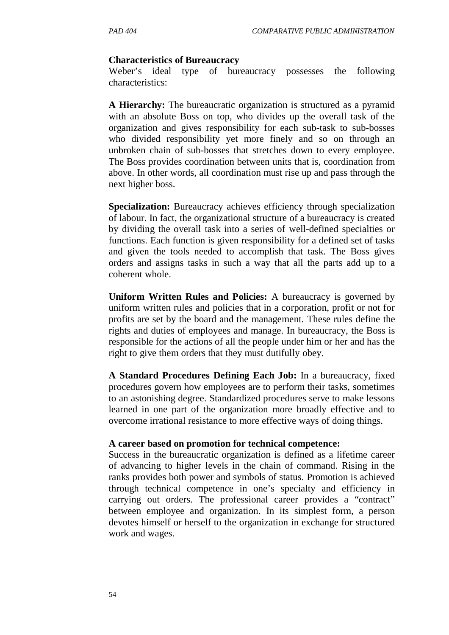#### **Characteristics of Bureaucracy**

Weber's ideal type of bureaucracy possesses the following characteristics:

**A Hierarchy:** The bureaucratic organization is structured as a pyramid with an absolute Boss on top, who divides up the overall task of the organization and gives responsibility for each sub-task to sub-bosses who divided responsibility yet more finely and so on through an unbroken chain of sub-bosses that stretches down to every employee. The Boss provides coordination between units that is, coordination from above. In other words, all coordination must rise up and pass through the next higher boss.

**Specialization:** Bureaucracy achieves efficiency through specialization of labour. In fact, the organizational structure of a bureaucracy is created by dividing the overall task into a series of well-defined specialties or functions. Each function is given responsibility for a defined set of tasks and given the tools needed to accomplish that task. The Boss gives orders and assigns tasks in such a way that all the parts add up to a coherent whole.

**Uniform Written Rules and Policies:** A bureaucracy is governed by uniform written rules and policies that in a corporation, profit or not for profits are set by the board and the management. These rules define the rights and duties of employees and manage. In bureaucracy, the Boss is responsible for the actions of all the people under him or her and has the right to give them orders that they must dutifully obey.

**A Standard Procedures Defining Each Job:** In a bureaucracy, fixed procedures govern how employees are to perform their tasks, sometimes to an astonishing degree. Standardized procedures serve to make lessons learned in one part of the organization more broadly effective and to overcome irrational resistance to more effective ways of doing things.

#### **A career based on promotion for technical competence:**

Success in the bureaucratic organization is defined as a lifetime career of advancing to higher levels in the chain of command. Rising in the ranks provides both power and symbols of status. Promotion is achieved through technical competence in one's specialty and efficiency in carrying out orders. The professional career provides a "contract" between employee and organization. In its simplest form, a person devotes himself or herself to the organization in exchange for structured work and wages.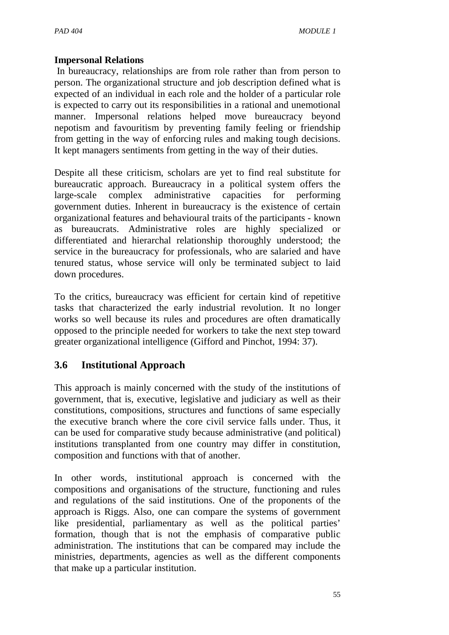## **Impersonal Relations**

In bureaucracy, relationships are from role rather than from person to person. The organizational structure and job description defined what is expected of an individual in each role and the holder of a particular role is expected to carry out its responsibilities in a rational and unemotional manner. Impersonal relations helped move bureaucracy beyond nepotism and favouritism by preventing family feeling or friendship from getting in the way of enforcing rules and making tough decisions. It kept managers sentiments from getting in the way of their duties.

Despite all these criticism, scholars are yet to find real substitute for bureaucratic approach. Bureaucracy in a political system offers the large-scale complex administrative capacities for performing government duties. Inherent in bureaucracy is the existence of certain organizational features and behavioural traits of the participants - known as bureaucrats. Administrative roles are highly specialized or differentiated and hierarchal relationship thoroughly understood; the service in the bureaucracy for professionals, who are salaried and have tenured status, whose service will only be terminated subject to laid down procedures.

To the critics, bureaucracy was efficient for certain kind of repetitive tasks that characterized the early industrial revolution. It no longer works so well because its rules and procedures are often dramatically opposed to the principle needed for workers to take the next step toward greater organizational intelligence (Gifford and Pinchot, 1994: 37).

# **3.6 Institutional Approach**

This approach is mainly concerned with the study of the institutions of government, that is, executive, legislative and judiciary as well as their constitutions, compositions, structures and functions of same especially the executive branch where the core civil service falls under. Thus, it can be used for comparative study because administrative (and political) institutions transplanted from one country may differ in constitution, composition and functions with that of another.

In other words, institutional approach is concerned with the compositions and organisations of the structure, functioning and rules and regulations of the said institutions. One of the proponents of the approach is Riggs. Also, one can compare the systems of government like presidential, parliamentary as well as the political parties' formation, though that is not the emphasis of comparative public administration. The institutions that can be compared may include the ministries, departments, agencies as well as the different components that make up a particular institution.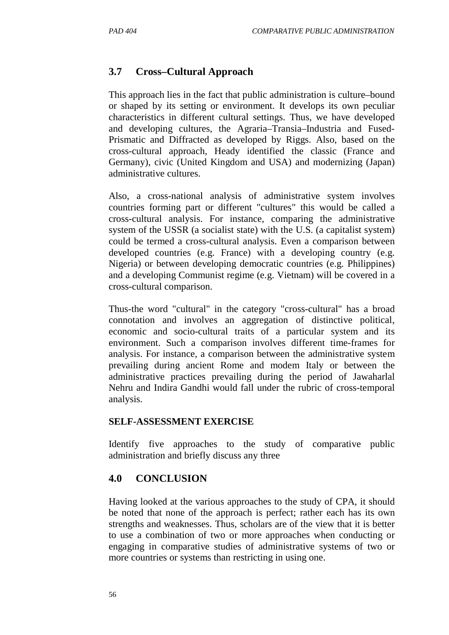# **3.7 Cross–Cultural Approach**

This approach lies in the fact that public administration is culture–bound or shaped by its setting or environment. It develops its own peculiar characteristics in different cultural settings. Thus, we have developed and developing cultures, the Agraria–Transia–Industria and Fused-Prismatic and Diffracted as developed by Riggs. Also, based on the cross-cultural approach, Heady identified the classic (France and Germany), civic (United Kingdom and USA) and modernizing (Japan) administrative cultures.

Also, a cross-national analysis of administrative system involves countries forming part or different "cultures" this would be called a cross-cultural analysis. For instance, comparing the administrative system of the USSR (a socialist state) with the U.S. (a capitalist system) could be termed a cross-cultural analysis. Even a comparison between developed countries (e.g. France) with a developing country (e.g. Nigeria) or between developing democratic countries (e.g. Philippines) and a developing Communist regime (e.g. Vietnam) will be covered in a cross-cultural comparison.

Thus-the word "cultural" in the category "cross-cultural" has a broad connotation and involves an aggregation of distinctive political, economic and socio-cultural traits of a particular system and its environment. Such a comparison involves different time-frames for analysis. For instance, a comparison between the administrative system prevailing during ancient Rome and modem Italy or between the administrative practices prevailing during the period of Jawaharlal Nehru and Indira Gandhi would fall under the rubric of cross-temporal analysis.

### **SELF-ASSESSMENT EXERCISE**

Identify five approaches to the study of comparative public administration and briefly discuss any three

## **4.0 CONCLUSION**

Having looked at the various approaches to the study of CPA, it should be noted that none of the approach is perfect; rather each has its own strengths and weaknesses. Thus, scholars are of the view that it is better to use a combination of two or more approaches when conducting or engaging in comparative studies of administrative systems of two or more countries or systems than restricting in using one.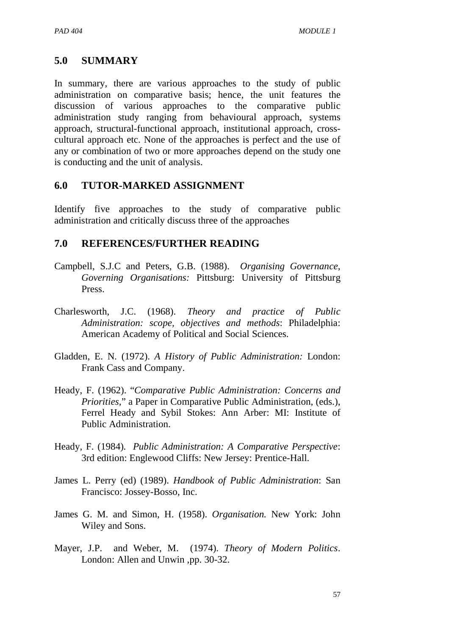### **5.0 SUMMARY**

In summary, there are various approaches to the study of public administration on comparative basis; hence, the unit features the discussion of various approaches to the comparative public administration study ranging from behavioural approach, systems approach, structural-functional approach, institutional approach, crosscultural approach etc. None of the approaches is perfect and the use of any or combination of two or more approaches depend on the study one is conducting and the unit of analysis.

#### **6.0 TUTOR-MARKED ASSIGNMENT**

Identify five approaches to the study of comparative public administration and critically discuss three of the approaches

### **7.0 REFERENCES/FURTHER READING**

- Campbell, S.J.C and Peters, G.B. (1988). *Organising Governance, Governing Organisations:* Pittsburg: University of Pittsburg Press.
- Charlesworth, J.C. (1968). *Theory and practice of Public Administration: scope, objectives and methods*: Philadelphia: American Academy of Political and Social Sciences.
- Gladden, E. N. (1972). *A History of Public Administration:* London: Frank Cass and Company.
- Heady, F. (1962). "*Comparative Public Administration: Concerns and Priorities*," a Paper in Comparative Public Administration, (eds.), Ferrel Heady and Sybil Stokes: Ann Arber: MI: Institute of Public Administration.
- Heady, F. (1984). *Public Administration: A Comparative Perspective*: 3rd edition: Englewood Cliffs: New Jersey: Prentice-Hall.
- James L. Perry (ed) (1989). *Handbook of Public Administration*: San Francisco: Jossey-Bosso, Inc.
- James G. M. and Simon, H. (1958). *Organisation.* New York: John Wiley and Sons.
- Mayer, J.P. and Weber, M. (1974). *Theory of Modern Politics*. London: Allen and Unwin ,pp. 30-32.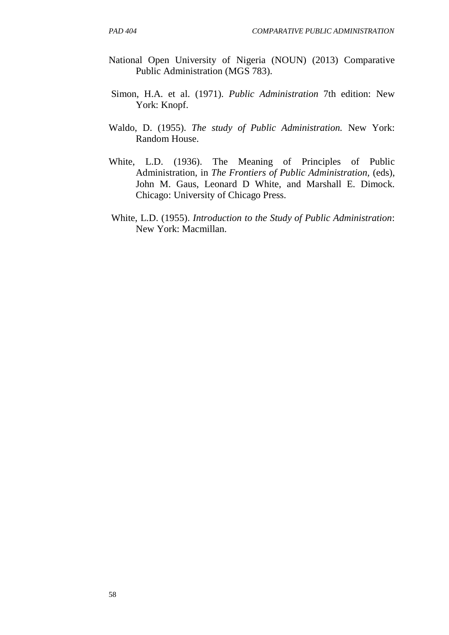- National Open University of Nigeria (NOUN) (2013) Comparative Public Administration (MGS 783).
- Simon, H.A. et al. (1971). *Public Administration* 7th edition: New York: Knopf.
- Waldo, D. (1955). *The study of Public Administration.* New York: Random House.
- White, L.D. (1936). The Meaning of Principles of Public Administration, in *The Frontiers of Public Administration,* (eds), John M. Gaus, Leonard D White, and Marshall E. Dimock. Chicago: University of Chicago Press.
- White, L.D. (1955). *Introduction to the Study of Public Administration*: New York: Macmillan.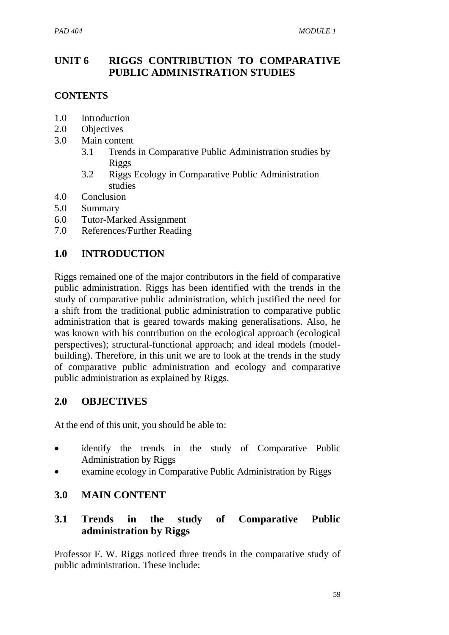## **UNIT 6 RIGGS CONTRIBUTION TO COMPARATIVE PUBLIC ADMINISTRATION STUDIES**

#### **CONTENTS**

- 1.0 Introduction
- 2.0 Objectives
- 3.0 Main content
	- 3.1 Trends in Comparative Public Administration studies by Riggs
	- 3.2 Riggs Ecology in Comparative Public Administration studies
- 4.0 Conclusion
- 5.0 Summary
- 6.0 Tutor-Marked Assignment
- 7.0 References/Further Reading

## **1.0 INTRODUCTION**

Riggs remained one of the major contributors in the field of comparative public administration. Riggs has been identified with the trends in the study of comparative public administration, which justified the need for a shift from the traditional public administration to comparative public administration that is geared towards making generalisations. Also, he was known with his contribution on the ecological approach (ecological perspectives); structural-functional approach; and ideal models (modelbuilding). Therefore, in this unit we are to look at the trends in the study of comparative public administration and ecology and comparative public administration as explained by Riggs.

## **2.0 OBJECTIVES**

At the end of this unit, you should be able to:

- identify the trends in the study of Comparative Public Administration by Riggs
- examine ecology in Comparative Public Administration by Riggs

## **3.0 MAIN CONTENT**

## **3.1 Trends in the study of Comparative Public administration by Riggs**

Professor F. W. Riggs noticed three trends in the comparative study of public administration. These include: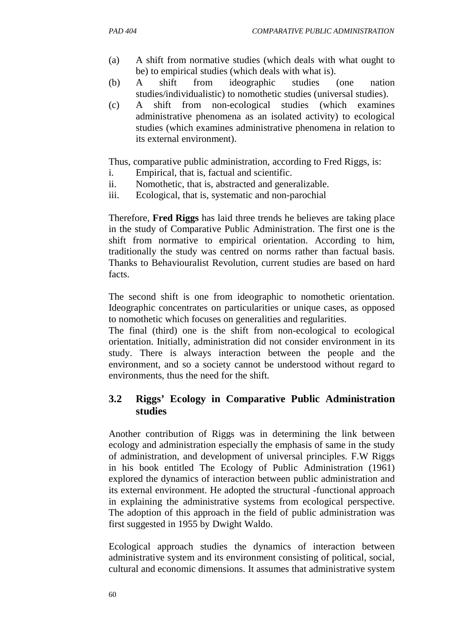- (a) A shift from normative studies (which deals with what ought to be) to empirical studies (which deals with what is).
- (b) A shift from ideographic studies (one nation studies/individualistic) to nomothetic studies (universal studies).
- (c) A shift from non-ecological studies (which examines administrative phenomena as an isolated activity) to ecological studies (which examines administrative phenomena in relation to its external environment).

Thus, comparative public administration, according to Fred Riggs, is:

- i. Empirical, that is, factual and scientific.
- ii. Nomothetic, that is, abstracted and generalizable.
- iii. Ecological, that is, systematic and non-parochial

Therefore, **Fred Riggs** has laid three trends he believes are taking place in the study of Comparative Public Administration. The first one is the shift from normative to empirical orientation. According to him, traditionally the study was centred on norms rather than factual basis. Thanks to Behaviouralist Revolution, current studies are based on hard facts.

The second shift is one from ideographic to nomothetic orientation. Ideographic concentrates on particularities or unique cases, as opposed to nomothetic which focuses on generalities and regularities.

The final (third) one is the shift from non-ecological to ecological orientation. Initially, administration did not consider environment in its study. There is always interaction between the people and the environment, and so a society cannot be understood without regard to environments, thus the need for the shift.

## **3.2 Riggs' Ecology in Comparative Public Administration studies**

Another contribution of Riggs was in determining the link between ecology and administration especially the emphasis of same in the study of administration, and development of universal principles. F.W Riggs in his book entitled The Ecology of Public Administration (1961) explored the dynamics of interaction between public administration and its external environment. He adopted the structural -functional approach in explaining the administrative systems from ecological perspective. The adoption of this approach in the field of public administration was first suggested in 1955 by Dwight Waldo.

Ecological approach studies the dynamics of interaction between administrative system and its environment consisting of political, social, cultural and economic dimensions. It assumes that administrative system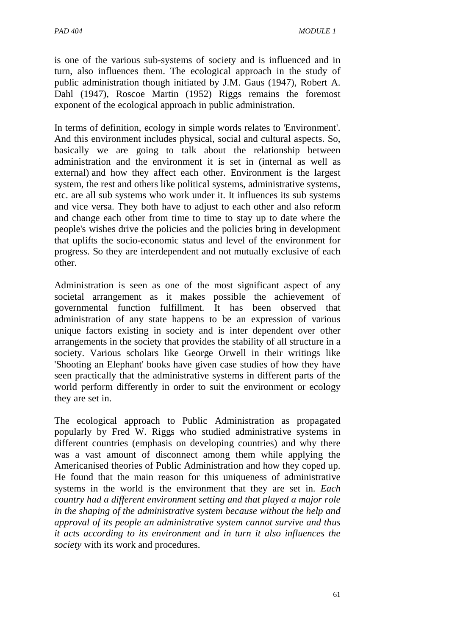is one of the various sub-systems of society and is influenced and in turn, also influences them. The ecological approach in the study of public administration though initiated by J.M. Gaus (1947), Robert A. Dahl (1947), Roscoe Martin (1952) Riggs remains the foremost exponent of the ecological approach in public administration.

In terms of definition, ecology in simple words relates to 'Environment'. And this environment includes physical, social and cultural aspects. So, basically we are going to talk about the relationship between administration and the environment it is set in (internal as well as external) and how they affect each other. Environment is the largest system, the rest and others like political systems, administrative systems, etc. are all sub systems who work under it. It influences its sub systems and vice versa. They both have to adjust to each other and also reform and change each other from time to time to stay up to date where the people's wishes drive the policies and the policies bring in development that uplifts the socio-economic status and level of the environment for progress. So they are interdependent and not mutually exclusive of each other.

Administration is seen as one of the most significant aspect of any societal arrangement as it makes possible the achievement of governmental function fulfillment. It has been observed that administration of any state happens to be an expression of various unique factors existing in society and is inter dependent over other arrangements in the society that provides the stability of all structure in a society. Various scholars like George Orwell in their writings like 'Shooting an Elephant' books have given case studies of how they have seen practically that the administrative systems in different parts of the world perform differently in order to suit the environment or ecology they are set in.

The ecological approach to Public Administration as propagated popularly by Fred W. Riggs who studied administrative systems in different countries (emphasis on developing countries) and why there was a vast amount of disconnect among them while applying the Americanised theories of Public Administration and how they coped up. He found that the main reason for this uniqueness of administrative systems in the world is the environment that they are set in. *Each country had a different environment setting and that played a major role in the shaping of the administrative system because without the help and approval of its people an administrative system cannot survive and thus it acts according to its environment and in turn it also influences the society* with its work and procedures.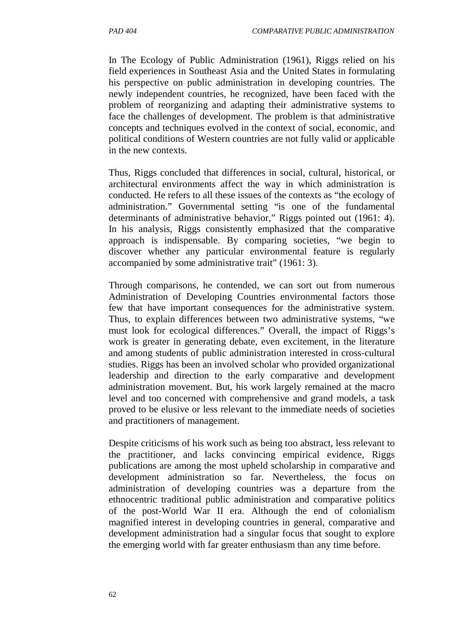In The Ecology of Public Administration (1961), Riggs relied on his field experiences in Southeast Asia and the United States in formulating his perspective on public administration in developing countries. The newly independent countries, he recognized, have been faced with the problem of reorganizing and adapting their administrative systems to face the challenges of development. The problem is that administrative concepts and techniques evolved in the context of social, economic, and political conditions of Western countries are not fully valid or applicable in the new contexts.

Thus, Riggs concluded that differences in social, cultural, historical, or architectural environments affect the way in which administration is conducted. He refers to all these issues of the contexts as "the ecology of administration." Governmental setting "is one of the fundamental determinants of administrative behavior," Riggs pointed out (1961: 4). In his analysis, Riggs consistently emphasized that the comparative approach is indispensable. By comparing societies, "we begin to discover whether any particular environmental feature is regularly accompanied by some administrative trait" (1961: 3).

Through comparisons, he contended, we can sort out from numerous Administration of Developing Countries environmental factors those few that have important consequences for the administrative system. Thus, to explain differences between two administrative systems, "we must look for ecological differences." Overall, the impact of Riggs's work is greater in generating debate, even excitement, in the literature and among students of public administration interested in cross-cultural studies. Riggs has been an involved scholar who provided organizational leadership and direction to the early comparative and development administration movement. But, his work largely remained at the macro level and too concerned with comprehensive and grand models, a task proved to be elusive or less relevant to the immediate needs of societies and practitioners of management.

Despite criticisms of his work such as being too abstract, less relevant to the practitioner, and lacks convincing empirical evidence, Riggs publications are among the most upheld scholarship in comparative and development administration so far. Nevertheless, the focus on administration of developing countries was a departure from the ethnocentric traditional public administration and comparative politics of the post-World War II era. Although the end of colonialism magnified interest in developing countries in general, comparative and development administration had a singular focus that sought to explore the emerging world with far greater enthusiasm than any time before.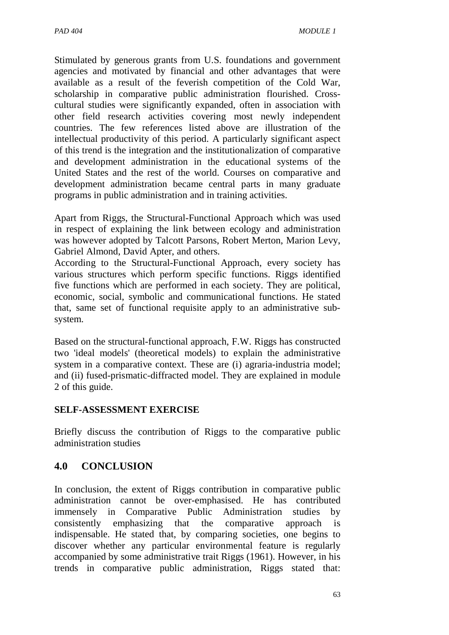Stimulated by generous grants from U.S. foundations and government agencies and motivated by financial and other advantages that were available as a result of the feverish competition of the Cold War, scholarship in comparative public administration flourished. Crosscultural studies were significantly expanded, often in association with other field research activities covering most newly independent countries. The few references listed above are illustration of the intellectual productivity of this period. A particularly significant aspect of this trend is the integration and the institutionalization of comparative and development administration in the educational systems of the United States and the rest of the world. Courses on comparative and development administration became central parts in many graduate programs in public administration and in training activities.

Apart from Riggs, the Structural-Functional Approach which was used in respect of explaining the link between ecology and administration was however adopted by Talcott Parsons, Robert Merton, Marion Levy, Gabriel Almond, David Apter, and others.

According to the Structural-Functional Approach, every society has various structures which perform specific functions. Riggs identified five functions which are performed in each society. They are political, economic, social, symbolic and communicational functions. He stated that, same set of functional requisite apply to an administrative subsystem.

Based on the structural-functional approach, F.W. Riggs has constructed two 'ideal models' (theoretical models) to explain the administrative system in a comparative context. These are (i) agraria-industria model; and (ii) fused-prismatic-diffracted model. They are explained in module 2 of this guide.

## **SELF-ASSESSMENT EXERCISE**

Briefly discuss the contribution of Riggs to the comparative public administration studies

# **4.0 CONCLUSION**

In conclusion, the extent of Riggs contribution in comparative public administration cannot be over-emphasised. He has contributed immensely in Comparative Public Administration studies by consistently emphasizing that the comparative approach is indispensable. He stated that, by comparing societies, one begins to discover whether any particular environmental feature is regularly accompanied by some administrative trait Riggs (1961). However, in his trends in comparative public administration, Riggs stated that: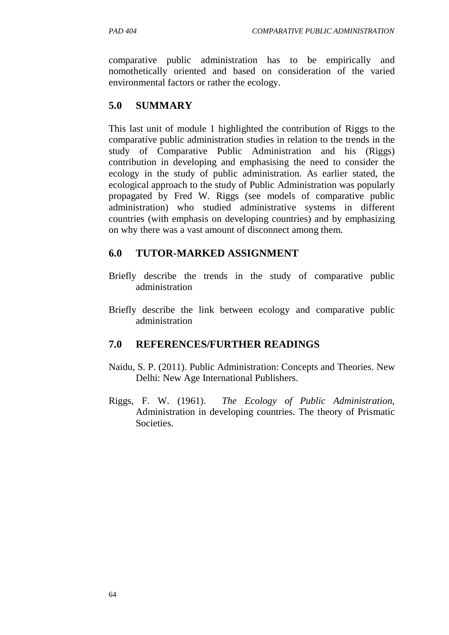comparative public administration has to be empirically and nomothetically oriented and based on consideration of the varied environmental factors or rather the ecology.

# **5.0 SUMMARY**

This last unit of module 1 highlighted the contribution of Riggs to the comparative public administration studies in relation to the trends in the study of Comparative Public Administration and his (Riggs) contribution in developing and emphasising the need to consider the ecology in the study of public administration. As earlier stated, the ecological approach to the study of Public Administration was popularly propagated by Fred W. Riggs (see models of comparative public administration) who studied administrative systems in different countries (with emphasis on developing countries) and by emphasizing on why there was a vast amount of disconnect among them.

## **6.0 TUTOR-MARKED ASSIGNMENT**

- Briefly describe the trends in the study of comparative public administration
- Briefly describe the link between ecology and comparative public administration

## **7.0 REFERENCES/FURTHER READINGS**

- Naidu, S. P. (2011). Public Administration: Concepts and Theories. New Delhi: New Age International Publishers.
- Riggs, F. W. (1961). *The Ecology of Public Administration*, Administration in developing countries. The theory of Prismatic Societies.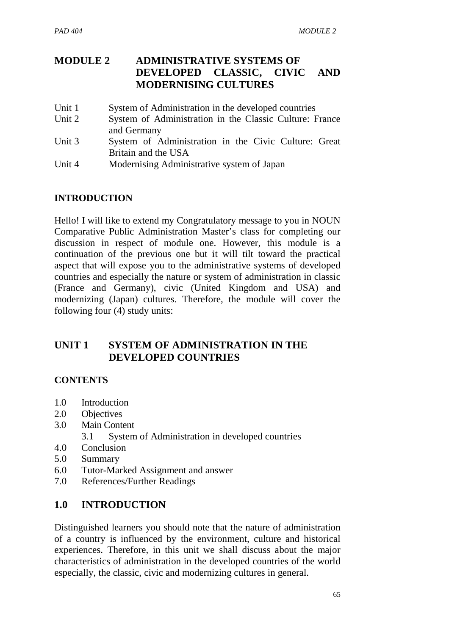## **MODULE 2 ADMINISTRATIVE SYSTEMS OF DEVELOPED CLASSIC, CIVIC AND MODERNISING CULTURES**

- Unit 1 System of Administration in the developed countries
- Unit 2 System of Administration in the Classic Culture: France and Germany
- Unit 3 System of Administration in the Civic Culture: Great Britain and the USA
- Unit 4 Modernising Administrative system of Japan

### **INTRODUCTION**

Hello! I will like to extend my Congratulatory message to you in NOUN Comparative Public Administration Master's class for completing our discussion in respect of module one. However, this module is a continuation of the previous one but it will tilt toward the practical aspect that will expose you to the administrative systems of developed countries and especially the nature or system of administration in classic (France and Germany), civic (United Kingdom and USA) and modernizing (Japan) cultures. Therefore, the module will cover the following four (4) study units:

## **UNIT 1 SYSTEM OF ADMINISTRATION IN THE DEVELOPED COUNTRIES**

#### **CONTENTS**

- 1.0 Introduction
- 2.0 Objectives
- 3.0 Main Content
	- 3.1 System of Administration in developed countries
- 4.0 Conclusion
- 5.0 Summary
- 6.0 Tutor-Marked Assignment and answer
- 7.0 References/Further Readings

#### **1.0 INTRODUCTION**

Distinguished learners you should note that the nature of administration of a country is influenced by the environment, culture and historical experiences. Therefore, in this unit we shall discuss about the major characteristics of administration in the developed countries of the world especially, the classic, civic and modernizing cultures in general.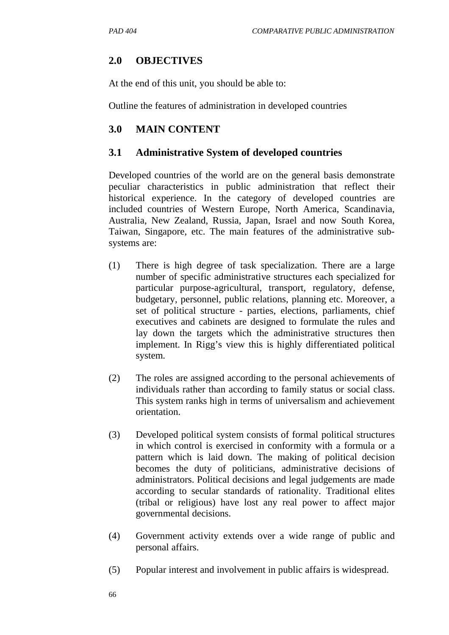### **2.0 OBJECTIVES**

At the end of this unit, you should be able to:

Outline the features of administration in developed countries

### **3.0 MAIN CONTENT**

#### **3.1 Administrative System of developed countries**

Developed countries of the world are on the general basis demonstrate peculiar characteristics in public administration that reflect their historical experience. In the category of developed countries are included countries of Western Europe, North America, Scandinavia, Australia, New Zealand, Russia, Japan, Israel and now South Korea, Taiwan, Singapore, etc. The main features of the administrative subsystems are:

- (1) There is high degree of task specialization. There are a large number of specific administrative structures each specialized for particular purpose-agricultural, transport, regulatory, defense, budgetary, personnel, public relations, planning etc. Moreover, a set of political structure - parties, elections, parliaments, chief executives and cabinets are designed to formulate the rules and lay down the targets which the administrative structures then implement. In Rigg's view this is highly differentiated political system.
- (2) The roles are assigned according to the personal achievements of individuals rather than according to family status or social class. This system ranks high in terms of universalism and achievement orientation.
- (3) Developed political system consists of formal political structures in which control is exercised in conformity with a formula or a pattern which is laid down. The making of political decision becomes the duty of politicians, administrative decisions of administrators. Political decisions and legal judgements are made according to secular standards of rationality. Traditional elites (tribal or religious) have lost any real power to affect major governmental decisions.
- (4) Government activity extends over a wide range of public and personal affairs.
- (5) Popular interest and involvement in public affairs is widespread.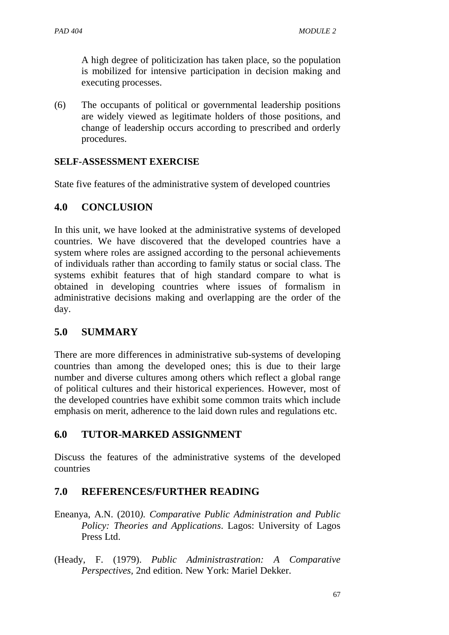A high degree of politicization has taken place, so the population is mobilized for intensive participation in decision making and executing processes.

(6) The occupants of political or governmental leadership positions are widely viewed as legitimate holders of those positions, and change of leadership occurs according to prescribed and orderly procedures.

### **SELF-ASSESSMENT EXERCISE**

State five features of the administrative system of developed countries

## **4.0 CONCLUSION**

In this unit, we have looked at the administrative systems of developed countries. We have discovered that the developed countries have a system where roles are assigned according to the personal achievements of individuals rather than according to family status or social class. The systems exhibit features that of high standard compare to what is obtained in developing countries where issues of formalism in administrative decisions making and overlapping are the order of the day.

## **5.0 SUMMARY**

There are more differences in administrative sub-systems of developing countries than among the developed ones; this is due to their large number and diverse cultures among others which reflect a global range of political cultures and their historical experiences. However, most of the developed countries have exhibit some common traits which include emphasis on merit, adherence to the laid down rules and regulations etc.

## **6.0 TUTOR-MARKED ASSIGNMENT**

Discuss the features of the administrative systems of the developed countries

# **7.0 REFERENCES/FURTHER READING**

- Eneanya, A.N. (2010*). Comparative Public Administration and Public Policy: Theories and Applications*. Lagos: University of Lagos Press Ltd.
- (Heady, F. (1979). *Public Administrastration: A Comparative Perspectives,* 2nd edition. New York: Mariel Dekker.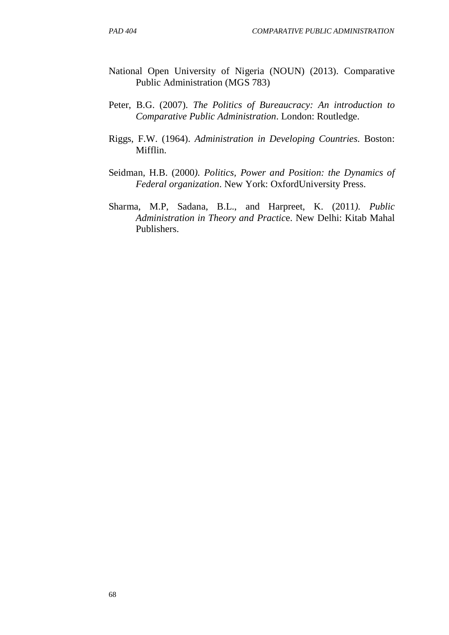- National Open University of Nigeria (NOUN) (2013). Comparative Public Administration (MGS 783)
- Peter, B.G. (2007). *The Politics of Bureaucracy: An introduction to Comparative Public Administration*. London: Routledge.
- Riggs, F.W. (1964). *Administration in Developing Countries*. Boston: Mifflin.
- Seidman, H.B. (2000*). Politics, Power and Position: the Dynamics of Federal organization*. New York: OxfordUniversity Press.
- Sharma, M.P, Sadana, B.L., and Harpreet, K. (2011*). Public Administration in Theory and Practic*e. New Delhi: Kitab Mahal Publishers.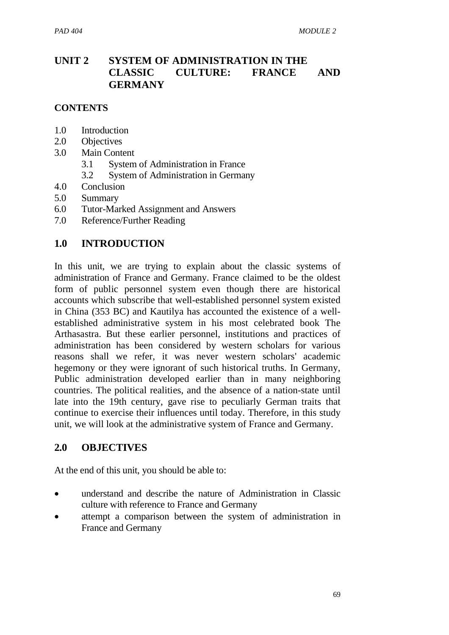# **UNIT 2 SYSTEM OF ADMINISTRATION IN THE CLASSIC CULTURE: FRANCE AND GERMANY**

### **CONTENTS**

- 1.0 Introduction
- 2.0 Objectives
- 3.0 Main Content
	- 3.1 System of Administration in France
	- 3.2 System of Administration in Germany
- 4.0 Conclusion
- 5.0 Summary
- 6.0 Tutor-Marked Assignment and Answers
- 7.0 Reference/Further Reading

### **1.0 INTRODUCTION**

In this unit, we are trying to explain about the classic systems of administration of France and Germany. France claimed to be the oldest form of public personnel system even though there are historical accounts which subscribe that well-established personnel system existed in China (353 BC) and Kautilya has accounted the existence of a wellestablished administrative system in his most celebrated book The Arthasastra. But these earlier personnel, institutions and practices of administration has been considered by western scholars for various reasons shall we refer, it was never western scholars' academic hegemony or they were ignorant of such historical truths. In Germany, Public administration developed earlier than in many neighboring countries. The political realities, and the absence of a nation-state until late into the 19th century, gave rise to peculiarly German traits that continue to exercise their influences until today. Therefore, in this study unit, we will look at the administrative system of France and Germany.

#### **2.0 OBJECTIVES**

At the end of this unit, you should be able to:

- understand and describe the nature of Administration in Classic culture with reference to France and Germany
- attempt a comparison between the system of administration in France and Germany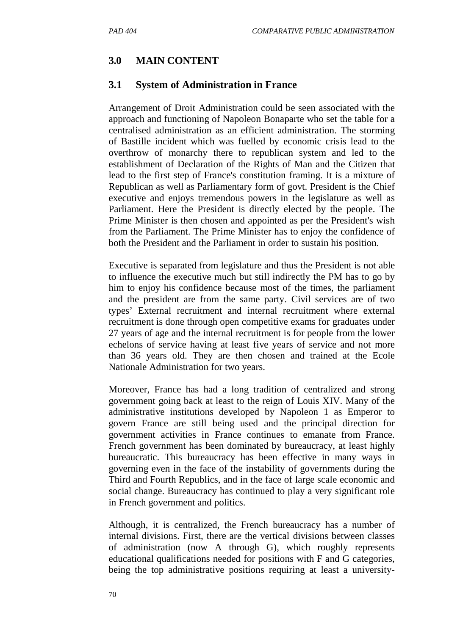## **3.0 MAIN CONTENT**

### **3.1 System of Administration in France**

Arrangement of Droit Administration could be seen associated with the approach and functioning of Napoleon Bonaparte who set the table for a centralised administration as an efficient administration. The storming of Bastille incident which was fuelled by economic crisis lead to the overthrow of monarchy there to republican system and led to the establishment of Declaration of the Rights of Man and the Citizen that lead to the first step of France's constitution framing. It is a mixture of Republican as well as Parliamentary form of govt. President is the Chief executive and enjoys tremendous powers in the legislature as well as Parliament. Here the President is directly elected by the people. The Prime Minister is then chosen and appointed as per the President's wish from the Parliament. The Prime Minister has to enjoy the confidence of both the President and the Parliament in order to sustain his position.

Executive is separated from legislature and thus the President is not able to influence the executive much but still indirectly the PM has to go by him to enjoy his confidence because most of the times, the parliament and the president are from the same party. Civil services are of two types' External recruitment and internal recruitment where external recruitment is done through open competitive exams for graduates under 27 years of age and the internal recruitment is for people from the lower echelons of service having at least five years of service and not more than 36 years old. They are then chosen and trained at the Ecole Nationale Administration for two years.

Moreover, France has had a long tradition of centralized and strong government going back at least to the reign of Louis XIV. Many of the administrative institutions developed by Napoleon 1 as Emperor to govern France are still being used and the principal direction for government activities in France continues to emanate from France. French government has been dominated by bureaucracy, at least highly bureaucratic. This bureaucracy has been effective in many ways in governing even in the face of the instability of governments during the Third and Fourth Republics, and in the face of large scale economic and social change. Bureaucracy has continued to play a very significant role in French government and politics.

Although, it is centralized, the French bureaucracy has a number of internal divisions. First, there are the vertical divisions between classes of administration (now A through G), which roughly represents educational qualifications needed for positions with F and G categories, being the top administrative positions requiring at least a university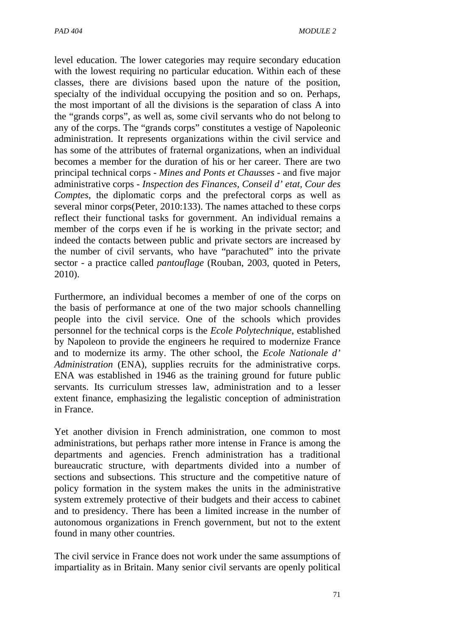level education. The lower categories may require secondary education with the lowest requiring no particular education. Within each of these classes, there are divisions based upon the nature of the position, specialty of the individual occupying the position and so on. Perhaps, the most important of all the divisions is the separation of class A into the "grands corps", as well as, some civil servants who do not belong to any of the corps. The "grands corps" constitutes a vestige of Napoleonic administration. It represents organizations within the civil service and has some of the attributes of fraternal organizations, when an individual becomes a member for the duration of his or her career. There are two principal technical corps - *Mines and Ponts et Chausses* - and five major administrative corps - *Inspection des Finances, Conseil d' etat, Cour des Comptes*, the diplomatic corps and the prefectoral corps as well as several minor corps(Peter, 2010:133). The names attached to these corps reflect their functional tasks for government. An individual remains a member of the corps even if he is working in the private sector; and indeed the contacts between public and private sectors are increased by the number of civil servants, who have "parachuted" into the private sector - a practice called *pantouflage* (Rouban, 2003, quoted in Peters, 2010).

Furthermore, an individual becomes a member of one of the corps on the basis of performance at one of the two major schools channelling people into the civil service. One of the schools which provides personnel for the technical corps is the *Ecole Polytechnique*, established by Napoleon to provide the engineers he required to modernize France and to modernize its army. The other school, the *Ecole Nationale d' Administration* (ENA), supplies recruits for the administrative corps. ENA was established in 1946 as the training ground for future public servants. Its curriculum stresses law, administration and to a lesser extent finance, emphasizing the legalistic conception of administration in France.

Yet another division in French administration, one common to most administrations, but perhaps rather more intense in France is among the departments and agencies. French administration has a traditional bureaucratic structure, with departments divided into a number of sections and subsections. This structure and the competitive nature of policy formation in the system makes the units in the administrative system extremely protective of their budgets and their access to cabinet and to presidency. There has been a limited increase in the number of autonomous organizations in French government, but not to the extent found in many other countries.

The civil service in France does not work under the same assumptions of impartiality as in Britain. Many senior civil servants are openly political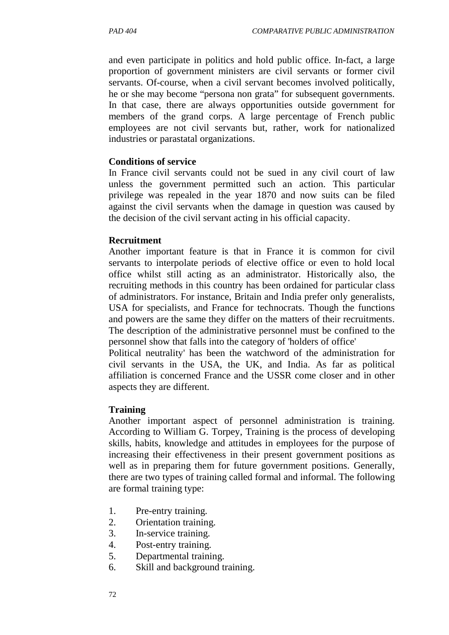and even participate in politics and hold public office. In-fact, a large proportion of government ministers are civil servants or former civil servants. Of-course, when a civil servant becomes involved politically, he or she may become "persona non grata" for subsequent governments. In that case, there are always opportunities outside government for members of the grand corps. A large percentage of French public employees are not civil servants but, rather, work for nationalized industries or parastatal organizations.

#### **Conditions of service**

In France civil servants could not be sued in any civil court of law unless the government permitted such an action. This particular privilege was repealed in the year 1870 and now suits can be filed against the civil servants when the damage in question was caused by the decision of the civil servant acting in his official capacity.

#### **Recruitment**

Another important feature is that in France it is common for civil servants to interpolate periods of elective office or even to hold local office whilst still acting as an administrator. Historically also, the recruiting methods in this country has been ordained for particular class of administrators. For instance, Britain and India prefer only generalists, USA for specialists, and France for technocrats. Though the functions and powers are the same they differ on the matters of their recruitments. The description of the administrative personnel must be confined to the personnel show that falls into the category of 'holders of office'

Political neutrality' has been the watchword of the administration for civil servants in the USA, the UK, and India. As far as political affiliation is concerned France and the USSR come closer and in other aspects they are different.

#### **Training**

Another important aspect of personnel administration is training. According to William G. Torpey, Training is the process of developing skills, habits, knowledge and attitudes in employees for the purpose of increasing their effectiveness in their present government positions as well as in preparing them for future government positions. Generally, there are two types of training called formal and informal. The following are formal training type:

- 1. Pre-entry training.
- 2. Orientation training.
- 3. In-service training.
- 4. Post-entry training.
- 5. Departmental training.
- 6. Skill and background training.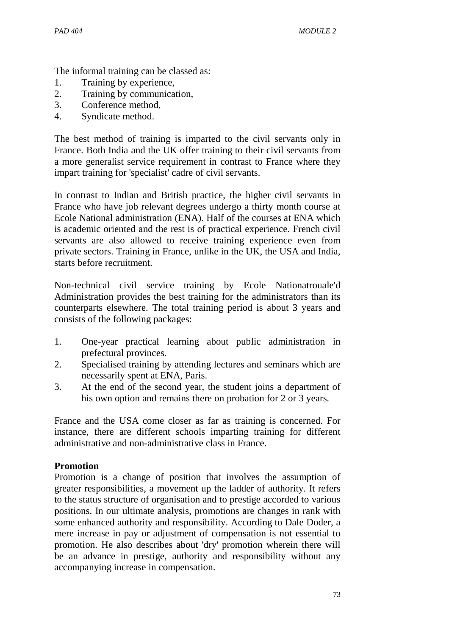The informal training can be classed as:

- 1. Training by experience,
- 2. Training by communication,
- 3. Conference method,
- 4. Syndicate method.

The best method of training is imparted to the civil servants only in France. Both India and the UK offer training to their civil servants from a more generalist service requirement in contrast to France where they impart training for 'specialist' cadre of civil servants.

In contrast to Indian and British practice, the higher civil servants in France who have job relevant degrees undergo a thirty month course at Ecole National administration (ENA). Half of the courses at ENA which is academic oriented and the rest is of practical experience. French civil servants are also allowed to receive training experience even from private sectors. Training in France, unlike in the UK, the USA and India, starts before recruitment.

Non-technical civil service training by Ecole Nationatrouale'd Administration provides the best training for the administrators than its counterparts elsewhere. The total training period is about 3 years and consists of the following packages:

- 1. One-year practical learning about public administration in prefectural provinces.
- 2. Specialised training by attending lectures and seminars which are necessarily spent at ENA, Paris.
- 3. At the end of the second year, the student joins a department of his own option and remains there on probation for 2 or 3 years.

France and the USA come closer as far as training is concerned. For instance, there are different schools imparting training for different administrative and non-administrative class in France.

## **Promotion**

Promotion is a change of position that involves the assumption of greater responsibilities, a movement up the ladder of authority. It refers to the status structure of organisation and to prestige accorded to various positions. In our ultimate analysis, promotions are changes in rank with some enhanced authority and responsibility. According to Dale Doder, a mere increase in pay or adjustment of compensation is not essential to promotion. He also describes about 'dry' promotion wherein there will be an advance in prestige, authority and responsibility without any accompanying increase in compensation.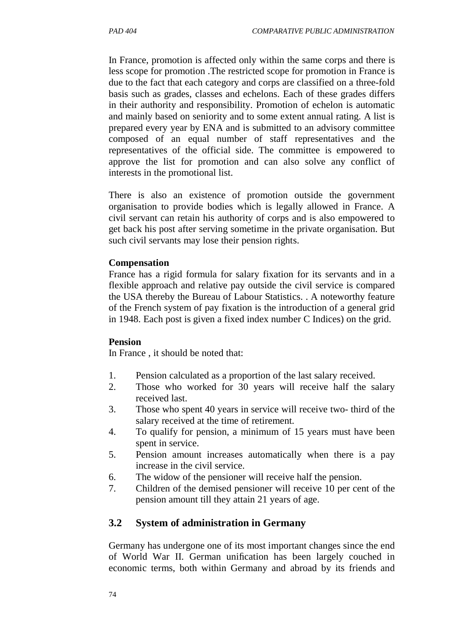In France, promotion is affected only within the same corps and there is less scope for promotion .The restricted scope for promotion in France is due to the fact that each category and corps are classified on a three-fold basis such as grades, classes and echelons. Each of these grades differs in their authority and responsibility. Promotion of echelon is automatic and mainly based on seniority and to some extent annual rating. A list is prepared every year by ENA and is submitted to an advisory committee composed of an equal number of staff representatives and the representatives of the official side. The committee is empowered to approve the list for promotion and can also solve any conflict of interests in the promotional list.

There is also an existence of promotion outside the government organisation to provide bodies which is legally allowed in France. A civil servant can retain his authority of corps and is also empowered to get back his post after serving sometime in the private organisation. But such civil servants may lose their pension rights.

#### **Compensation**

France has a rigid formula for salary fixation for its servants and in a flexible approach and relative pay outside the civil service is compared the USA thereby the Bureau of Labour Statistics. . A noteworthy feature of the French system of pay fixation is the introduction of a general grid in 1948. Each post is given a fixed index number C Indices) on the grid.

#### **Pension**

In France , it should be noted that:

- 1. Pension calculated as a proportion of the last salary received.
- 2. Those who worked for 30 years will receive half the salary received last.
- 3. Those who spent 40 years in service will receive two- third of the salary received at the time of retirement.
- 4. To qualify for pension, a minimum of 15 years must have been spent in service.
- 5. Pension amount increases automatically when there is a pay increase in the civil service.
- 6. The widow of the pensioner will receive half the pension.
- 7. Children of the demised pensioner will receive 10 per cent of the pension amount till they attain 21 years of age.

# **3.2 System of administration in Germany**

Germany has undergone one of its most important changes since the end of World War II. German unification has been largely couched in economic terms, both within Germany and abroad by its friends and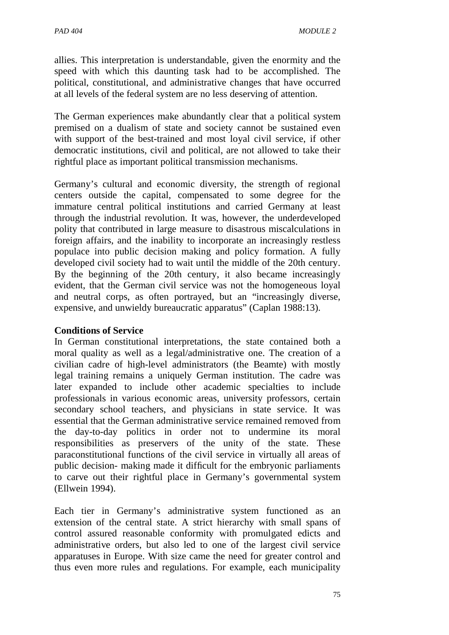allies. This interpretation is understandable, given the enormity and the speed with which this daunting task had to be accomplished. The political, constitutional, and administrative changes that have occurred at all levels of the federal system are no less deserving of attention.

The German experiences make abundantly clear that a political system premised on a dualism of state and society cannot be sustained even with support of the best-trained and most loyal civil service, if other democratic institutions, civil and political, are not allowed to take their rightful place as important political transmission mechanisms.

Germany's cultural and economic diversity, the strength of regional centers outside the capital, compensated to some degree for the immature central political institutions and carried Germany at least through the industrial revolution. It was, however, the underdeveloped polity that contributed in large measure to disastrous miscalculations in foreign affairs, and the inability to incorporate an increasingly restless populace into public decision making and policy formation. A fully developed civil society had to wait until the middle of the 20th century. By the beginning of the 20th century, it also became increasingly evident, that the German civil service was not the homogeneous loyal and neutral corps, as often portrayed, but an "increasingly diverse, expensive, and unwieldy bureaucratic apparatus" (Caplan 1988:13).

#### **Conditions of Service**

In German constitutional interpretations, the state contained both a moral quality as well as a legal/administrative one. The creation of a civilian cadre of high-level administrators (the Beamte) with mostly legal training remains a uniquely German institution. The cadre was later expanded to include other academic specialties to include professionals in various economic areas, university professors, certain secondary school teachers, and physicians in state service. It was essential that the German administrative service remained removed from the day-to-day politics in order not to undermine its moral responsibilities as preservers of the unity of the state. These paraconstitutional functions of the civil service in virtually all areas of public decision- making made it difficult for the embryonic parliaments to carve out their rightful place in Germany's governmental system (Ellwein 1994).

Each tier in Germany's administrative system functioned as an extension of the central state. A strict hierarchy with small spans of control assured reasonable conformity with promulgated edicts and administrative orders, but also led to one of the largest civil service apparatuses in Europe. With size came the need for greater control and thus even more rules and regulations. For example, each municipality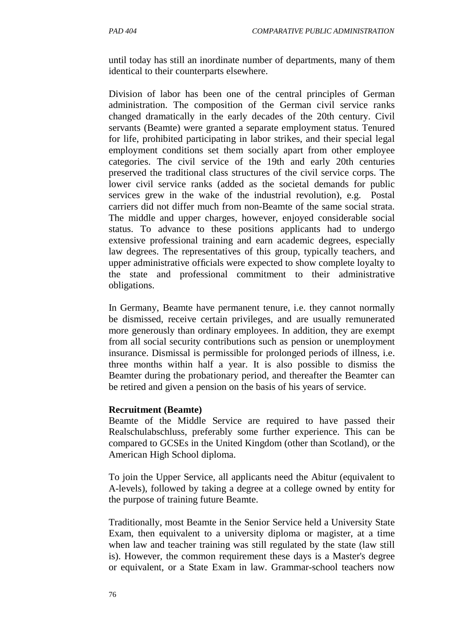until today has still an inordinate number of departments, many of them identical to their counterparts elsewhere.

Division of labor has been one of the central principles of German administration. The composition of the German civil service ranks changed dramatically in the early decades of the 20th century. Civil servants (Beamte) were granted a separate employment status. Tenured for life, prohibited participating in labor strikes, and their special legal employment conditions set them socially apart from other employee categories. The civil service of the 19th and early 20th centuries preserved the traditional class structures of the civil service corps. The lower civil service ranks (added as the societal demands for public services grew in the wake of the industrial revolution), e.g. Postal carriers did not differ much from non-Beamte of the same social strata. The middle and upper charges, however, enjoyed considerable social status. To advance to these positions applicants had to undergo extensive professional training and earn academic degrees, especially law degrees. The representatives of this group, typically teachers, and upper administrative officials were expected to show complete loyalty to the state and professional commitment to their administrative obligations.

In Germany, Beamte have permanent tenure, i.e. they cannot normally be dismissed, receive certain privileges, and are usually remunerated more generously than ordinary employees. In addition, they are exempt from all social security contributions such as pension or unemployment insurance. Dismissal is permissible for prolonged periods of illness, i.e. three months within half a year. It is also possible to dismiss the Beamter during the probationary period, and thereafter the Beamter can be retired and given a pension on the basis of his years of service.

#### **Recruitment (Beamte)**

Beamte of the Middle Service are required to have passed their Realschulabschluss, preferably some further experience. This can be compared to GCSEs in the United Kingdom (other than Scotland), or the American High School diploma.

To join the Upper Service, all applicants need the Abitur (equivalent to A-levels), followed by taking a degree at a college owned by entity for the purpose of training future Beamte.

Traditionally, most Beamte in the Senior Service held a University State Exam, then equivalent to a university diploma or magister, at a time when law and teacher training was still regulated by the state (law still is). However, the common requirement these days is a Master's degree or equivalent, or a State Exam in law. Grammar-school teachers now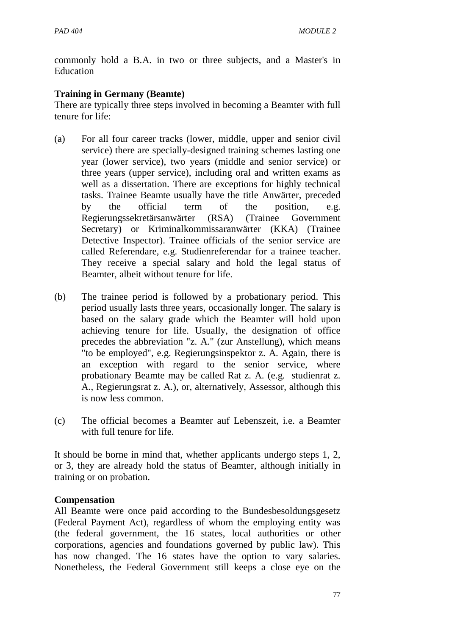commonly hold a B.A. in two or three subjects, and a Master's in Education

### **Training in Germany (Beamte)**

There are typically three steps involved in becoming a Beamter with full tenure for life:

- (a) For all four career tracks (lower, middle, upper and senior civil service) there are specially-designed training schemes lasting one year (lower service), two years (middle and senior service) or three years (upper service), including oral and written exams as well as a dissertation. There are exceptions for highly technical tasks. Trainee Beamte usually have the title Anwärter, preceded by the official term of the position, e.g. Regierungssekretärsanwärter (RSA) (Trainee Government Secretary) or Kriminalkommissaranwärter (KKA) (Trainee Detective Inspector). Trainee officials of the senior service are called Referendare, e.g. Studienreferendar for a trainee teacher. They receive a special salary and hold the legal status of Beamter, albeit without tenure for life.
- (b) The trainee period is followed by a probationary period. This period usually lasts three years, occasionally longer. The salary is based on the salary grade which the Beamter will hold upon achieving tenure for life. Usually, the designation of office precedes the abbreviation "z. A." (zur Anstellung), which means "to be employed", e.g. Regierungsinspektor z. A. Again, there is an exception with regard to the senior service, where probationary Beamte may be called Rat z. A. (e.g. studienrat z. A., Regierungsrat z. A.), or, alternatively, Assessor, although this is now less common.
- (c) The official becomes a Beamter auf Lebenszeit, i.e. a Beamter with full tenure for life.

It should be borne in mind that, whether applicants undergo steps 1, 2, or 3, they are already hold the status of Beamter, although initially in training or on probation.

#### **Compensation**

All Beamte were once paid according to the Bundesbesoldungsgesetz (Federal Payment Act), regardless of whom the employing entity was (the federal government, the 16 states, local authorities or other corporations, agencies and foundations governed by public law). This has now changed. The 16 states have the option to vary salaries. Nonetheless, the Federal Government still keeps a close eye on the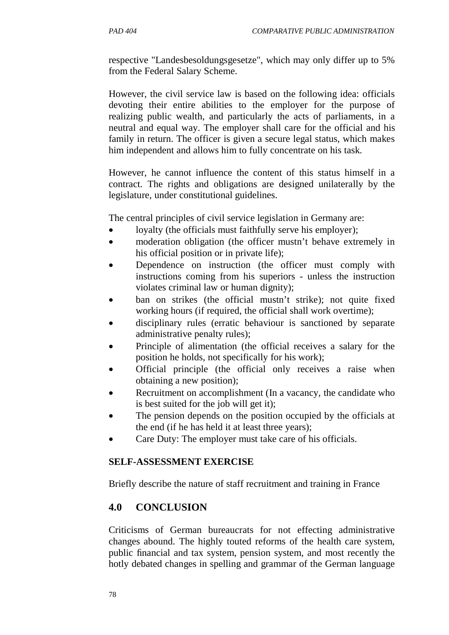respective "Landesbesoldungsgesetze", which may only differ up to 5% from the Federal Salary Scheme.

However, the civil service law is based on the following idea: officials devoting their entire abilities to the employer for the purpose of realizing public wealth, and particularly the acts of parliaments, in a neutral and equal way. The employer shall care for the official and his family in return. The officer is given a secure legal status, which makes him independent and allows him to fully concentrate on his task.

However, he cannot influence the content of this status himself in a contract. The rights and obligations are designed unilaterally by the legislature, under constitutional guidelines.

The central principles of civil service legislation in Germany are:

- loyalty (the officials must faithfully serve his employer);
- moderation obligation (the officer mustn't behave extremely in his official position or in private life);
- Dependence on instruction (the officer must comply with instructions coming from his superiors - unless the instruction violates criminal law or human dignity);
- ban on strikes (the official mustn't strike); not quite fixed working hours (if required, the official shall work overtime);
- disciplinary rules (erratic behaviour is sanctioned by separate administrative penalty rules);
- Principle of alimentation (the official receives a salary for the position he holds, not specifically for his work);
- Official principle (the official only receives a raise when obtaining a new position);
- Recruitment on accomplishment (In a vacancy, the candidate who is best suited for the job will get it);
- The pension depends on the position occupied by the officials at the end (if he has held it at least three years);
- Care Duty: The employer must take care of his officials.

#### **SELF-ASSESSMENT EXERCISE**

Briefly describe the nature of staff recruitment and training in France

## **4.0 CONCLUSION**

Criticisms of German bureaucrats for not effecting administrative changes abound. The highly touted reforms of the health care system, public financial and tax system, pension system, and most recently the hotly debated changes in spelling and grammar of the German language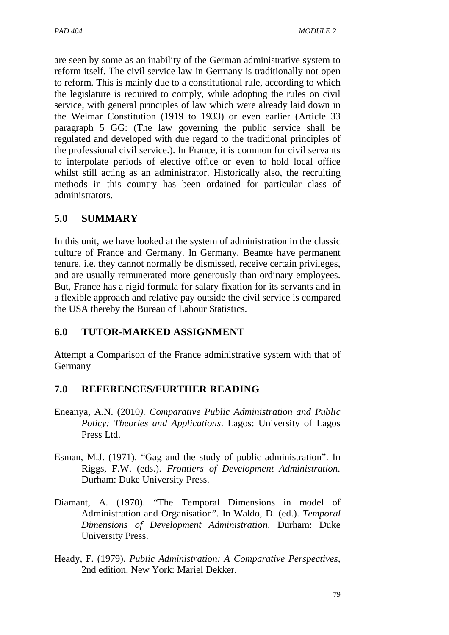are seen by some as an inability of the German administrative system to reform itself. The civil service law in Germany is traditionally not open to reform. This is mainly due to a constitutional rule, according to which the legislature is required to comply, while adopting the rules on civil service, with general principles of law which were already laid down in the Weimar Constitution (1919 to 1933) or even earlier (Article 33 paragraph 5 GG: (The law governing the public service shall be regulated and developed with due regard to the traditional principles of the professional civil service.). In France, it is common for civil servants to interpolate periods of elective office or even to hold local office whilst still acting as an administrator. Historically also, the recruiting methods in this country has been ordained for particular class of administrators.

## **5.0 SUMMARY**

In this unit, we have looked at the system of administration in the classic culture of France and Germany. In Germany, Beamte have permanent tenure, i.e. they cannot normally be dismissed, receive certain privileges, and are usually remunerated more generously than ordinary employees. But, France has a rigid formula for salary fixation for its servants and in a flexible approach and relative pay outside the civil service is compared the USA thereby the Bureau of Labour Statistics.

# **6.0 TUTOR-MARKED ASSIGNMENT**

Attempt a Comparison of the France administrative system with that of Germany

## **7.0 REFERENCES/FURTHER READING**

- Eneanya, A.N. (2010*). Comparative Public Administration and Public Policy: Theories and Applications*. Lagos: University of Lagos Press Ltd.
- Esman, M.J. (1971). "Gag and the study of public administration". In Riggs, F.W. (eds.). *Frontiers of Development Administration.*  Durham: Duke University Press.
- Diamant, A. (1970). "The Temporal Dimensions in model of Administration and Organisation". In Waldo, D. (ed.). *Temporal Dimensions of Development Administration*. Durham: Duke University Press.
- Heady, F. (1979). *Public Administration: A Comparative Perspectives,*  2nd edition. New York: Mariel Dekker.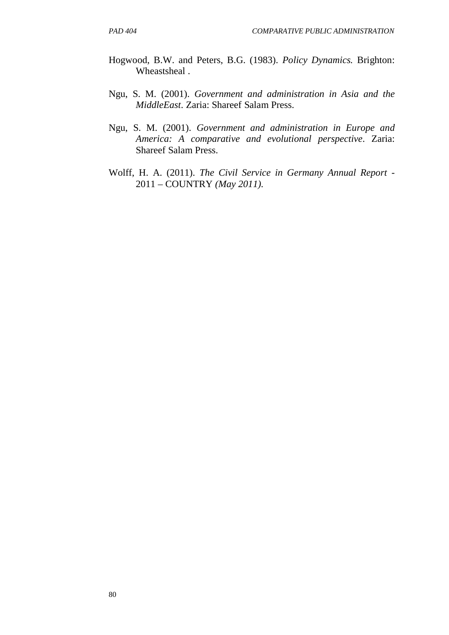- Hogwood, B.W. and Peters, B.G. (1983). *Policy Dynamics.* Brighton: Wheastsheal .
- Ngu, S. M. (2001). *Government and administration in Asia and the MiddleEast*. Zaria: Shareef Salam Press.
- Ngu, S. M. (2001). *Government and administration in Europe and America: A comparative and evolutional perspective*. Zaria: Shareef Salam Press.
- Wolff, H. A. (2011). *The Civil Service in Germany Annual Report -* 2011 – COUNTRY *(May 2011).*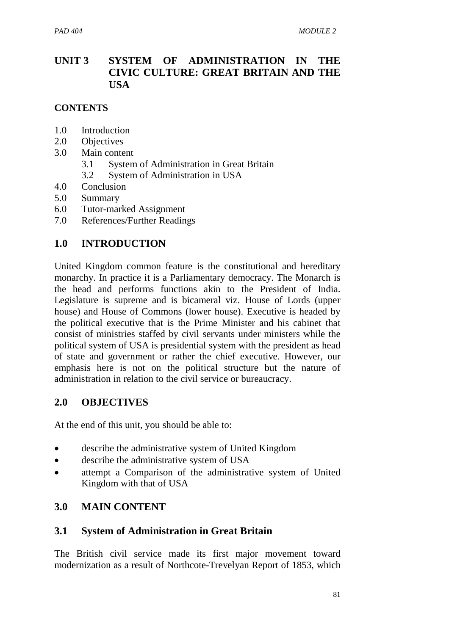## **UNIT 3 SYSTEM OF ADMINISTRATION IN THE CIVIC CULTURE: GREAT BRITAIN AND THE USA**

## **CONTENTS**

- 1.0 Introduction
- 2.0 Objectives
- 3.0 Main content
	- 3.1 System of Administration in Great Britain
	- 3.2 System of Administration in USA
- 4.0 Conclusion
- 5.0 Summary
- 6.0 Tutor-marked Assignment
- 7.0 References/Further Readings

## **1.0 INTRODUCTION**

United Kingdom common feature is the constitutional and hereditary monarchy. In practice it is a Parliamentary democracy. The Monarch is the head and performs functions akin to the President of India. Legislature is supreme and is bicameral viz. House of Lords (upper house) and House of Commons (lower house). Executive is headed by the political executive that is the Prime Minister and his cabinet that consist of ministries staffed by civil servants under ministers while the political system of USA is presidential system with the president as head of state and government or rather the chief executive. However, our emphasis here is not on the political structure but the nature of administration in relation to the civil service or bureaucracy.

## **2.0 OBJECTIVES**

At the end of this unit, you should be able to:

- describe the administrative system of United Kingdom
- describe the administrative system of USA
- attempt a Comparison of the administrative system of United Kingdom with that of USA

# **3.0 MAIN CONTENT**

## **3.1 System of Administration in Great Britain**

The British civil service made its first major movement toward modernization as a result of Northcote-Trevelyan Report of 1853, which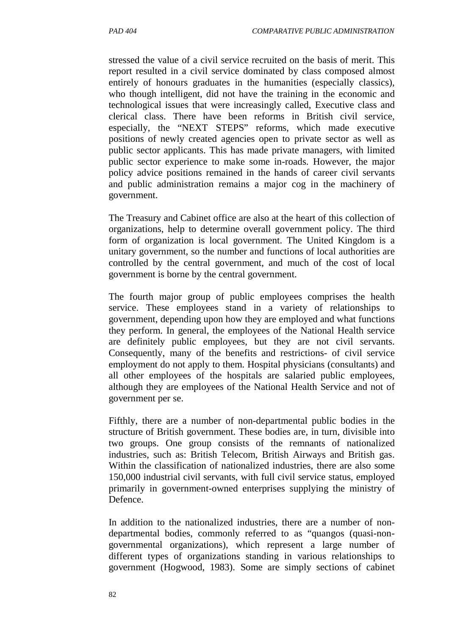stressed the value of a civil service recruited on the basis of merit. This report resulted in a civil service dominated by class composed almost entirely of honours graduates in the humanities (especially classics), who though intelligent, did not have the training in the economic and technological issues that were increasingly called, Executive class and clerical class. There have been reforms in British civil service, especially, the "NEXT STEPS" reforms, which made executive positions of newly created agencies open to private sector as well as public sector applicants. This has made private managers, with limited public sector experience to make some in-roads. However, the major policy advice positions remained in the hands of career civil servants and public administration remains a major cog in the machinery of government.

The Treasury and Cabinet office are also at the heart of this collection of organizations, help to determine overall government policy. The third form of organization is local government. The United Kingdom is a unitary government, so the number and functions of local authorities are controlled by the central government, and much of the cost of local government is borne by the central government.

The fourth major group of public employees comprises the health service. These employees stand in a variety of relationships to government, depending upon how they are employed and what functions they perform. In general, the employees of the National Health service are definitely public employees, but they are not civil servants. Consequently, many of the benefits and restrictions- of civil service employment do not apply to them. Hospital physicians (consultants) and all other employees of the hospitals are salaried public employees, although they are employees of the National Health Service and not of government per se.

Fifthly, there are a number of non-departmental public bodies in the structure of British government. These bodies are, in turn, divisible into two groups. One group consists of the remnants of nationalized industries, such as: British Telecom, British Airways and British gas. Within the classification of nationalized industries, there are also some 150,000 industrial civil servants, with full civil service status, employed primarily in government-owned enterprises supplying the ministry of Defence.

In addition to the nationalized industries, there are a number of nondepartmental bodies, commonly referred to as "quangos (quasi-nongovernmental organizations), which represent a large number of different types of organizations standing in various relationships to government (Hogwood, 1983). Some are simply sections of cabinet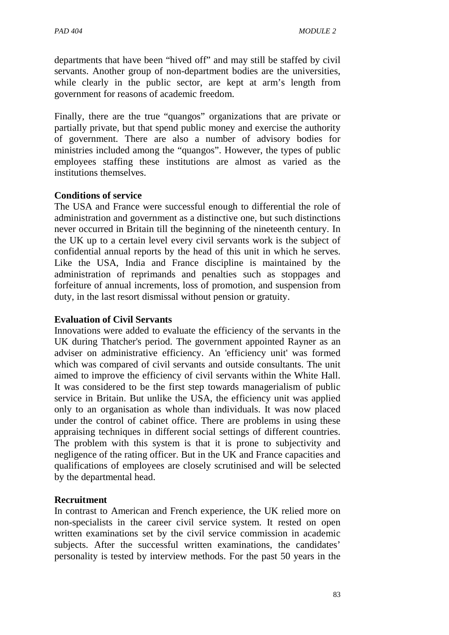departments that have been "hived off" and may still be staffed by civil servants. Another group of non-department bodies are the universities, while clearly in the public sector, are kept at arm's length from government for reasons of academic freedom.

Finally, there are the true "quangos" organizations that are private or partially private, but that spend public money and exercise the authority of government. There are also a number of advisory bodies for ministries included among the "quangos". However, the types of public employees staffing these institutions are almost as varied as the institutions themselves.

#### **Conditions of service**

The USA and France were successful enough to differential the role of administration and government as a distinctive one, but such distinctions never occurred in Britain till the beginning of the nineteenth century. In the UK up to a certain level every civil servants work is the subject of confidential annual reports by the head of this unit in which he serves. Like the USA, India and France discipline is maintained by the administration of reprimands and penalties such as stoppages and forfeiture of annual increments, loss of promotion, and suspension from duty, in the last resort dismissal without pension or gratuity.

#### **Evaluation of Civil Servants**

Innovations were added to evaluate the efficiency of the servants in the UK during Thatcher's period. The government appointed Rayner as an adviser on administrative efficiency. An 'efficiency unit' was formed which was compared of civil servants and outside consultants. The unit aimed to improve the efficiency of civil servants within the White Hall. It was considered to be the first step towards managerialism of public service in Britain. But unlike the USA, the efficiency unit was applied only to an organisation as whole than individuals. It was now placed under the control of cabinet office. There are problems in using these appraising techniques in different social settings of different countries. The problem with this system is that it is prone to subjectivity and negligence of the rating officer. But in the UK and France capacities and qualifications of employees are closely scrutinised and will be selected by the departmental head.

#### **Recruitment**

In contrast to American and French experience, the UK relied more on non-specialists in the career civil service system. It rested on open written examinations set by the civil service commission in academic subjects. After the successful written examinations, the candidates' personality is tested by interview methods. For the past 50 years in the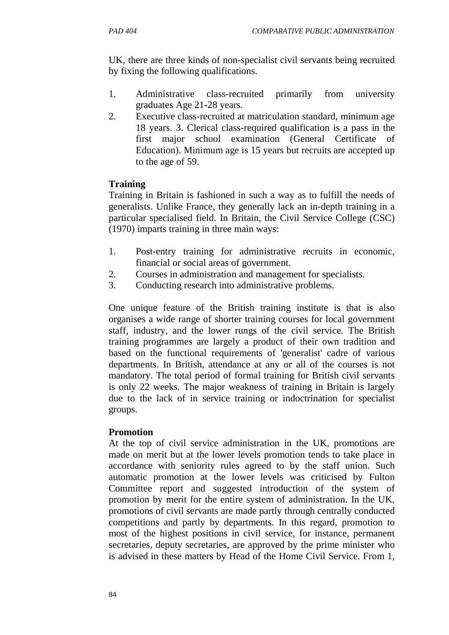UK, there are three kinds of non-specialist civil servants being recruited by fixing the following qualifications.

- 1. Administrative class-recruited primarily from university graduates Age 21-28 years.
- 2. Executive class-recruited at matriculation standard, minimum age 18 years. 3. Clerical class-required qualification is a pass in the first major school examination (General Certificate of Education). Minimum age is 15 years but recruits are accepted up to the age of 59.

## **Training**

Training in Britain is fashioned in such a way as to fulfill the needs of generalists. Unlike France, they generally lack an in-depth training in a particular specialised field. In Britain, the Civil Service College (CSC) (1970) imparts training in three main ways:

- 1. Post-entry training for administrative recruits in economic, financial or social areas of government.
- 2. Courses in administration and management for specialists.
- 3. Conducting research into administrative problems.

One unique feature of the British training institute is that is also organises a wide range of shorter training courses for local government staff, industry, and the lower rungs of the civil service. The British training programmes are largely a product of their own tradition and based on the functional requirements of 'generalist' cadre of various departments. In British, attendance at any or all of the courses is not mandatory. The total period of formal training for British civil servants is only 22 weeks. The major weakness of training in Britain is largely due to the lack of in service training or indoctrination for specialist groups.

#### **Promotion**

At the top of civil service administration in the UK, promotions are made on merit but at the lower levels promotion tends to take place in accordance with seniority rules agreed to by the staff union. Such automatic promotion at the lower levels was criticised by Fulton Committee report and suggested introduction of the system of promotion by merit for the entire system of administration. In the UK, promotions of civil servants are made partly through centrally conducted competitions and partly by departments. In this regard, promotion to most of the highest positions in civil service, for instance, permanent secretaries, deputy secretaries, are approved by the prime minister who is advised in these matters by Head of the Home Civil Service. From 1,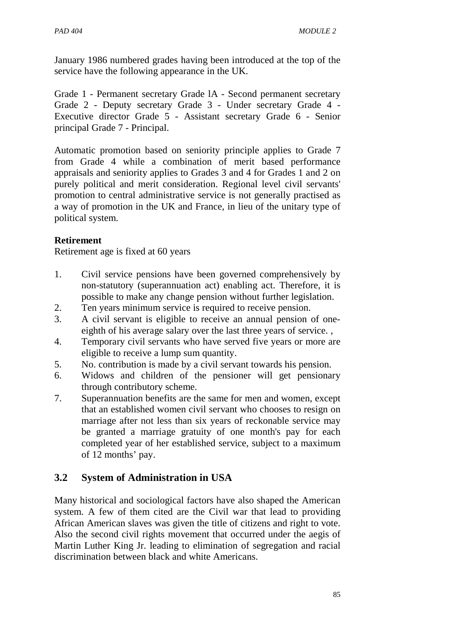January 1986 numbered grades having been introduced at the top of the service have the following appearance in the UK.

Grade 1 - Permanent secretary Grade lA - Second permanent secretary Grade 2 - Deputy secretary Grade 3 - Under secretary Grade 4 - Executive director Grade 5 - Assistant secretary Grade 6 - Senior principal Grade 7 - Principal.

Automatic promotion based on seniority principle applies to Grade 7 from Grade 4 while a combination of merit based performance appraisals and seniority applies to Grades 3 and 4 for Grades 1 and 2 on purely political and merit consideration. Regional level civil servants' promotion to central administrative service is not generally practised as a way of promotion in the UK and France, in lieu of the unitary type of political system.

## **Retirement**

Retirement age is fixed at 60 years

- 1. Civil service pensions have been governed comprehensively by non-statutory (superannuation act) enabling act. Therefore, it is possible to make any change pension without further legislation.
- 2. Ten years minimum service is required to receive pension.
- 3. A civil servant is eligible to receive an annual pension of oneeighth of his average salary over the last three years of service. ,
- 4. Temporary civil servants who have served five years or more are eligible to receive a lump sum quantity.
- 5. No. contribution is made by a civil servant towards his pension.
- 6. Widows and children of the pensioner will get pensionary through contributory scheme.
- 7. Superannuation benefits are the same for men and women, except that an established women civil servant who chooses to resign on marriage after not less than six years of reckonable service may be granted a marriage gratuity of one month's pay for each completed year of her established service, subject to a maximum of 12 months' pay.

# **3.2 System of Administration in USA**

Many historical and sociological factors have also shaped the American system. A few of them cited are the Civil war that lead to providing African American slaves was given the title of citizens and right to vote. Also the second civil rights movement that occurred under the aegis of Martin Luther King Jr. leading to elimination of segregation and racial discrimination between black and white Americans.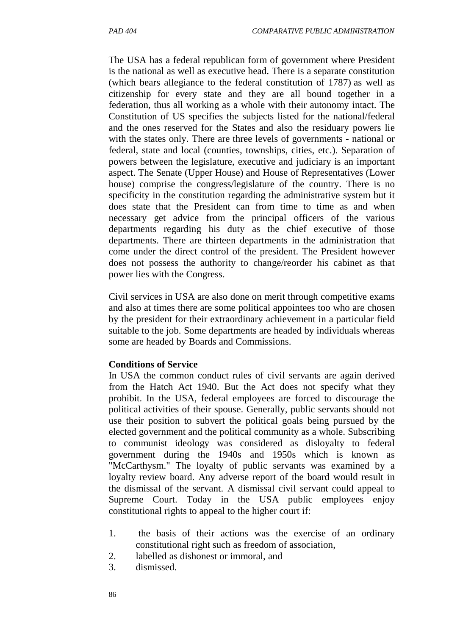The USA has a federal republican form of government where President is the national as well as executive head. There is a separate constitution (which bears allegiance to the federal constitution of 1787) as well as citizenship for every state and they are all bound together in a federation, thus all working as a whole with their autonomy intact. The Constitution of US specifies the subjects listed for the national/federal and the ones reserved for the States and also the residuary powers lie with the states only. There are three levels of governments - national or federal, state and local (counties, townships, cities, etc.). Separation of powers between the legislature, executive and judiciary is an important aspect. The Senate (Upper House) and House of Representatives (Lower house) comprise the congress/legislature of the country. There is no specificity in the constitution regarding the administrative system but it does state that the President can from time to time as and when necessary get advice from the principal officers of the various departments regarding his duty as the chief executive of those departments. There are thirteen departments in the administration that come under the direct control of the president. The President however does not possess the authority to change/reorder his cabinet as that power lies with the Congress.

Civil services in USA are also done on merit through competitive exams and also at times there are some political appointees too who are chosen by the president for their extraordinary achievement in a particular field suitable to the job. Some departments are headed by individuals whereas some are headed by Boards and Commissions.

#### **Conditions of Service**

In USA the common conduct rules of civil servants are again derived from the Hatch Act 1940. But the Act does not specify what they prohibit. In the USA, federal employees are forced to discourage the political activities of their spouse. Generally, public servants should not use their position to subvert the political goals being pursued by the elected government and the political community as a whole. Subscribing to communist ideology was considered as disloyalty to federal government during the 1940s and 1950s which is known as "McCarthysm." The loyalty of public servants was examined by a loyalty review board. Any adverse report of the board would result in the dismissal of the servant. A dismissal civil servant could appeal to Supreme Court. Today in the USA public employees enjoy constitutional rights to appeal to the higher court if:

- 1. the basis of their actions was the exercise of an ordinary constitutional right such as freedom of association,
- 2. labelled as dishonest or immoral, and
- 3. dismissed.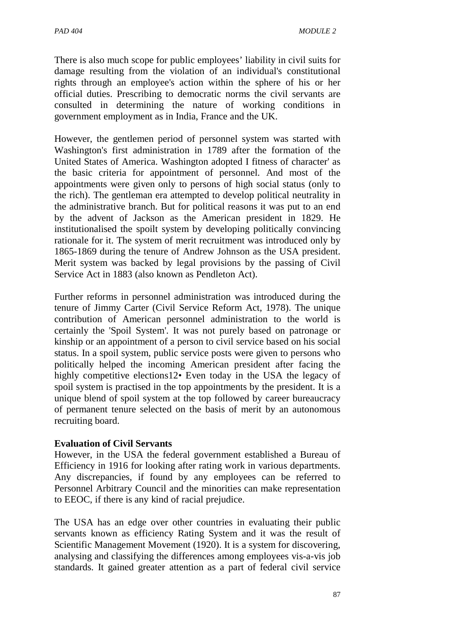There is also much scope for public employees' liability in civil suits for damage resulting from the violation of an individual's constitutional rights through an employee's action within the sphere of his or her official duties. Prescribing to democratic norms the civil servants are consulted in determining the nature of working conditions in government employment as in India, France and the UK.

However, the gentlemen period of personnel system was started with Washington's first administration in 1789 after the formation of the United States of America. Washington adopted I fitness of character' as the basic criteria for appointment of personnel. And most of the appointments were given only to persons of high social status (only to the rich). The gentleman era attempted to develop political neutrality in the administrative branch. But for political reasons it was put to an end by the advent of Jackson as the American president in 1829. He institutionalised the spoilt system by developing politically convincing rationale for it. The system of merit recruitment was introduced only by 1865-1869 during the tenure of Andrew Johnson as the USA president. Merit system was backed by legal provisions by the passing of Civil Service Act in 1883 (also known as Pendleton Act).

Further reforms in personnel administration was introduced during the tenure of Jimmy Carter (Civil Service Reform Act, 1978). The unique contribution of American personnel administration to the world is certainly the 'Spoil System'. It was not purely based on patronage or kinship or an appointment of a person to civil service based on his social status. In a spoil system, public service posts were given to persons who politically helped the incoming American president after facing the highly competitive elections12• Even today in the USA the legacy of spoil system is practised in the top appointments by the president. It is a unique blend of spoil system at the top followed by career bureaucracy of permanent tenure selected on the basis of merit by an autonomous recruiting board.

#### **Evaluation of Civil Servants**

However, in the USA the federal government established a Bureau of Efficiency in 1916 for looking after rating work in various departments. Any discrepancies, if found by any employees can be referred to Personnel Arbitrary Council and the minorities can make representation to EEOC, if there is any kind of racial prejudice.

The USA has an edge over other countries in evaluating their public servants known as efficiency Rating System and it was the result of Scientific Management Movement (1920). It is a system for discovering, analysing and classifying the differences among employees vis-a-vis job standards. It gained greater attention as a part of federal civil service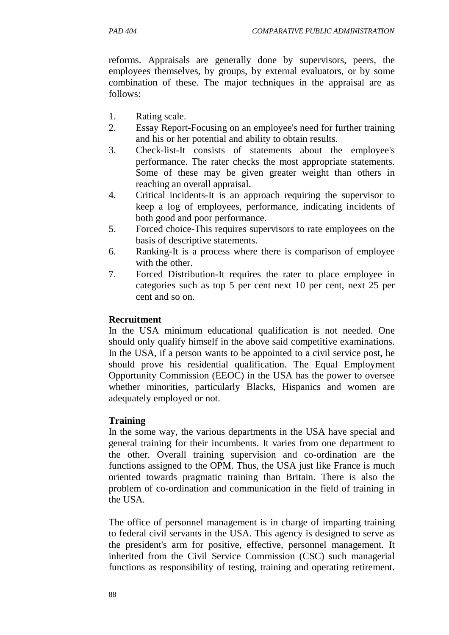reforms. Appraisals are generally done by supervisors, peers, the employees themselves, by groups, by external evaluators, or by some combination of these. The major techniques in the appraisal are as follows:

- 1. Rating scale.
- 2. Essay Report-Focusing on an employee's need for further training and his or her potential and ability to obtain results.
- 3. Check-list-It consists of statements about the employee's performance. The rater checks the most appropriate statements. Some of these may be given greater weight than others in reaching an overall appraisal.
- 4. Critical incidents-It is an approach requiring the supervisor to keep a log of employees, performance, indicating incidents of both good and poor performance.
- 5. Forced choice-This requires supervisors to rate employees on the basis of descriptive statements.
- 6. Ranking-It is a process where there is comparison of employee with the other.
- 7. Forced Distribution-It requires the rater to place employee in categories such as top 5 per cent next 10 per cent, next 25 per cent and so on.

#### **Recruitment**

In the USA minimum educational qualification is not needed. One should only qualify himself in the above said competitive examinations. In the USA, if a person wants to be appointed to a civil service post, he should prove his residential qualification. The Equal Employment Opportunity Commission (EEOC) in the USA has the power to oversee whether minorities, particularly Blacks, Hispanics and women are adequately employed or not.

#### **Training**

In the some way, the various departments in the USA have special and general training for their incumbents. It varies from one department to the other. Overall training supervision and co-ordination are the functions assigned to the OPM. Thus, the USA just like France is much oriented towards pragmatic training than Britain. There is also the problem of co-ordination and communication in the field of training in the USA.

The office of personnel management is in charge of imparting training to federal civil servants in the USA. This agency is designed to serve as the president's arm for positive, effective, personnel management. It inherited from the Civil Service Commission (CSC) such managerial functions as responsibility of testing, training and operating retirement.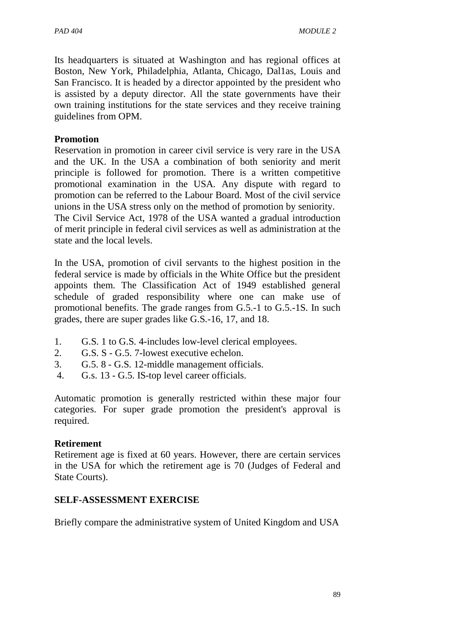Its headquarters is situated at Washington and has regional offices at Boston, New York, Philadelphia, Atlanta, Chicago, Dal1as, Louis and San Francisco. It is headed by a director appointed by the president who is assisted by a deputy director. All the state governments have their own training institutions for the state services and they receive training guidelines from OPM.

### **Promotion**

Reservation in promotion in career civil service is very rare in the USA and the UK. In the USA a combination of both seniority and merit principle is followed for promotion. There is a written competitive promotional examination in the USA. Any dispute with regard to promotion can be referred to the Labour Board. Most of the civil service unions in the USA stress only on the method of promotion by seniority.

The Civil Service Act, 1978 of the USA wanted a gradual introduction of merit principle in federal civil services as well as administration at the state and the local levels.

In the USA, promotion of civil servants to the highest position in the federal service is made by officials in the White Office but the president appoints them. The Classification Act of 1949 established general schedule of graded responsibility where one can make use of promotional benefits. The grade ranges from G.5.-1 to G.5.-1S. In such grades, there are super grades like G.S.-16, 17, and 18.

- 1. G.S. 1 to G.S. 4-includes low-level clerical employees.
- 2. G.S. S G.5. 7-lowest executive echelon.
- 3. G.5. 8 G.S. 12-middle management officials.
- 4. G.s. 13 G.5. IS-top level career officials.

Automatic promotion is generally restricted within these major four categories. For super grade promotion the president's approval is required.

#### **Retirement**

Retirement age is fixed at 60 years. However, there are certain services in the USA for which the retirement age is 70 (Judges of Federal and State Courts).

## **SELF-ASSESSMENT EXERCISE**

Briefly compare the administrative system of United Kingdom and USA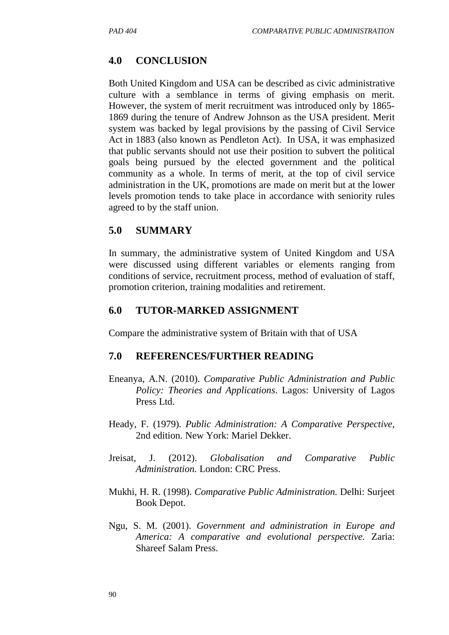### **4.0 CONCLUSION**

Both United Kingdom and USA can be described as civic administrative culture with a semblance in terms of giving emphasis on merit. However, the system of merit recruitment was introduced only by 1865- 1869 during the tenure of Andrew Johnson as the USA president. Merit system was backed by legal provisions by the passing of Civil Service Act in 1883 (also known as Pendleton Act). In USA, it was emphasized that public servants should not use their position to subvert the political goals being pursued by the elected government and the political community as a whole. In terms of merit, at the top of civil service administration in the UK, promotions are made on merit but at the lower levels promotion tends to take place in accordance with seniority rules agreed to by the staff union.

#### **5.0 SUMMARY**

In summary, the administrative system of United Kingdom and USA were discussed using different variables or elements ranging from conditions of service, recruitment process, method of evaluation of staff, promotion criterion, training modalities and retirement.

### **6.0 TUTOR-MARKED ASSIGNMENT**

Compare the administrative system of Britain with that of USA

#### **7.0 REFERENCES/FURTHER READING**

- Eneanya, A.N. (2010). *Comparative Public Administration and Public Policy: Theories and Applications*. Lagos: University of Lagos Press Ltd.
- Heady, F. (1979). *Public Administration: A Comparative Perspective*, 2nd edition. New York: Mariel Dekker.
- Jreisat, J. (2012). *Globalisation and Comparative Public Administration.* London: CRC Press.
- Mukhi, H. R. (1998). *Comparative Public Administration.* Delhi: Surjeet Book Depot.
- Ngu, S. M. (2001). *Government and administration in Europe and America: A comparative and evolutional perspective.* Zaria: Shareef Salam Press.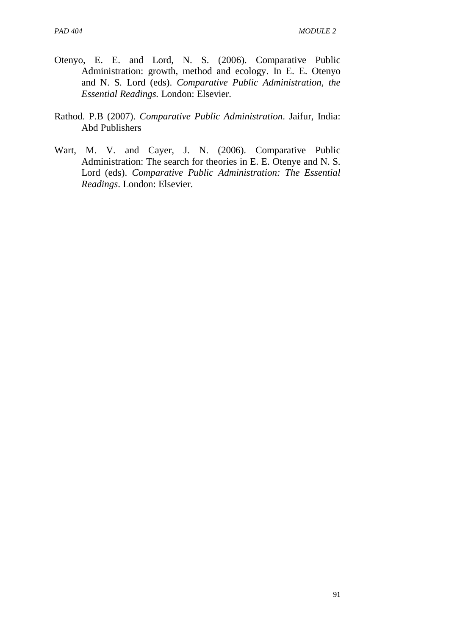- Otenyo, E. E. and Lord, N. S. (2006). Comparative Public Administration: growth, method and ecology. In E. E. Otenyo and N. S. Lord (eds). *Comparative Public Administration, the Essential Readings.* London: Elsevier.
- Rathod. P.B (2007). *Comparative Public Administration*. Jaifur, India: Abd Publishers
- Wart, M. V. and Cayer, J. N. (2006). Comparative Public Administration: The search for theories in E. E. Otenye and N. S. Lord (eds). *Comparative Public Administration: The Essential Readings*. London: Elsevier.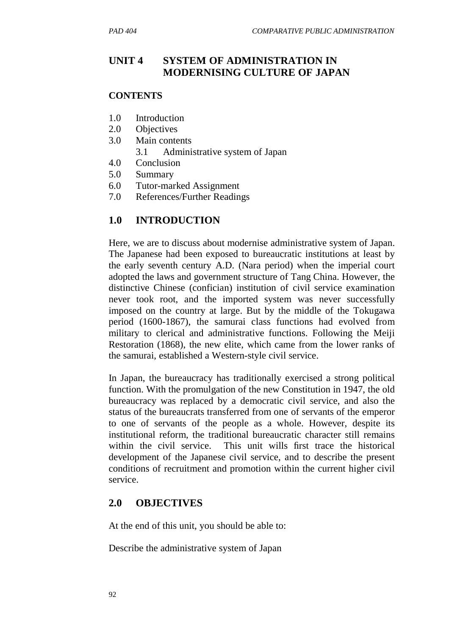# **UNIT 4 SYSTEM OF ADMINISTRATION IN MODERNISING CULTURE OF JAPAN**

#### **CONTENTS**

- 1.0 Introduction
- 2.0 Objectives
- 3.0 Main contents
	- 3.1 Administrative system of Japan
- 4.0 Conclusion
- 5.0 Summary
- 6.0 Tutor-marked Assignment
- 7.0 References/Further Readings

# **1.0 INTRODUCTION**

Here, we are to discuss about modernise administrative system of Japan. The Japanese had been exposed to bureaucratic institutions at least by the early seventh century A.D. (Nara period) when the imperial court adopted the laws and government structure of Tang China. However, the distinctive Chinese (confician) institution of civil service examination never took root, and the imported system was never successfully imposed on the country at large. But by the middle of the Tokugawa period (1600-1867), the samurai class functions had evolved from military to clerical and administrative functions. Following the Meiji Restoration (1868), the new elite, which came from the lower ranks of the samurai, established a Western-style civil service.

In Japan, the bureaucracy has traditionally exercised a strong political function. With the promulgation of the new Constitution in 1947, the old bureaucracy was replaced by a democratic civil service, and also the status of the bureaucrats transferred from one of servants of the emperor to one of servants of the people as a whole. However, despite its institutional reform, the traditional bureaucratic character still remains within the civil service. This unit wills first trace the historical development of the Japanese civil service, and to describe the present conditions of recruitment and promotion within the current higher civil service.

# **2.0 OBJECTIVES**

At the end of this unit, you should be able to:

Describe the administrative system of Japan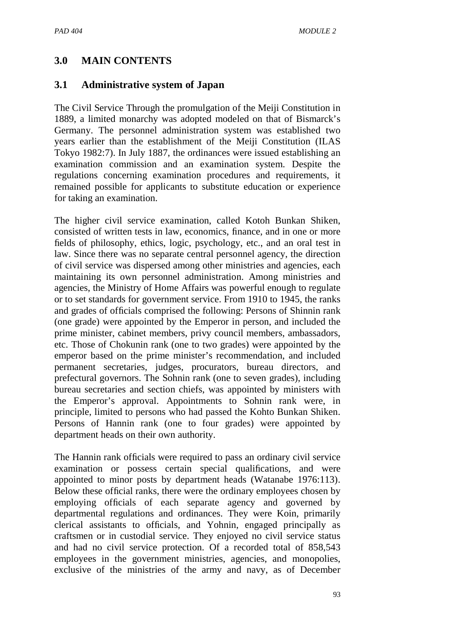## **3.0 MAIN CONTENTS**

### **3.1 Administrative system of Japan**

The Civil Service Through the promulgation of the Meiji Constitution in 1889, a limited monarchy was adopted modeled on that of Bismarck's Germany. The personnel administration system was established two years earlier than the establishment of the Meiji Constitution (ILAS Tokyo 1982:7). In July 1887, the ordinances were issued establishing an examination commission and an examination system. Despite the regulations concerning examination procedures and requirements, it remained possible for applicants to substitute education or experience for taking an examination.

The higher civil service examination, called Kotoh Bunkan Shiken, consisted of written tests in law, economics, finance, and in one or more fields of philosophy, ethics, logic, psychology, etc., and an oral test in law. Since there was no separate central personnel agency, the direction of civil service was dispersed among other ministries and agencies, each maintaining its own personnel administration. Among ministries and agencies, the Ministry of Home Affairs was powerful enough to regulate or to set standards for government service. From 1910 to 1945, the ranks and grades of officials comprised the following: Persons of Shinnin rank (one grade) were appointed by the Emperor in person, and included the prime minister, cabinet members, privy council members, ambassadors, etc. Those of Chokunin rank (one to two grades) were appointed by the emperor based on the prime minister's recommendation, and included permanent secretaries, judges, procurators, bureau directors, and prefectural governors. The Sohnin rank (one to seven grades), including bureau secretaries and section chiefs, was appointed by ministers with the Emperor's approval. Appointments to Sohnin rank were, in principle, limited to persons who had passed the Kohto Bunkan Shiken. Persons of Hannin rank (one to four grades) were appointed by department heads on their own authority.

The Hannin rank officials were required to pass an ordinary civil service examination or possess certain special qualifications, and were appointed to minor posts by department heads (Watanabe 1976:113). Below these official ranks, there were the ordinary employees chosen by employing officials of each separate agency and governed by departmental regulations and ordinances. They were Koin, primarily clerical assistants to officials, and Yohnin, engaged principally as craftsmen or in custodial service. They enjoyed no civil service status and had no civil service protection. Of a recorded total of 858,543 employees in the government ministries, agencies, and monopolies, exclusive of the ministries of the army and navy, as of December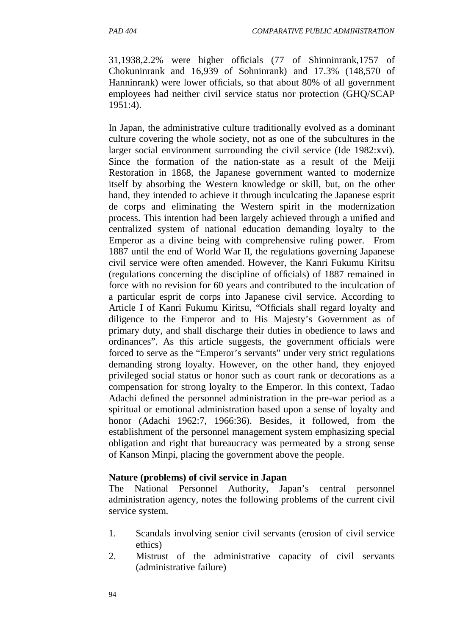31,1938,2.2% were higher officials (77 of Shinninrank,1757 of Chokuninrank and 16,939 of Sohninrank) and 17.3% (148,570 of Hanninrank) were lower officials, so that about 80% of all government employees had neither civil service status nor protection (GHQ/SCAP 1951:4).

In Japan, the administrative culture traditionally evolved as a dominant culture covering the whole society, not as one of the subcultures in the larger social environment surrounding the civil service (Ide 1982:xvi). Since the formation of the nation-state as a result of the Meiji Restoration in 1868, the Japanese government wanted to modernize itself by absorbing the Western knowledge or skill, but, on the other hand, they intended to achieve it through inculcating the Japanese esprit de corps and eliminating the Western spirit in the modernization process. This intention had been largely achieved through a unified and centralized system of national education demanding loyalty to the Emperor as a divine being with comprehensive ruling power. From 1887 until the end of World War II, the regulations governing Japanese civil service were often amended. However, the Kanri Fukumu Kiritsu (regulations concerning the discipline of officials) of 1887 remained in force with no revision for 60 years and contributed to the inculcation of a particular esprit de corps into Japanese civil service. According to Article I of Kanri Fukumu Kiritsu, "Officials shall regard loyalty and diligence to the Emperor and to His Majesty's Government as of primary duty, and shall discharge their duties in obedience to laws and ordinances". As this article suggests, the government officials were forced to serve as the "Emperor's servants" under very strict regulations demanding strong loyalty. However, on the other hand, they enjoyed privileged social status or honor such as court rank or decorations as a compensation for strong loyalty to the Emperor. In this context, Tadao Adachi defined the personnel administration in the pre-war period as a spiritual or emotional administration based upon a sense of loyalty and honor (Adachi 1962:7, 1966:36). Besides, it followed, from the establishment of the personnel management system emphasizing special obligation and right that bureaucracy was permeated by a strong sense of Kanson Minpi, placing the government above the people.

### **Nature (problems) of civil service in Japan**

The National Personnel Authority, Japan's central personnel administration agency, notes the following problems of the current civil service system.

- 1. Scandals involving senior civil servants (erosion of civil service ethics)
- 2. Mistrust of the administrative capacity of civil servants (administrative failure)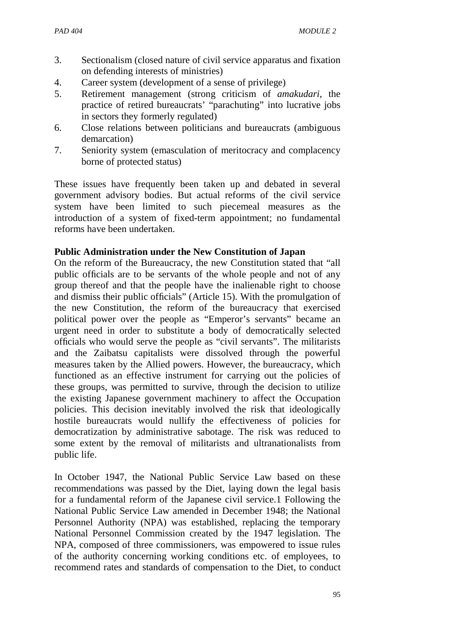- 3. Sectionalism (closed nature of civil service apparatus and fixation on defending interests of ministries)
- 4. Career system (development of a sense of privilege)
- 5. Retirement management (strong criticism of *amakudari*, the practice of retired bureaucrats' "parachuting" into lucrative jobs in sectors they formerly regulated)
- 6. Close relations between politicians and bureaucrats (ambiguous demarcation)
- 7. Seniority system (emasculation of meritocracy and complacency borne of protected status)

These issues have frequently been taken up and debated in several government advisory bodies. But actual reforms of the civil service system have been limited to such piecemeal measures as the introduction of a system of fixed-term appointment; no fundamental reforms have been undertaken.

### **Public Administration under the New Constitution of Japan**

On the reform of the Bureaucracy, the new Constitution stated that "all public officials are to be servants of the whole people and not of any group thereof and that the people have the inalienable right to choose and dismiss their public officials" (Article 15). With the promulgation of the new Constitution, the reform of the bureaucracy that exercised political power over the people as "Emperor's servants" became an urgent need in order to substitute a body of democratically selected officials who would serve the people as "civil servants". The militarists and the Zaibatsu capitalists were dissolved through the powerful measures taken by the Allied powers. However, the bureaucracy, which functioned as an effective instrument for carrying out the policies of these groups, was permitted to survive, through the decision to utilize the existing Japanese government machinery to affect the Occupation policies. This decision inevitably involved the risk that ideologically hostile bureaucrats would nullify the effectiveness of policies for democratization by administrative sabotage. The risk was reduced to some extent by the removal of militarists and ultranationalists from public life.

In October 1947, the National Public Service Law based on these recommendations was passed by the Diet, laying down the legal basis for a fundamental reform of the Japanese civil service.1 Following the National Public Service Law amended in December 1948; the National Personnel Authority (NPA) was established, replacing the temporary National Personnel Commission created by the 1947 legislation. The NPA, composed of three commissioners, was empowered to issue rules of the authority concerning working conditions etc. of employees, to recommend rates and standards of compensation to the Diet, to conduct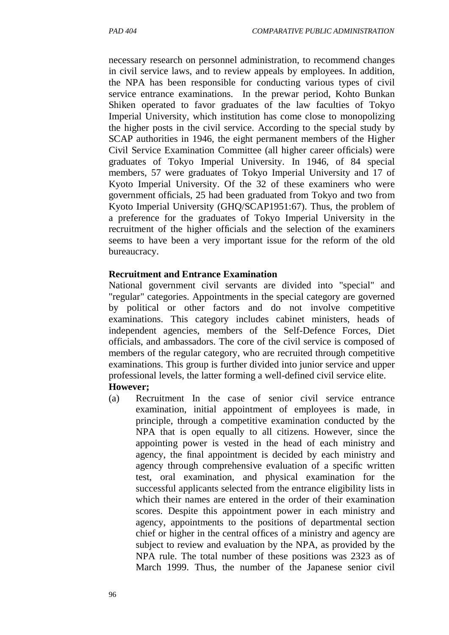necessary research on personnel administration, to recommend changes in civil service laws, and to review appeals by employees. In addition, the NPA has been responsible for conducting various types of civil service entrance examinations. In the prewar period, Kohto Bunkan Shiken operated to favor graduates of the law faculties of Tokyo Imperial University, which institution has come close to monopolizing the higher posts in the civil service. According to the special study by SCAP authorities in 1946, the eight permanent members of the Higher Civil Service Examination Committee (all higher career officials) were graduates of Tokyo Imperial University. In 1946, of 84 special members, 57 were graduates of Tokyo Imperial University and 17 of Kyoto Imperial University. Of the 32 of these examiners who were government officials, 25 had been graduated from Tokyo and two from Kyoto Imperial University (GHQ/SCAP1951:67). Thus, the problem of a preference for the graduates of Tokyo Imperial University in the recruitment of the higher officials and the selection of the examiners seems to have been a very important issue for the reform of the old bureaucracy.

### **Recruitment and Entrance Examination**

National government civil servants are divided into "special" and "regular" categories. Appointments in the special category are governed by political or other factors and do not involve competitive examinations. This category includes cabinet ministers, heads of independent agencies, members of the Self-Defence Forces, Diet officials, and ambassadors. The core of the civil service is composed of members of the regular category, who are recruited through competitive examinations. This group is further divided into junior service and upper professional levels, the latter forming a well-defined civil service elite.

## **However;**

(a) Recruitment In the case of senior civil service entrance examination, initial appointment of employees is made, in principle, through a competitive examination conducted by the NPA that is open equally to all citizens. However, since the appointing power is vested in the head of each ministry and agency, the final appointment is decided by each ministry and agency through comprehensive evaluation of a specific written test, oral examination, and physical examination for the successful applicants selected from the entrance eligibility lists in which their names are entered in the order of their examination scores. Despite this appointment power in each ministry and agency, appointments to the positions of departmental section chief or higher in the central offices of a ministry and agency are subject to review and evaluation by the NPA, as provided by the NPA rule. The total number of these positions was 2323 as of March 1999. Thus, the number of the Japanese senior civil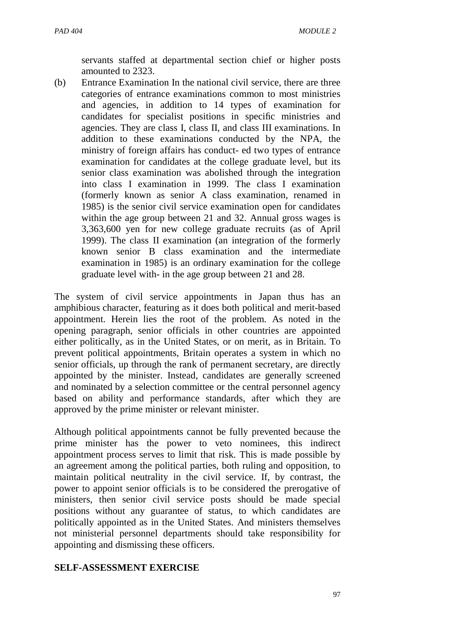servants staffed at departmental section chief or higher posts amounted to 2323.

(b) Entrance Examination In the national civil service, there are three categories of entrance examinations common to most ministries and agencies, in addition to 14 types of examination for candidates for specialist positions in specific ministries and agencies. They are class I, class II, and class III examinations. In addition to these examinations conducted by the NPA, the ministry of foreign affairs has conduct- ed two types of entrance examination for candidates at the college graduate level, but its senior class examination was abolished through the integration into class I examination in 1999. The class I examination (formerly known as senior A class examination, renamed in 1985) is the senior civil service examination open for candidates within the age group between 21 and 32. Annual gross wages is 3,363,600 yen for new college graduate recruits (as of April 1999). The class II examination (an integration of the formerly known senior B class examination and the intermediate examination in 1985) is an ordinary examination for the college graduate level with- in the age group between 21 and 28.

The system of civil service appointments in Japan thus has an amphibious character, featuring as it does both political and merit-based appointment. Herein lies the root of the problem. As noted in the opening paragraph, senior officials in other countries are appointed either politically, as in the United States, or on merit, as in Britain. To prevent political appointments, Britain operates a system in which no senior officials, up through the rank of permanent secretary, are directly appointed by the minister. Instead, candidates are generally screened and nominated by a selection committee or the central personnel agency based on ability and performance standards, after which they are approved by the prime minister or relevant minister.

Although political appointments cannot be fully prevented because the prime minister has the power to veto nominees, this indirect appointment process serves to limit that risk. This is made possible by an agreement among the political parties, both ruling and opposition, to maintain political neutrality in the civil service. If, by contrast, the power to appoint senior officials is to be considered the prerogative of ministers, then senior civil service posts should be made special positions without any guarantee of status, to which candidates are politically appointed as in the United States. And ministers themselves not ministerial personnel departments should take responsibility for appointing and dismissing these officers.

#### **SELF-ASSESSMENT EXERCISE**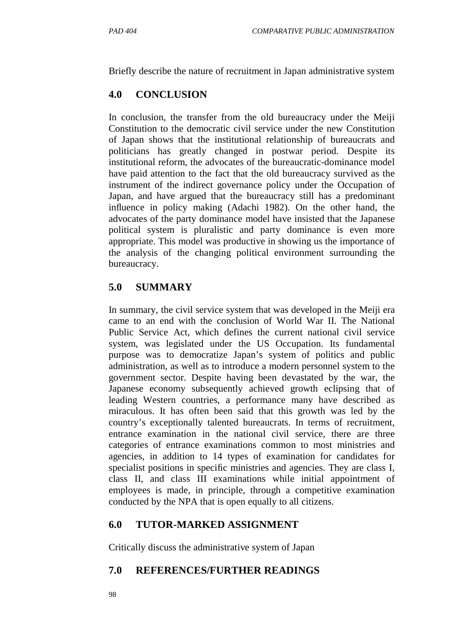Briefly describe the nature of recruitment in Japan administrative system

# **4.0 CONCLUSION**

In conclusion, the transfer from the old bureaucracy under the Meiji Constitution to the democratic civil service under the new Constitution of Japan shows that the institutional relationship of bureaucrats and politicians has greatly changed in postwar period. Despite its institutional reform, the advocates of the bureaucratic-dominance model have paid attention to the fact that the old bureaucracy survived as the instrument of the indirect governance policy under the Occupation of Japan, and have argued that the bureaucracy still has a predominant influence in policy making (Adachi 1982). On the other hand, the advocates of the party dominance model have insisted that the Japanese political system is pluralistic and party dominance is even more appropriate. This model was productive in showing us the importance of the analysis of the changing political environment surrounding the bureaucracy.

# **5.0 SUMMARY**

In summary, the civil service system that was developed in the Meiji era came to an end with the conclusion of World War II. The National Public Service Act, which defines the current national civil service system, was legislated under the US Occupation. Its fundamental purpose was to democratize Japan's system of politics and public administration, as well as to introduce a modern personnel system to the government sector. Despite having been devastated by the war, the Japanese economy subsequently achieved growth eclipsing that of leading Western countries, a performance many have described as miraculous. It has often been said that this growth was led by the country's exceptionally talented bureaucrats. In terms of recruitment, entrance examination in the national civil service, there are three categories of entrance examinations common to most ministries and agencies, in addition to 14 types of examination for candidates for specialist positions in specific ministries and agencies. They are class I, class II, and class III examinations while initial appointment of employees is made, in principle, through a competitive examination conducted by the NPA that is open equally to all citizens.

# **6.0 TUTOR-MARKED ASSIGNMENT**

Critically discuss the administrative system of Japan

# **7.0 REFERENCES/FURTHER READINGS**